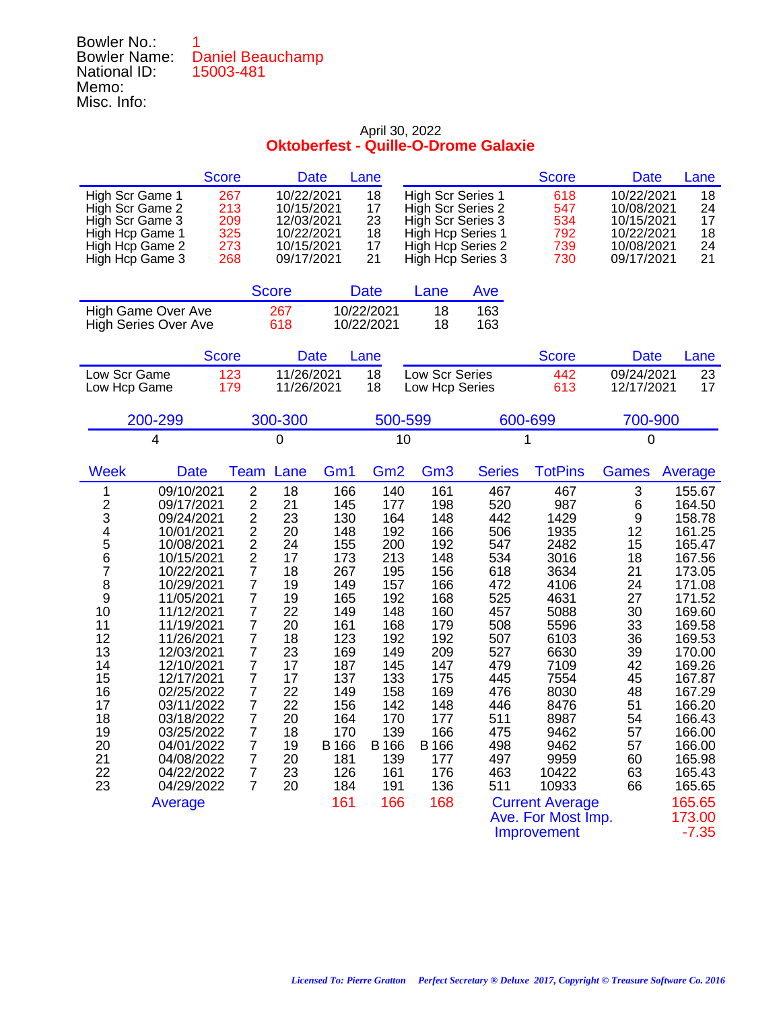Bowler No.: 1 Bowler Name: Daniel Beauchamp National ID: 15003-481 Memo: Misc. Info:

|                                                                                                                                                                                                                                                                                                                                                                                                                                                                                   | <b>Score</b>                                                                                                                                                                                                                                                                                                    | <b>Date</b>                                                                                                                            |                                                                                                                                                                        | Lane                                                                                                                                                                   |                                                                                                                                                                        |                                                                                                                                                               | <b>Score</b>                                                                                                                                                                                                                                        | <b>Date</b>                                                                                                                         | Lane                                                                                                                                                                                                                                                              |
|-----------------------------------------------------------------------------------------------------------------------------------------------------------------------------------------------------------------------------------------------------------------------------------------------------------------------------------------------------------------------------------------------------------------------------------------------------------------------------------|-----------------------------------------------------------------------------------------------------------------------------------------------------------------------------------------------------------------------------------------------------------------------------------------------------------------|----------------------------------------------------------------------------------------------------------------------------------------|------------------------------------------------------------------------------------------------------------------------------------------------------------------------|------------------------------------------------------------------------------------------------------------------------------------------------------------------------|------------------------------------------------------------------------------------------------------------------------------------------------------------------------|---------------------------------------------------------------------------------------------------------------------------------------------------------------|-----------------------------------------------------------------------------------------------------------------------------------------------------------------------------------------------------------------------------------------------------|-------------------------------------------------------------------------------------------------------------------------------------|-------------------------------------------------------------------------------------------------------------------------------------------------------------------------------------------------------------------------------------------------------------------|
| High Scr Game 1<br>High Scr Game 2<br>High Scr Game 3<br>High Hcp Game 1<br>High Hcp Game 2<br>High Hcp Game 3                                                                                                                                                                                                                                                                                                                                                                    | 267<br>213<br>209<br>325<br>273<br>268                                                                                                                                                                                                                                                                          | 10/22/2021<br>10/15/2021<br>12/03/2021<br>10/22/2021<br>10/15/2021<br>09/17/2021                                                       |                                                                                                                                                                        | 18<br>17<br>23<br>18<br>17<br>21                                                                                                                                       | <b>High Scr Series 1</b><br>High Scr Series 2<br>High Scr Series 3<br>High Hcp Series 1<br>High Hcp Series 2<br>High Hcp Series 3                                      |                                                                                                                                                               | 618<br>547<br>534<br>792<br>739<br>730                                                                                                                                                                                                              | 10/22/2021<br>10/08/2021<br>10/15/2021<br>10/22/2021<br>10/08/2021<br>09/17/2021                                                    | 18<br>24<br>17<br>18<br>24<br>21                                                                                                                                                                                                                                  |
|                                                                                                                                                                                                                                                                                                                                                                                                                                                                                   |                                                                                                                                                                                                                                                                                                                 | <b>Score</b>                                                                                                                           |                                                                                                                                                                        | <b>Date</b>                                                                                                                                                            | Lane                                                                                                                                                                   | Ave                                                                                                                                                           |                                                                                                                                                                                                                                                     |                                                                                                                                     |                                                                                                                                                                                                                                                                   |
| High Game Over Ave<br><b>High Series Over Ave</b>                                                                                                                                                                                                                                                                                                                                                                                                                                 |                                                                                                                                                                                                                                                                                                                 | 267<br>618                                                                                                                             |                                                                                                                                                                        | 10/22/2021<br>10/22/2021                                                                                                                                               | 18<br>18                                                                                                                                                               | 163<br>163                                                                                                                                                    |                                                                                                                                                                                                                                                     |                                                                                                                                     |                                                                                                                                                                                                                                                                   |
|                                                                                                                                                                                                                                                                                                                                                                                                                                                                                   | <b>Score</b>                                                                                                                                                                                                                                                                                                    | <b>Date</b>                                                                                                                            |                                                                                                                                                                        | Lane                                                                                                                                                                   |                                                                                                                                                                        |                                                                                                                                                               | <b>Score</b>                                                                                                                                                                                                                                        | <b>Date</b>                                                                                                                         | Lane                                                                                                                                                                                                                                                              |
| Low Scr Game<br>Low Hcp Game                                                                                                                                                                                                                                                                                                                                                                                                                                                      | 123<br>179                                                                                                                                                                                                                                                                                                      | 11/26/2021<br>11/26/2021                                                                                                               |                                                                                                                                                                        | 18<br>18                                                                                                                                                               | Low Scr Series<br>Low Hcp Series                                                                                                                                       |                                                                                                                                                               | 442<br>613                                                                                                                                                                                                                                          | 09/24/2021<br>12/17/2021                                                                                                            | 23<br>17                                                                                                                                                                                                                                                          |
| 200-299                                                                                                                                                                                                                                                                                                                                                                                                                                                                           |                                                                                                                                                                                                                                                                                                                 | 300-300                                                                                                                                |                                                                                                                                                                        | 500-599                                                                                                                                                                |                                                                                                                                                                        |                                                                                                                                                               | 600-699                                                                                                                                                                                                                                             | 700-900                                                                                                                             |                                                                                                                                                                                                                                                                   |
| 4                                                                                                                                                                                                                                                                                                                                                                                                                                                                                 |                                                                                                                                                                                                                                                                                                                 | 0                                                                                                                                      |                                                                                                                                                                        | 10                                                                                                                                                                     |                                                                                                                                                                        |                                                                                                                                                               | 1                                                                                                                                                                                                                                                   | 0                                                                                                                                   |                                                                                                                                                                                                                                                                   |
| <b>Week</b><br><b>Date</b>                                                                                                                                                                                                                                                                                                                                                                                                                                                        | Team                                                                                                                                                                                                                                                                                                            | Lane                                                                                                                                   | Gm <sub>1</sub>                                                                                                                                                        | Gm <sub>2</sub>                                                                                                                                                        | Gm <sub>3</sub>                                                                                                                                                        | <b>Series</b>                                                                                                                                                 | <b>TotPins</b>                                                                                                                                                                                                                                      | <b>Games</b>                                                                                                                        | Average                                                                                                                                                                                                                                                           |
| 09/10/2021<br>1<br>$\frac{2}{3}$<br>09/17/2021<br>09/24/2021<br>4<br>5<br>10/01/2021<br>10/08/2021<br>6<br>10/15/2021<br>7<br>10/22/2021<br>8<br>10/29/2021<br>9<br>11/05/2021<br>10<br>11/12/2021<br>11<br>11/19/2021<br>12<br>11/26/2021<br>13<br>12/03/2021<br>14<br>12/10/2021<br>15<br>12/17/2021<br>16<br>02/25/2022<br>17<br>03/11/2022<br>18<br>03/18/2022<br>19<br>03/25/2022<br>20<br>04/01/2022<br>21<br>04/08/2022<br>22<br>04/22/2022<br>23<br>04/29/2022<br>Average | $\overline{c}$<br>$\overline{c}$<br>$\overline{c}$<br>$\frac{2}{2}$<br>$\overline{\mathbf{c}}$<br>$\overline{7}$<br>7<br>$\overline{7}$<br>7<br>$\overline{7}$<br>7<br>7<br>7<br>$\overline{7}$<br>$\overline{7}$<br>$\overline{7}$<br>7<br>7<br>$\prime$<br>$\overline{7}$<br>$\overline{7}$<br>$\overline{7}$ | 18<br>21<br>23<br>20<br>24<br>17<br>18<br>19<br>19<br>22<br>20<br>18<br>23<br>17<br>17<br>22<br>22<br>20<br>18<br>19<br>20<br>23<br>20 | 166<br>145<br>130<br>148<br>155<br>173<br>267<br>149<br>165<br>149<br>161<br>123<br>169<br>187<br>137<br>149<br>156<br>164<br>170<br>B 166<br>181<br>126<br>184<br>161 | 140<br>177<br>164<br>192<br>200<br>213<br>195<br>157<br>192<br>148<br>168<br>192<br>149<br>145<br>133<br>158<br>142<br>170<br>139<br>B 166<br>139<br>161<br>191<br>166 | 161<br>198<br>148<br>166<br>192<br>148<br>156<br>166<br>168<br>160<br>179<br>192<br>209<br>147<br>175<br>169<br>148<br>177<br>166<br>B 166<br>177<br>176<br>136<br>168 | 467<br>520<br>442<br>506<br>547<br>534<br>618<br>472<br>525<br>457<br>508<br>507<br>527<br>479<br>445<br>476<br>446<br>511<br>475<br>498<br>497<br>463<br>511 | 467<br>987<br>1429<br>1935<br>2482<br>3016<br>3634<br>4106<br>4631<br>5088<br>5596<br>6103<br>6630<br>7109<br>7554<br>8030<br>8476<br>8987<br>9462<br>9462<br>9959<br>10422<br>10933<br><b>Current Average</b><br>Ave. For Most Imp.<br>Improvement | 3<br>6<br>9<br>12<br>15<br>18<br>21<br>24<br>27<br>30<br>33<br>36<br>39<br>42<br>45<br>48<br>51<br>54<br>57<br>57<br>60<br>63<br>66 | 155.67<br>164.50<br>158.78<br>161.25<br>165.47<br>167.56<br>173.05<br>171.08<br>171.52<br>169.60<br>169.58<br>169.53<br>170.00<br>169.26<br>167.87<br>167.29<br>166.20<br>166.43<br>166.00<br>166.00<br>165.98<br>165.43<br>165.65<br>165.65<br>173.00<br>$-7.35$ |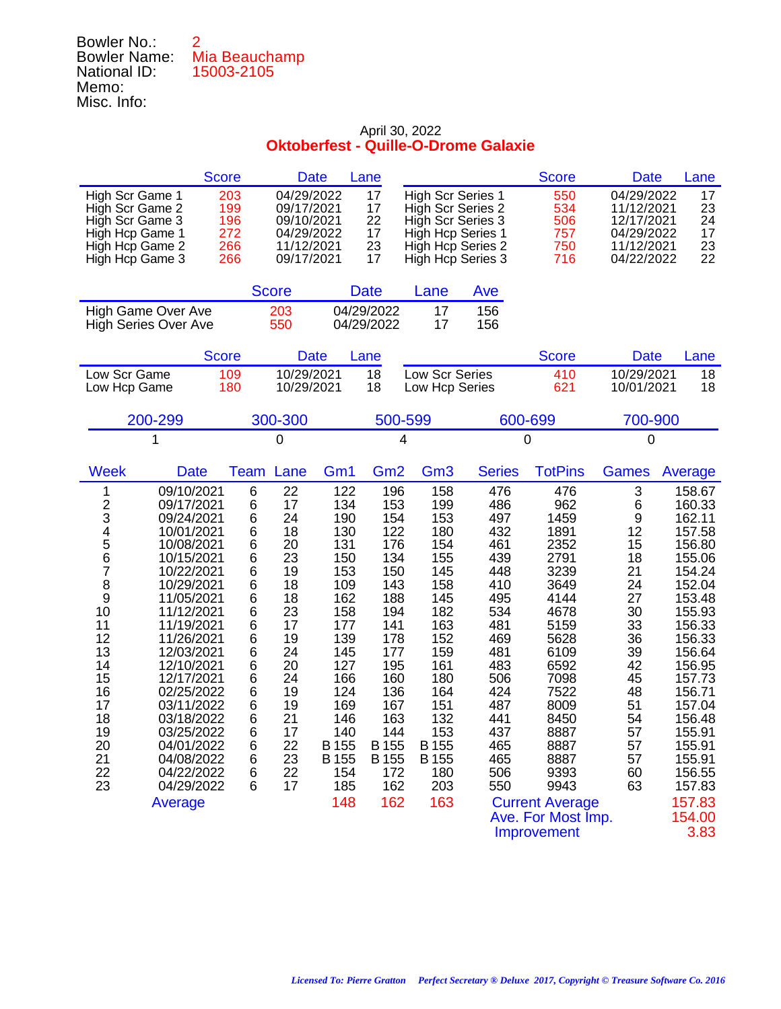## Bowler No.: 2 Bowler Name: Mia Beauchamp National ID: 15003-2105 Memo: Misc. Info:

## April 30, 2022 **Oktoberfest - Quille-O-Drome Galaxie**

|                                                                                                                |                                                   | <b>Score</b>                           |        | <b>Date</b>                                                                      |              | Lane                             |   |                 |                                                                                                                                   |                | <b>Score</b>                           | <b>Date</b>                                                                      | Lane                             |
|----------------------------------------------------------------------------------------------------------------|---------------------------------------------------|----------------------------------------|--------|----------------------------------------------------------------------------------|--------------|----------------------------------|---|-----------------|-----------------------------------------------------------------------------------------------------------------------------------|----------------|----------------------------------------|----------------------------------------------------------------------------------|----------------------------------|
| High Scr Game 1<br>High Scr Game 2<br>High Scr Game 3<br>High Hcp Game 1<br>High Hcp Game 2<br>High Hcp Game 3 |                                                   | 203<br>199<br>196<br>272<br>266<br>266 |        | 04/29/2022<br>09/17/2021<br>09/10/2021<br>04/29/2022<br>11/12/2021<br>09/17/2021 |              | 17<br>17<br>22<br>17<br>23<br>17 |   |                 | <b>High Scr Series 1</b><br>High Scr Series 2<br>High Scr Series 3<br>High Hcp Series 1<br>High Hcp Series 2<br>High Hcp Series 3 |                | 550<br>534<br>506<br>757<br>750<br>716 | 04/29/2022<br>11/12/2021<br>12/17/2021<br>04/29/2022<br>11/12/2021<br>04/22/2022 | 17<br>23<br>24<br>17<br>23<br>22 |
|                                                                                                                |                                                   |                                        |        |                                                                                  |              |                                  |   |                 |                                                                                                                                   |                |                                        |                                                                                  |                                  |
|                                                                                                                |                                                   |                                        |        | <b>Score</b>                                                                     |              | <b>Date</b>                      |   | Lane            | Ave                                                                                                                               |                |                                        |                                                                                  |                                  |
|                                                                                                                | High Game Over Ave<br><b>High Series Over Ave</b> |                                        |        | 203<br>550                                                                       |              | 04/29/2022<br>04/29/2022         |   | 17<br>17        | 156<br>156                                                                                                                        |                |                                        |                                                                                  |                                  |
|                                                                                                                |                                                   |                                        |        |                                                                                  |              |                                  |   |                 |                                                                                                                                   |                |                                        |                                                                                  |                                  |
|                                                                                                                |                                                   | <b>Score</b>                           |        | Date                                                                             |              | Lane                             |   |                 |                                                                                                                                   |                | <b>Score</b>                           | <b>Date</b>                                                                      | Lane                             |
| Low Scr Game<br>Low Hcp Game                                                                                   |                                                   | 109<br>180                             |        | 10/29/2021<br>10/29/2021                                                         |              | 18<br>18                         |   |                 | Low Scr Series<br>Low Hcp Series                                                                                                  |                | 410<br>621                             | 10/29/2021<br>10/01/2021                                                         | 18<br>18                         |
|                                                                                                                | 200-299                                           |                                        |        | 300-300                                                                          |              | 500-599                          |   |                 |                                                                                                                                   | 600-699        |                                        | 700-900                                                                          |                                  |
|                                                                                                                | 1                                                 |                                        |        | $\overline{0}$                                                                   |              |                                  | 4 |                 |                                                                                                                                   | $\overline{0}$ |                                        | 0                                                                                |                                  |
| <b>Week</b>                                                                                                    | <b>Date</b>                                       |                                        | Team   | Lane                                                                             | Gm1          | Gm <sub>2</sub>                  |   | Gm <sub>3</sub> | <b>Series</b>                                                                                                                     |                | <b>TotPins</b>                         | <b>Games</b>                                                                     | Average                          |
| 1                                                                                                              | 09/10/2021                                        |                                        | 6      | 22                                                                               | 122          | 196                              |   | 158             | 476                                                                                                                               |                | 476                                    | 3                                                                                | 158.67                           |
| $\overline{\mathbf{c}}$<br>3                                                                                   | 09/17/2021<br>09/24/2021                          |                                        | 6<br>6 | 17<br>24                                                                         | 134<br>190   | 153<br>154                       |   | 199<br>153      | 486<br>497                                                                                                                        |                | 962<br>1459                            | $\,6$<br>9                                                                       | 160.33<br>162.11                 |
| $\frac{4}{5}$                                                                                                  | 10/01/2021                                        |                                        | 6      | 18                                                                               | 130          | 122                              |   | 180             | 432                                                                                                                               |                | 1891                                   | 12                                                                               | 157.58                           |
|                                                                                                                | 10/08/2021                                        |                                        | 6      | 20                                                                               | 131          | 176                              |   | 154             | 461                                                                                                                               |                | 2352                                   | 15                                                                               | 156.80                           |
| 6<br>7                                                                                                         | 10/15/2021<br>10/22/2021                          |                                        | 6<br>6 | 23<br>19                                                                         | 150<br>153   | 134<br>150                       |   | 155<br>145      | 439<br>448                                                                                                                        |                | 2791<br>3239                           | 18<br>21                                                                         | 155.06<br>154.24                 |
| 8                                                                                                              | 10/29/2021                                        |                                        | 6      | 18                                                                               | 109          | 143                              |   | 158             | 410                                                                                                                               |                | 3649                                   | 24                                                                               | 152.04                           |
| 9                                                                                                              | 11/05/2021                                        |                                        | 6      | 18                                                                               | 162          | 188                              |   | 145             | 495                                                                                                                               |                | 4144                                   | 27                                                                               | 153.48                           |
| 10<br>11                                                                                                       | 11/12/2021<br>11/19/2021                          |                                        | 6<br>6 | 23<br>17                                                                         | 158<br>177   | 194<br>141                       |   | 182<br>163      | 534<br>481                                                                                                                        |                | 4678<br>5159                           | 30<br>33                                                                         | 155.93<br>156.33                 |
| 12                                                                                                             | 11/26/2021                                        |                                        | 6      | 19                                                                               | 139          | 178                              |   | 152             | 469                                                                                                                               |                | 5628                                   | 36                                                                               | 156.33                           |
| 13                                                                                                             | 12/03/2021                                        |                                        | 6      | 24                                                                               | 145          | 177                              |   | 159             | 481                                                                                                                               |                | 6109                                   | 39                                                                               | 156.64                           |
| 14<br>15                                                                                                       | 12/10/2021<br>12/17/2021                          |                                        | 6<br>6 | 20<br>24                                                                         | 127<br>166   | 195<br>160                       |   | 161<br>180      | 483<br>506                                                                                                                        |                | 6592<br>7098                           | 42<br>45                                                                         | 156.95<br>157.73                 |
| 16                                                                                                             | 02/25/2022                                        |                                        | 6      | 19                                                                               | 124          | 136                              |   | 164             | 424                                                                                                                               |                | 7522                                   | 48                                                                               | 156.71                           |
| 17                                                                                                             | 03/11/2022                                        |                                        | 6      | 19                                                                               | 169          | 167                              |   | 151             | 487                                                                                                                               |                | 8009                                   | 51                                                                               | 157.04                           |
| 18<br>19                                                                                                       | 03/18/2022<br>03/25/2022                          |                                        | 6<br>6 | 21<br>17                                                                         | 146<br>140   | 163<br>144                       |   | 132<br>153      | 441<br>437                                                                                                                        |                | 8450<br>8887                           | 54<br>57                                                                         | 156.48<br>155.91                 |
| 20                                                                                                             | 04/01/2022                                        |                                        | 6      | 22                                                                               | <b>B</b> 155 | B 155                            |   | B 155           | 465                                                                                                                               |                | 8887                                   | 57                                                                               | 155.91                           |
| 21                                                                                                             | 04/08/2022                                        |                                        | 6      | 23                                                                               | B 155        | B 155                            |   | B 155           | 465                                                                                                                               |                | 8887                                   | 57                                                                               | 155.91                           |
| 22<br>23                                                                                                       | 04/22/2022<br>04/29/2022                          |                                        | 6<br>6 | 22<br>17                                                                         | 154<br>185   | 172<br>162                       |   | 180<br>203      | 506<br>550                                                                                                                        |                | 9393<br>9943                           | 60<br>63                                                                         | 156.55<br>157.83                 |
|                                                                                                                | Average                                           |                                        |        |                                                                                  | 148          | 162                              |   | 163             |                                                                                                                                   |                | <b>Current Average</b>                 |                                                                                  | 157.83                           |
|                                                                                                                |                                                   |                                        |        |                                                                                  |              |                                  |   |                 |                                                                                                                                   |                | Ave. For Most Imp.                     |                                                                                  | 154.00                           |

Improvement 3.83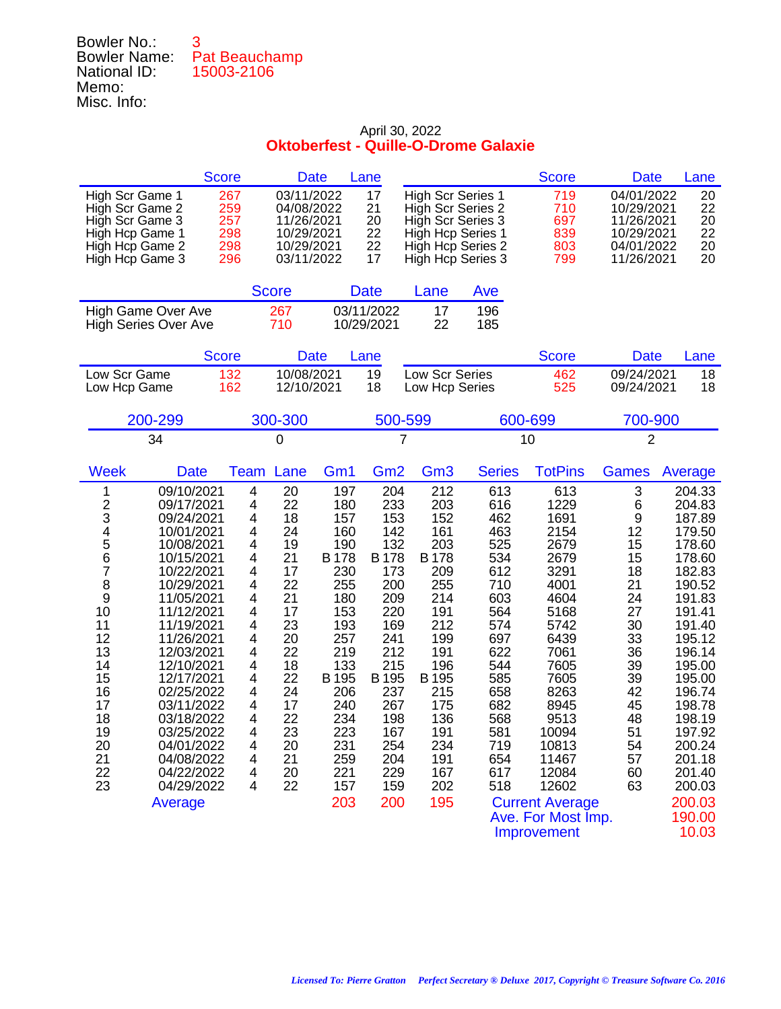## Bowler No.: 3 Bowler Name: Pat Beauchamp National ID: 15003-2106 Memo: Misc. Info:

|                                                                                                                                                                                                                                                                                                                                                                                                                                                                                   | <b>Score</b>                                                                                                    | <b>Date</b>                                                                                                                                                                                                                                                                                                              | Lane                                                                                                                                                                           |                                                                                                                                                                                 |                                                                                                                                                               | <b>Score</b>                                                                                                                                                                                                                                            | <b>Date</b>                                                                                                                         | Lane                                                                                                                                                                                                                                                            |
|-----------------------------------------------------------------------------------------------------------------------------------------------------------------------------------------------------------------------------------------------------------------------------------------------------------------------------------------------------------------------------------------------------------------------------------------------------------------------------------|-----------------------------------------------------------------------------------------------------------------|--------------------------------------------------------------------------------------------------------------------------------------------------------------------------------------------------------------------------------------------------------------------------------------------------------------------------|--------------------------------------------------------------------------------------------------------------------------------------------------------------------------------|---------------------------------------------------------------------------------------------------------------------------------------------------------------------------------|---------------------------------------------------------------------------------------------------------------------------------------------------------------|---------------------------------------------------------------------------------------------------------------------------------------------------------------------------------------------------------------------------------------------------------|-------------------------------------------------------------------------------------------------------------------------------------|-----------------------------------------------------------------------------------------------------------------------------------------------------------------------------------------------------------------------------------------------------------------|
| High Scr Game 1<br>High Scr Game 2<br>High Scr Game 3<br>High Hcp Game 1<br>High Hcp Game 2<br>High Hcp Game 3                                                                                                                                                                                                                                                                                                                                                                    | 267<br>259<br>257<br>298<br>298<br>296                                                                          | 03/11/2022<br>04/08/2022<br>11/26/2021<br>10/29/2021<br>10/29/2021<br>03/11/2022                                                                                                                                                                                                                                         | 17<br>21<br>20<br>22<br>22<br>17                                                                                                                                               | <b>High Scr Series 1</b><br>High Scr Series 2<br>High Scr Series 3<br>High Hcp Series 1<br>High Hcp Series 2<br>High Hcp Series 3                                               |                                                                                                                                                               | 719<br>710<br>697<br>839<br>803<br>799                                                                                                                                                                                                                  | 04/01/2022<br>10/29/2021<br>11/26/2021<br>10/29/2021<br>04/01/2022<br>11/26/2021                                                    | 20<br>22<br>20<br>22<br>20<br>20                                                                                                                                                                                                                                |
|                                                                                                                                                                                                                                                                                                                                                                                                                                                                                   | <b>Score</b>                                                                                                    |                                                                                                                                                                                                                                                                                                                          | <b>Date</b>                                                                                                                                                                    | Lane                                                                                                                                                                            | Ave                                                                                                                                                           |                                                                                                                                                                                                                                                         |                                                                                                                                     |                                                                                                                                                                                                                                                                 |
| High Game Over Ave<br><b>High Series Over Ave</b>                                                                                                                                                                                                                                                                                                                                                                                                                                 | 267<br>710                                                                                                      |                                                                                                                                                                                                                                                                                                                          | 03/11/2022<br>10/29/2021                                                                                                                                                       | 17<br>22                                                                                                                                                                        | 196<br>185                                                                                                                                                    |                                                                                                                                                                                                                                                         |                                                                                                                                     |                                                                                                                                                                                                                                                                 |
|                                                                                                                                                                                                                                                                                                                                                                                                                                                                                   | <b>Score</b>                                                                                                    | <b>Date</b>                                                                                                                                                                                                                                                                                                              | Lane                                                                                                                                                                           |                                                                                                                                                                                 |                                                                                                                                                               | <b>Score</b>                                                                                                                                                                                                                                            | <b>Date</b>                                                                                                                         | Lane                                                                                                                                                                                                                                                            |
| Low Scr Game<br>Low Hcp Game                                                                                                                                                                                                                                                                                                                                                                                                                                                      | 132<br>162                                                                                                      | 10/08/2021<br>12/10/2021                                                                                                                                                                                                                                                                                                 | 19<br>18                                                                                                                                                                       | Low Scr Series<br>Low Hcp Series                                                                                                                                                |                                                                                                                                                               | 462<br>525                                                                                                                                                                                                                                              | 09/24/2021<br>09/24/2021                                                                                                            | 18<br>18                                                                                                                                                                                                                                                        |
| 200-299                                                                                                                                                                                                                                                                                                                                                                                                                                                                           | 300-300                                                                                                         |                                                                                                                                                                                                                                                                                                                          | 500-599                                                                                                                                                                        |                                                                                                                                                                                 |                                                                                                                                                               | 600-699                                                                                                                                                                                                                                                 | 700-900                                                                                                                             |                                                                                                                                                                                                                                                                 |
| 34                                                                                                                                                                                                                                                                                                                                                                                                                                                                                | 0                                                                                                               |                                                                                                                                                                                                                                                                                                                          | 7                                                                                                                                                                              |                                                                                                                                                                                 |                                                                                                                                                               | 10                                                                                                                                                                                                                                                      | $\overline{2}$                                                                                                                      |                                                                                                                                                                                                                                                                 |
| <b>Week</b><br><b>Date</b>                                                                                                                                                                                                                                                                                                                                                                                                                                                        | Team                                                                                                            | Lane<br>Gm <sub>1</sub>                                                                                                                                                                                                                                                                                                  | Gm <sub>2</sub>                                                                                                                                                                | Gm <sub>3</sub>                                                                                                                                                                 | <b>Series</b>                                                                                                                                                 | <b>TotPins</b>                                                                                                                                                                                                                                          | <b>Games</b>                                                                                                                        | Average                                                                                                                                                                                                                                                         |
| 09/10/2021<br>1<br>$\frac{2}{3}$<br>09/17/2021<br>09/24/2021<br>4<br>5<br>10/01/2021<br>10/08/2021<br>6<br>10/15/2021<br>7<br>10/22/2021<br>8<br>10/29/2021<br>9<br>11/05/2021<br>10<br>11/12/2021<br>11<br>11/19/2021<br>12<br>11/26/2021<br>13<br>12/03/2021<br>14<br>12/10/2021<br>15<br>12/17/2021<br>16<br>02/25/2022<br>17<br>03/11/2022<br>18<br>03/18/2022<br>19<br>03/25/2022<br>20<br>04/01/2022<br>21<br>04/08/2022<br>22<br>04/22/2022<br>23<br>04/29/2022<br>Average | 4<br>4<br>4<br>4<br>4<br>4<br>4<br>4<br>4<br>4<br>4<br>4<br>4<br>4<br>4<br>4<br>4<br>4<br>4<br>4<br>4<br>4<br>4 | 20<br>197<br>22<br>180<br>18<br>157<br>24<br>160<br>19<br>190<br><b>B178</b><br>21<br>17<br>230<br>22<br>255<br>21<br>180<br>17<br>153<br>23<br>193<br>20<br>257<br>22<br>219<br>18<br>133<br>22<br>B 195<br>24<br>206<br>17<br>240<br>22<br>234<br>23<br>223<br>20<br>231<br>21<br>259<br>20<br>221<br>22<br>157<br>203 | 204<br>233<br>153<br>142<br>132<br><b>B178</b><br>173<br>200<br>209<br>220<br>169<br>241<br>212<br>215<br>B 195<br>237<br>267<br>198<br>167<br>254<br>204<br>229<br>159<br>200 | 212<br>203<br>152<br>161<br>203<br><b>B</b> 178<br>209<br>255<br>214<br>191<br>212<br>199<br>191<br>196<br>B 195<br>215<br>175<br>136<br>191<br>234<br>191<br>167<br>202<br>195 | 613<br>616<br>462<br>463<br>525<br>534<br>612<br>710<br>603<br>564<br>574<br>697<br>622<br>544<br>585<br>658<br>682<br>568<br>581<br>719<br>654<br>617<br>518 | 613<br>1229<br>1691<br>2154<br>2679<br>2679<br>3291<br>4001<br>4604<br>5168<br>5742<br>6439<br>7061<br>7605<br>7605<br>8263<br>8945<br>9513<br>10094<br>10813<br>11467<br>12084<br>12602<br><b>Current Average</b><br>Ave. For Most Imp.<br>Improvement | 3<br>6<br>9<br>12<br>15<br>15<br>18<br>21<br>24<br>27<br>30<br>33<br>36<br>39<br>39<br>42<br>45<br>48<br>51<br>54<br>57<br>60<br>63 | 204.33<br>204.83<br>187.89<br>179.50<br>178.60<br>178.60<br>182.83<br>190.52<br>191.83<br>191.41<br>191.40<br>195.12<br>196.14<br>195.00<br>195.00<br>196.74<br>198.78<br>198.19<br>197.92<br>200.24<br>201.18<br>201.40<br>200.03<br>200.03<br>190.00<br>10.03 |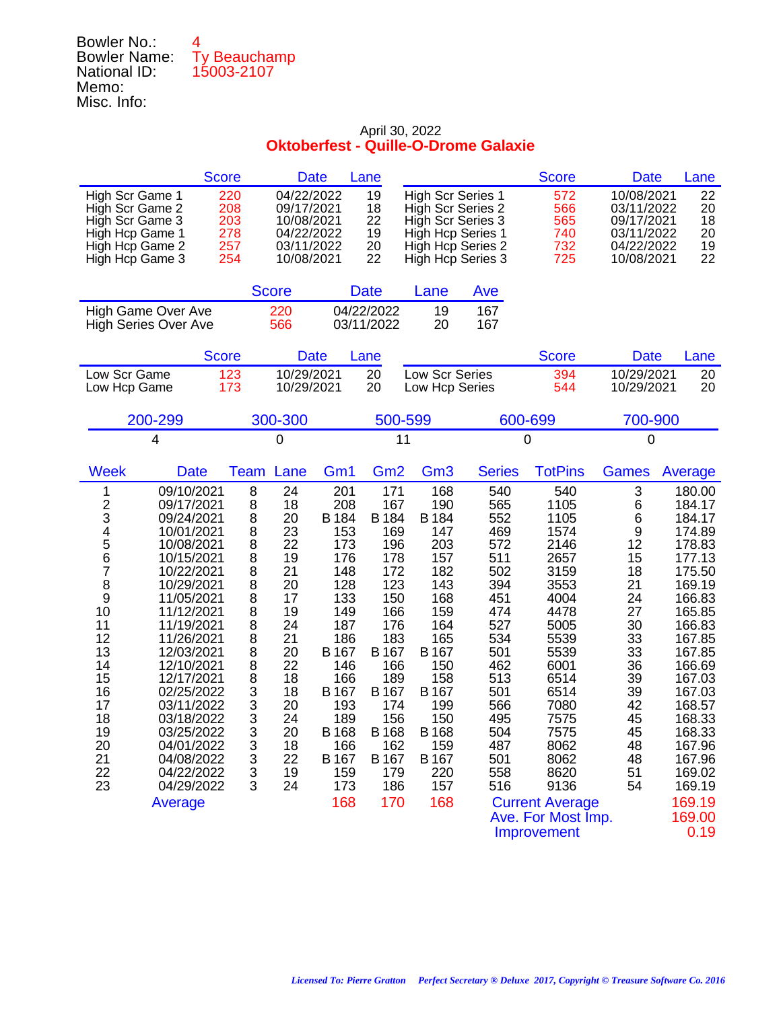### Bowler No.: 4 Bowler Name: Ty Beauchamp National ID: 15003-2107 Memo: Misc. Info:

|                                                                                                                                                                                                                                                                                                                                                                                                                                                                                   | <b>Score</b>                                                                                                                                                                                                                                                                      | <b>Date</b>                                                                                                                                                                    | Lane                                                                                                                                                                                  |                                                                                                                                                                                |                                                                                                                                                               | <b>Score</b>                                                                                                                                                                                                                                       | <b>Date</b>                                                                                                                        | Lane                                                                                                                                                                                                                                                           |
|-----------------------------------------------------------------------------------------------------------------------------------------------------------------------------------------------------------------------------------------------------------------------------------------------------------------------------------------------------------------------------------------------------------------------------------------------------------------------------------|-----------------------------------------------------------------------------------------------------------------------------------------------------------------------------------------------------------------------------------------------------------------------------------|--------------------------------------------------------------------------------------------------------------------------------------------------------------------------------|---------------------------------------------------------------------------------------------------------------------------------------------------------------------------------------|--------------------------------------------------------------------------------------------------------------------------------------------------------------------------------|---------------------------------------------------------------------------------------------------------------------------------------------------------------|----------------------------------------------------------------------------------------------------------------------------------------------------------------------------------------------------------------------------------------------------|------------------------------------------------------------------------------------------------------------------------------------|----------------------------------------------------------------------------------------------------------------------------------------------------------------------------------------------------------------------------------------------------------------|
| High Scr Game 1<br>High Scr Game 2<br>High Scr Game 3<br>High Hcp Game 1<br>High Hcp Game 2<br>High Hcp Game 3                                                                                                                                                                                                                                                                                                                                                                    | 04/22/2022<br>220<br>208<br>09/17/2021<br>203<br>10/08/2021<br>278<br>04/22/2022<br>257<br>03/11/2022<br>254<br>10/08/2021                                                                                                                                                        |                                                                                                                                                                                | 19<br>18<br>22<br>19<br>20<br>22                                                                                                                                                      | <b>High Scr Series 1</b><br>High Scr Series 2<br>High Scr Series 3<br>High Hcp Series 1<br>High Hcp Series 2<br>High Hcp Series 3                                              |                                                                                                                                                               | 572<br>566<br>565<br>740<br>732<br>725                                                                                                                                                                                                             | 10/08/2021<br>03/11/2022<br>09/17/2021<br>03/11/2022<br>04/22/2022<br>10/08/2021                                                   | 22<br>20<br>18<br>20<br>19<br>22                                                                                                                                                                                                                               |
|                                                                                                                                                                                                                                                                                                                                                                                                                                                                                   | <b>Score</b>                                                                                                                                                                                                                                                                      |                                                                                                                                                                                | <b>Date</b>                                                                                                                                                                           | Lane                                                                                                                                                                           | Ave                                                                                                                                                           |                                                                                                                                                                                                                                                    |                                                                                                                                    |                                                                                                                                                                                                                                                                |
| High Game Over Ave<br><b>High Series Over Ave</b>                                                                                                                                                                                                                                                                                                                                                                                                                                 | 220<br>566                                                                                                                                                                                                                                                                        |                                                                                                                                                                                | 04/22/2022<br>03/11/2022                                                                                                                                                              | 19<br>20                                                                                                                                                                       | 167<br>167                                                                                                                                                    |                                                                                                                                                                                                                                                    |                                                                                                                                    |                                                                                                                                                                                                                                                                |
|                                                                                                                                                                                                                                                                                                                                                                                                                                                                                   | <b>Score</b>                                                                                                                                                                                                                                                                      | <b>Date</b>                                                                                                                                                                    | Lane                                                                                                                                                                                  |                                                                                                                                                                                |                                                                                                                                                               | <b>Score</b>                                                                                                                                                                                                                                       | <b>Date</b>                                                                                                                        | Lane                                                                                                                                                                                                                                                           |
| Low Scr Game<br>Low Hcp Game                                                                                                                                                                                                                                                                                                                                                                                                                                                      | 10/29/2021<br>123<br>173<br>10/29/2021                                                                                                                                                                                                                                            |                                                                                                                                                                                | 20<br>20                                                                                                                                                                              | Low Scr Series<br>Low Hcp Series                                                                                                                                               |                                                                                                                                                               | 394<br>544                                                                                                                                                                                                                                         | 10/29/2021<br>10/29/2021                                                                                                           | 20<br>20                                                                                                                                                                                                                                                       |
| 200-299                                                                                                                                                                                                                                                                                                                                                                                                                                                                           | 300-300                                                                                                                                                                                                                                                                           |                                                                                                                                                                                | 500-599                                                                                                                                                                               |                                                                                                                                                                                |                                                                                                                                                               | 600-699                                                                                                                                                                                                                                            | 700-900                                                                                                                            |                                                                                                                                                                                                                                                                |
| 4                                                                                                                                                                                                                                                                                                                                                                                                                                                                                 | 0                                                                                                                                                                                                                                                                                 |                                                                                                                                                                                | 11                                                                                                                                                                                    |                                                                                                                                                                                |                                                                                                                                                               | 0                                                                                                                                                                                                                                                  | 0                                                                                                                                  |                                                                                                                                                                                                                                                                |
| <b>Week</b><br><b>Date</b>                                                                                                                                                                                                                                                                                                                                                                                                                                                        | <b>Team</b><br>Lane                                                                                                                                                                                                                                                               | Gm1                                                                                                                                                                            | Gm <sub>2</sub>                                                                                                                                                                       | Gm <sub>3</sub>                                                                                                                                                                | <b>Series</b>                                                                                                                                                 | <b>TotPins</b>                                                                                                                                                                                                                                     | <b>Games</b>                                                                                                                       | Average                                                                                                                                                                                                                                                        |
| 09/10/2021<br>1<br>$\frac{2}{3}$<br>09/17/2021<br>09/24/2021<br>4<br>5<br>10/01/2021<br>10/08/2021<br>6<br>10/15/2021<br>7<br>10/22/2021<br>8<br>10/29/2021<br>9<br>11/05/2021<br>10<br>11/12/2021<br>11<br>11/19/2021<br>12<br>11/26/2021<br>13<br>12/03/2021<br>14<br>12/10/2021<br>15<br>12/17/2021<br>16<br>02/25/2022<br>17<br>03/11/2022<br>18<br>03/18/2022<br>19<br>03/25/2022<br>20<br>04/01/2022<br>21<br>04/08/2022<br>22<br>04/22/2022<br>23<br>04/29/2022<br>Average | 8<br>24<br>8<br>18<br>8<br>20<br>8<br>23<br>8<br>22<br>8<br>19<br>8<br>21<br>8<br>20<br>8<br>17<br>8<br>19<br>8<br>24<br>8<br>21<br>8<br>20<br>8<br>22<br>8<br>18<br>3<br>18<br>3<br>20<br>3<br>24<br>3<br>20<br>3<br>18<br>$\ensuremath{\mathsf{3}}$<br>22<br>3<br>19<br>3<br>24 | 201<br>208<br>B 184<br>153<br>173<br>176<br>148<br>128<br>133<br>149<br>187<br>186<br>B 167<br>146<br>166<br>B 167<br>193<br>189<br>B 168<br>166<br>B 167<br>159<br>173<br>168 | 171<br>167<br>B 184<br>169<br>196<br>178<br>172<br>123<br>150<br>166<br>176<br>183<br>B 167<br>166<br>189<br>B 167<br>174<br>156<br><b>B</b> 168<br>162<br>B 167<br>179<br>186<br>170 | 168<br>190<br>B 184<br>147<br>203<br>157<br>182<br>143<br>168<br>159<br>164<br>165<br>B 167<br>150<br>158<br>B 167<br>199<br>150<br>B 168<br>159<br>B 167<br>220<br>157<br>168 | 540<br>565<br>552<br>469<br>572<br>511<br>502<br>394<br>451<br>474<br>527<br>534<br>501<br>462<br>513<br>501<br>566<br>495<br>504<br>487<br>501<br>558<br>516 | 540<br>1105<br>1105<br>1574<br>2146<br>2657<br>3159<br>3553<br>4004<br>4478<br>5005<br>5539<br>5539<br>6001<br>6514<br>6514<br>7080<br>7575<br>7575<br>8062<br>8062<br>8620<br>9136<br><b>Current Average</b><br>Ave. For Most Imp.<br>Improvement | 3<br>6<br>6<br>9<br>12<br>15<br>18<br>21<br>24<br>27<br>30<br>33<br>33<br>36<br>39<br>39<br>42<br>45<br>45<br>48<br>48<br>51<br>54 | 180.00<br>184.17<br>184.17<br>174.89<br>178.83<br>177.13<br>175.50<br>169.19<br>166.83<br>165.85<br>166.83<br>167.85<br>167.85<br>166.69<br>167.03<br>167.03<br>168.57<br>168.33<br>168.33<br>167.96<br>167.96<br>169.02<br>169.19<br>169.19<br>169.00<br>0.19 |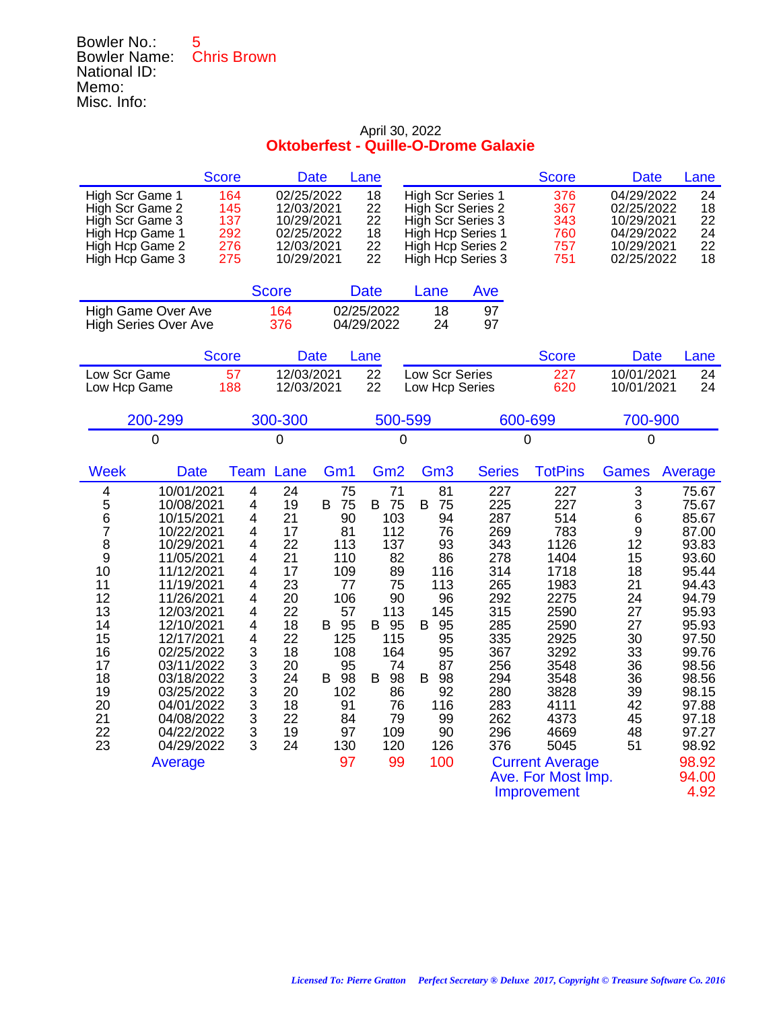## Bowler No.: 5 Bowler Name: Chris Brown National ID: Memo: Misc. Info:

|                                                                                                                                                                                                                                                                                                                                                                                                                                | <b>Score</b>                                                                                                                                        | <b>Date</b>                                                                                                                         |                                                                                                                                    | Lane                                                                                                                                              |                                                                                                                                                 |                                                                                                                                          | <b>Score</b>                                                                                                                                                                                                            | <b>Date</b>                                                                                                                     | Lane                                                                                                                                                                                                       |
|--------------------------------------------------------------------------------------------------------------------------------------------------------------------------------------------------------------------------------------------------------------------------------------------------------------------------------------------------------------------------------------------------------------------------------|-----------------------------------------------------------------------------------------------------------------------------------------------------|-------------------------------------------------------------------------------------------------------------------------------------|------------------------------------------------------------------------------------------------------------------------------------|---------------------------------------------------------------------------------------------------------------------------------------------------|-------------------------------------------------------------------------------------------------------------------------------------------------|------------------------------------------------------------------------------------------------------------------------------------------|-------------------------------------------------------------------------------------------------------------------------------------------------------------------------------------------------------------------------|---------------------------------------------------------------------------------------------------------------------------------|------------------------------------------------------------------------------------------------------------------------------------------------------------------------------------------------------------|
| High Scr Game 1<br>High Scr Game 2<br>High Scr Game 3<br>High Hcp Game 1<br>High Hcp Game 2<br>High Hcp Game 3                                                                                                                                                                                                                                                                                                                 | 164<br>145<br>137<br>292<br>276<br>275                                                                                                              | 02/25/2022<br>12/03/2021<br>10/29/2021<br>02/25/2022<br>12/03/2021<br>10/29/2021                                                    |                                                                                                                                    | 18<br>22<br>22<br>18<br>22<br>22                                                                                                                  | <b>High Scr Series 1</b><br>High Scr Series 2<br>High Scr Series 3<br><b>High Hcp Series 1</b>                                                  | High Hcp Series 2<br>High Hcp Series 3                                                                                                   | 376<br>367<br>343<br>760<br>757<br>751                                                                                                                                                                                  | 04/29/2022<br>02/25/2022<br>10/29/2021<br>04/29/2022<br>10/29/2021<br>02/25/2022                                                | 24<br>18<br>22<br>24<br>22<br>18                                                                                                                                                                           |
|                                                                                                                                                                                                                                                                                                                                                                                                                                |                                                                                                                                                     | <b>Score</b>                                                                                                                        |                                                                                                                                    | <b>Date</b>                                                                                                                                       | Lane                                                                                                                                            | Ave                                                                                                                                      |                                                                                                                                                                                                                         |                                                                                                                                 |                                                                                                                                                                                                            |
| <b>High Game Over Ave</b><br><b>High Series Over Ave</b>                                                                                                                                                                                                                                                                                                                                                                       |                                                                                                                                                     | 164<br>376                                                                                                                          |                                                                                                                                    | 02/25/2022<br>04/29/2022                                                                                                                          | 18<br>24                                                                                                                                        | 97<br>97                                                                                                                                 |                                                                                                                                                                                                                         |                                                                                                                                 |                                                                                                                                                                                                            |
|                                                                                                                                                                                                                                                                                                                                                                                                                                | <b>Score</b>                                                                                                                                        | <b>Date</b>                                                                                                                         |                                                                                                                                    | Lane                                                                                                                                              |                                                                                                                                                 |                                                                                                                                          | <b>Score</b>                                                                                                                                                                                                            | <b>Date</b>                                                                                                                     | Lane                                                                                                                                                                                                       |
| Low Scr Game<br>Low Hcp Game                                                                                                                                                                                                                                                                                                                                                                                                   | 57<br>188                                                                                                                                           | 12/03/2021<br>12/03/2021                                                                                                            |                                                                                                                                    | 22<br>22                                                                                                                                          | Low Scr Series<br>Low Hcp Series                                                                                                                |                                                                                                                                          | 227<br>620                                                                                                                                                                                                              | 10/01/2021<br>10/01/2021                                                                                                        | 24<br>24                                                                                                                                                                                                   |
| 200-299                                                                                                                                                                                                                                                                                                                                                                                                                        |                                                                                                                                                     | 300-300                                                                                                                             |                                                                                                                                    | 500-599                                                                                                                                           |                                                                                                                                                 |                                                                                                                                          | 600-699                                                                                                                                                                                                                 | 700-900                                                                                                                         |                                                                                                                                                                                                            |
| $\mathbf 0$                                                                                                                                                                                                                                                                                                                                                                                                                    |                                                                                                                                                     | $\mathbf 0$                                                                                                                         |                                                                                                                                    | 0                                                                                                                                                 |                                                                                                                                                 |                                                                                                                                          | $\boldsymbol{0}$                                                                                                                                                                                                        | 0                                                                                                                               |                                                                                                                                                                                                            |
| <b>Week</b><br><b>Date</b>                                                                                                                                                                                                                                                                                                                                                                                                     | <b>Team</b>                                                                                                                                         | Lane                                                                                                                                | Gm <sub>1</sub>                                                                                                                    | Gm <sub>2</sub>                                                                                                                                   | Gm <sub>3</sub>                                                                                                                                 | <b>Series</b>                                                                                                                            | <b>TotPins</b>                                                                                                                                                                                                          | <b>Games</b>                                                                                                                    | Average                                                                                                                                                                                                    |
| 10/01/2021<br>4<br>5<br>10/08/2021<br>6<br>10/15/2021<br>$\overline{7}$<br>10/22/2021<br>8<br>10/29/2021<br>9<br>11/05/2021<br>10<br>11/12/2021<br>11<br>11/19/2021<br>12<br>11/26/2021<br>13<br>12/03/2021<br>14<br>12/10/2021<br>15<br>12/17/2021<br>16<br>02/25/2022<br>17<br>03/11/2022<br>18<br>03/18/2022<br>19<br>03/25/2022<br>20<br>04/01/2022<br>21<br>04/08/2022<br>22<br>04/22/2022<br>23<br>04/29/2022<br>Average | 4<br>4<br>4<br>4<br>4<br>4<br>4<br>4<br>4<br>4<br>4<br>$\overline{\mathbf{4}}$<br>3 <sub>3</sub><br>3<br>$\overline{3}$<br>3<br>$\overline{3}$<br>3 | 24<br>19<br>B<br>21<br>17<br>22<br>21<br>17<br>23<br>20<br>22<br>18<br>B<br>22<br>18<br>20<br>24<br>B<br>20<br>18<br>22<br>19<br>24 | 75<br>75<br>90<br>81<br>113<br>110<br>109<br>77<br>106<br>57<br>95<br>125<br>108<br>95<br>98<br>102<br>91<br>84<br>97<br>130<br>97 | 71<br>75<br>B<br>103<br>112<br>137<br>82<br>89<br>75<br>90<br>113<br>95<br>B<br>115<br>164<br>74<br>98<br>B<br>86<br>76<br>79<br>109<br>120<br>99 | 81<br>B<br>75<br>94<br>76<br>93<br>86<br>116<br>113<br>96<br>145<br>95<br>B<br>95<br>95<br>87<br>B<br>98<br>92<br>116<br>99<br>90<br>126<br>100 | 227<br>225<br>287<br>269<br>343<br>278<br>314<br>265<br>292<br>315<br>285<br>335<br>367<br>256<br>294<br>280<br>283<br>262<br>296<br>376 | 227<br>227<br>514<br>783<br>1126<br>1404<br>1718<br>1983<br>2275<br>2590<br>2590<br>2925<br>3292<br>3548<br>3548<br>3828<br>4111<br>4373<br>4669<br>5045<br><b>Current Average</b><br>Ave. For Most Imp.<br>Improvement | 3<br>3<br>6<br>$\boldsymbol{9}$<br>12<br>15<br>18<br>21<br>24<br>27<br>27<br>30<br>33<br>36<br>36<br>39<br>42<br>45<br>48<br>51 | 75.67<br>75.67<br>85.67<br>87.00<br>93.83<br>93.60<br>95.44<br>94.43<br>94.79<br>95.93<br>95.93<br>97.50<br>99.76<br>98.56<br>98.56<br>98.15<br>97.88<br>97.18<br>97.27<br>98.92<br>98.92<br>94.00<br>4.92 |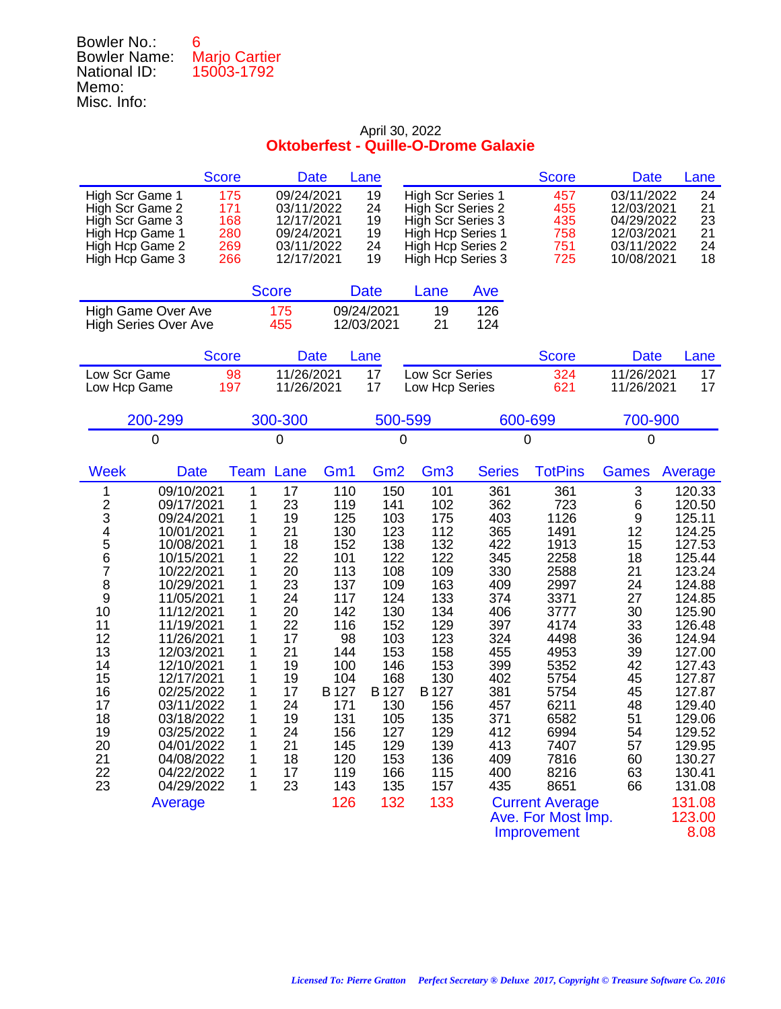| Bowler No.:         | 6                    |
|---------------------|----------------------|
| <b>Bowler Name:</b> | <b>Marjo Cartier</b> |
| National ID:        | 15003-1792           |
| Memo:               |                      |
| Misc. Info:         |                      |

|                                                                                                                                                                                                                                                                                                                                                                                                                                                                                                  | <b>Score</b>                                                                                                                                                                                                                                              | <b>Date</b>                                                                                                                                                           | Lane                                                                                                                                                                   |                                                                                                                                                                        |                                                                                                                                                               | <b>Score</b>                                                                                                                                                                                                                                      | <b>Date</b>                                                                                                                         | Lane                                                                                                                                                                                                                                                           |
|--------------------------------------------------------------------------------------------------------------------------------------------------------------------------------------------------------------------------------------------------------------------------------------------------------------------------------------------------------------------------------------------------------------------------------------------------------------------------------------------------|-----------------------------------------------------------------------------------------------------------------------------------------------------------------------------------------------------------------------------------------------------------|-----------------------------------------------------------------------------------------------------------------------------------------------------------------------|------------------------------------------------------------------------------------------------------------------------------------------------------------------------|------------------------------------------------------------------------------------------------------------------------------------------------------------------------|---------------------------------------------------------------------------------------------------------------------------------------------------------------|---------------------------------------------------------------------------------------------------------------------------------------------------------------------------------------------------------------------------------------------------|-------------------------------------------------------------------------------------------------------------------------------------|----------------------------------------------------------------------------------------------------------------------------------------------------------------------------------------------------------------------------------------------------------------|
| High Scr Game 1<br>High Scr Game 2<br>High Scr Game 3<br>High Hcp Game 1<br>High Hcp Game 2<br>High Hcp Game 3                                                                                                                                                                                                                                                                                                                                                                                   | 09/24/2021<br>175<br>171<br>03/11/2022<br>168<br>12/17/2021<br>280<br>09/24/2021<br>269<br>03/11/2022<br>266<br>12/17/2021                                                                                                                                |                                                                                                                                                                       | 19<br>24<br>19<br>19<br>24<br>19                                                                                                                                       | <b>High Scr Series 1</b><br>High Scr Series 2<br>High Scr Series 3<br>High Hcp Series 1<br>High Hcp Series 2<br>High Hcp Series 3                                      |                                                                                                                                                               | 457<br>455<br>435<br>758<br>751<br>725                                                                                                                                                                                                            | 03/11/2022<br>12/03/2021<br>04/29/2022<br>12/03/2021<br>03/11/2022<br>10/08/2021                                                    | 24<br>21<br>23<br>21<br>24<br>18                                                                                                                                                                                                                               |
|                                                                                                                                                                                                                                                                                                                                                                                                                                                                                                  | <b>Score</b>                                                                                                                                                                                                                                              |                                                                                                                                                                       | <b>Date</b>                                                                                                                                                            | Lane                                                                                                                                                                   | Ave                                                                                                                                                           |                                                                                                                                                                                                                                                   |                                                                                                                                     |                                                                                                                                                                                                                                                                |
| High Game Over Ave<br><b>High Series Over Ave</b>                                                                                                                                                                                                                                                                                                                                                                                                                                                | 175<br>455                                                                                                                                                                                                                                                |                                                                                                                                                                       | 09/24/2021<br>12/03/2021                                                                                                                                               | 19<br>21                                                                                                                                                               | 126<br>124                                                                                                                                                    |                                                                                                                                                                                                                                                   |                                                                                                                                     |                                                                                                                                                                                                                                                                |
|                                                                                                                                                                                                                                                                                                                                                                                                                                                                                                  | <b>Score</b>                                                                                                                                                                                                                                              | <b>Date</b>                                                                                                                                                           | Lane                                                                                                                                                                   |                                                                                                                                                                        |                                                                                                                                                               | <b>Score</b>                                                                                                                                                                                                                                      | <b>Date</b>                                                                                                                         | Lane                                                                                                                                                                                                                                                           |
| Low Scr Game<br>Low Hcp Game                                                                                                                                                                                                                                                                                                                                                                                                                                                                     | 11/26/2021<br>98<br>197<br>11/26/2021                                                                                                                                                                                                                     |                                                                                                                                                                       | 17<br>17                                                                                                                                                               | Low Scr Series<br>Low Hcp Series                                                                                                                                       |                                                                                                                                                               | 324<br>621                                                                                                                                                                                                                                        | 11/26/2021<br>11/26/2021                                                                                                            | 17<br>17                                                                                                                                                                                                                                                       |
| 200-299                                                                                                                                                                                                                                                                                                                                                                                                                                                                                          | 300-300                                                                                                                                                                                                                                                   |                                                                                                                                                                       | 500-599                                                                                                                                                                |                                                                                                                                                                        |                                                                                                                                                               | 600-699                                                                                                                                                                                                                                           | 700-900                                                                                                                             |                                                                                                                                                                                                                                                                |
| 0                                                                                                                                                                                                                                                                                                                                                                                                                                                                                                | 0                                                                                                                                                                                                                                                         |                                                                                                                                                                       | 0                                                                                                                                                                      |                                                                                                                                                                        |                                                                                                                                                               | 0                                                                                                                                                                                                                                                 | $\mathbf 0$                                                                                                                         |                                                                                                                                                                                                                                                                |
| <b>Week</b><br><b>Date</b>                                                                                                                                                                                                                                                                                                                                                                                                                                                                       | Lane<br>Team                                                                                                                                                                                                                                              | Gm1                                                                                                                                                                   | Gm <sub>2</sub>                                                                                                                                                        | Gm <sub>3</sub>                                                                                                                                                        | <b>Series</b>                                                                                                                                                 | <b>TotPins</b>                                                                                                                                                                                                                                    | <b>Games</b>                                                                                                                        | Average                                                                                                                                                                                                                                                        |
| 09/10/2021<br>1<br>$\frac{2}{3}$<br>09/17/2021<br>09/24/2021<br>4<br>5<br>10/01/2021<br>10/08/2021<br>6<br>10/15/2021<br>7<br>10/22/2021<br>8<br>10/29/2021<br>$\boldsymbol{9}$<br>11/05/2021<br>10<br>11/12/2021<br>11<br>11/19/2021<br>12<br>11/26/2021<br>13<br>12/03/2021<br>14<br>12/10/2021<br>15<br>12/17/2021<br>16<br>02/25/2022<br>17<br>03/11/2022<br>18<br>03/18/2022<br>19<br>03/25/2022<br>20<br>04/01/2022<br>21<br>04/08/2022<br>22<br>04/22/2022<br>23<br>04/29/2022<br>Average | 1<br>17<br>1<br>23<br>19<br>1<br>1<br>21<br>18<br>1<br>22<br>1<br>20<br>1<br>23<br>1<br>24<br>1<br>1<br>20<br>1<br>22<br>1<br>17<br>1<br>21<br>1<br>19<br>1<br>19<br>17<br>1<br>1<br>24<br>1<br>19<br>1<br>24<br>1<br>21<br>18<br>1<br>17<br>1<br>23<br>1 | 110<br>119<br>125<br>130<br>152<br>101<br>113<br>137<br>117<br>142<br>116<br>98<br>144<br>100<br>104<br>B 127<br>171<br>131<br>156<br>145<br>120<br>119<br>143<br>126 | 150<br>141<br>103<br>123<br>138<br>122<br>108<br>109<br>124<br>130<br>152<br>103<br>153<br>146<br>168<br>B 127<br>130<br>105<br>127<br>129<br>153<br>166<br>135<br>132 | 101<br>102<br>175<br>112<br>132<br>122<br>109<br>163<br>133<br>134<br>129<br>123<br>158<br>153<br>130<br>B 127<br>156<br>135<br>129<br>139<br>136<br>115<br>157<br>133 | 361<br>362<br>403<br>365<br>422<br>345<br>330<br>409<br>374<br>406<br>397<br>324<br>455<br>399<br>402<br>381<br>457<br>371<br>412<br>413<br>409<br>400<br>435 | 361<br>723<br>1126<br>1491<br>1913<br>2258<br>2588<br>2997<br>3371<br>3777<br>4174<br>4498<br>4953<br>5352<br>5754<br>5754<br>6211<br>6582<br>6994<br>7407<br>7816<br>8216<br>8651<br><b>Current Average</b><br>Ave. For Most Imp.<br>Improvement | 3<br>6<br>9<br>12<br>15<br>18<br>21<br>24<br>27<br>30<br>33<br>36<br>39<br>42<br>45<br>45<br>48<br>51<br>54<br>57<br>60<br>63<br>66 | 120.33<br>120.50<br>125.11<br>124.25<br>127.53<br>125.44<br>123.24<br>124.88<br>124.85<br>125.90<br>126.48<br>124.94<br>127.00<br>127.43<br>127.87<br>127.87<br>129.40<br>129.06<br>129.52<br>129.95<br>130.27<br>130.41<br>131.08<br>131.08<br>123.00<br>8.08 |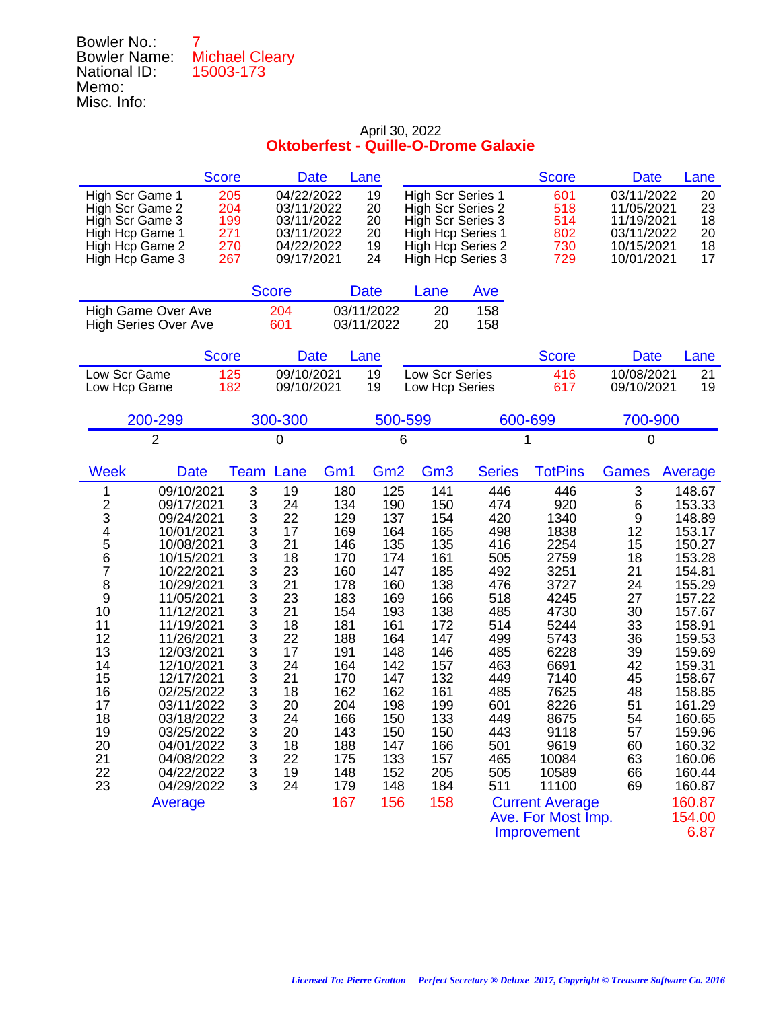| Bowler No.:         |                       |
|---------------------|-----------------------|
| <b>Bowler Name:</b> | <b>Michael Cleary</b> |
| National ID:        | 15003-173             |
| Memo:               |                       |
| Misc. Info:         |                       |

| <b>Score</b>                                                                                                                                                                                                                                                                                                                                                                                                                                                                      | <b>Date</b>                                                                                                                                                                                                                                                                                                                                                                                                                                                                                   | Lane                                                                                                                                                                                                                                                                                                                                         | <b>Score</b>                                                                                                                                                                                                                                                                                                                                                                                                          | <b>Date</b><br>Lane                                                                                                                                                                                                                                                                                                                                                                                   |
|-----------------------------------------------------------------------------------------------------------------------------------------------------------------------------------------------------------------------------------------------------------------------------------------------------------------------------------------------------------------------------------------------------------------------------------------------------------------------------------|-----------------------------------------------------------------------------------------------------------------------------------------------------------------------------------------------------------------------------------------------------------------------------------------------------------------------------------------------------------------------------------------------------------------------------------------------------------------------------------------------|----------------------------------------------------------------------------------------------------------------------------------------------------------------------------------------------------------------------------------------------------------------------------------------------------------------------------------------------|-----------------------------------------------------------------------------------------------------------------------------------------------------------------------------------------------------------------------------------------------------------------------------------------------------------------------------------------------------------------------------------------------------------------------|-------------------------------------------------------------------------------------------------------------------------------------------------------------------------------------------------------------------------------------------------------------------------------------------------------------------------------------------------------------------------------------------------------|
| High Scr Game 1<br>205<br>High Scr Game 2<br>204<br>High Scr Game 3<br>199<br>271<br>High Hcp Game 1<br>270<br>High Hcp Game 2<br>267<br>High Hcp Game 3                                                                                                                                                                                                                                                                                                                          | 04/22/2022<br>03/11/2022<br>03/11/2022<br>03/11/2022<br>04/22/2022<br>09/17/2021                                                                                                                                                                                                                                                                                                                                                                                                              | 19<br><b>High Scr Series 1</b><br>20<br>High Scr Series 2<br>20<br>High Scr Series 3<br>20<br>High Hcp Series 1<br>19<br>High Hcp Series 2<br>24<br>High Hcp Series 3                                                                                                                                                                        | 601<br>518<br>514<br>802<br>730<br>729                                                                                                                                                                                                                                                                                                                                                                                | 03/11/2022<br>20<br>23<br>11/05/2021<br>11/19/2021<br>18<br>20<br>03/11/2022<br>18<br>10/15/2021<br>10/01/2021<br>17                                                                                                                                                                                                                                                                                  |
|                                                                                                                                                                                                                                                                                                                                                                                                                                                                                   | <b>Score</b>                                                                                                                                                                                                                                                                                                                                                                                                                                                                                  | <b>Date</b><br>Lane                                                                                                                                                                                                                                                                                                                          | Ave                                                                                                                                                                                                                                                                                                                                                                                                                   |                                                                                                                                                                                                                                                                                                                                                                                                       |
| High Game Over Ave<br><b>High Series Over Ave</b>                                                                                                                                                                                                                                                                                                                                                                                                                                 | 204<br>601                                                                                                                                                                                                                                                                                                                                                                                                                                                                                    | 03/11/2022<br>20<br>03/11/2022<br>20                                                                                                                                                                                                                                                                                                         | 158<br>158                                                                                                                                                                                                                                                                                                                                                                                                            |                                                                                                                                                                                                                                                                                                                                                                                                       |
| <b>Score</b>                                                                                                                                                                                                                                                                                                                                                                                                                                                                      | <b>Date</b>                                                                                                                                                                                                                                                                                                                                                                                                                                                                                   | Lane                                                                                                                                                                                                                                                                                                                                         | <b>Score</b>                                                                                                                                                                                                                                                                                                                                                                                                          | <b>Date</b><br>Lane                                                                                                                                                                                                                                                                                                                                                                                   |
| Low Scr Game<br>125<br>182<br>Low Hcp Game                                                                                                                                                                                                                                                                                                                                                                                                                                        | 09/10/2021<br>09/10/2021                                                                                                                                                                                                                                                                                                                                                                                                                                                                      | 19<br>Low Scr Series<br>19<br>Low Hcp Series                                                                                                                                                                                                                                                                                                 | 416<br>617                                                                                                                                                                                                                                                                                                                                                                                                            | 10/08/2021<br>21<br>19<br>09/10/2021                                                                                                                                                                                                                                                                                                                                                                  |
| 200-299                                                                                                                                                                                                                                                                                                                                                                                                                                                                           | 300-300                                                                                                                                                                                                                                                                                                                                                                                                                                                                                       | 500-599                                                                                                                                                                                                                                                                                                                                      | 600-699                                                                                                                                                                                                                                                                                                                                                                                                               | 700-900                                                                                                                                                                                                                                                                                                                                                                                               |
| $\overline{2}$                                                                                                                                                                                                                                                                                                                                                                                                                                                                    | 0                                                                                                                                                                                                                                                                                                                                                                                                                                                                                             | 6                                                                                                                                                                                                                                                                                                                                            | 1                                                                                                                                                                                                                                                                                                                                                                                                                     | $\mathbf 0$                                                                                                                                                                                                                                                                                                                                                                                           |
| <b>Week</b><br><b>Date</b>                                                                                                                                                                                                                                                                                                                                                                                                                                                        | Lane<br>Team<br>Gm <sub>1</sub>                                                                                                                                                                                                                                                                                                                                                                                                                                                               | Gm <sub>2</sub><br>Gm <sub>3</sub>                                                                                                                                                                                                                                                                                                           | <b>TotPins</b><br><b>Series</b>                                                                                                                                                                                                                                                                                                                                                                                       | <b>Games</b><br>Average                                                                                                                                                                                                                                                                                                                                                                               |
| 09/10/2021<br>1<br>$\frac{2}{3}$<br>09/17/2021<br>09/24/2021<br>4<br>5<br>10/01/2021<br>10/08/2021<br>6<br>10/15/2021<br>7<br>10/22/2021<br>8<br>10/29/2021<br>9<br>11/05/2021<br>10<br>11/12/2021<br>11<br>11/19/2021<br>12<br>11/26/2021<br>13<br>12/03/2021<br>14<br>12/10/2021<br>15<br>12/17/2021<br>16<br>02/25/2022<br>17<br>03/11/2022<br>18<br>03/18/2022<br>19<br>03/25/2022<br>20<br>04/01/2022<br>21<br>04/08/2022<br>22<br>04/22/2022<br>23<br>04/29/2022<br>Average | 3<br>19<br>180<br>3<br>24<br>134<br>3<br>22<br>129<br>$\begin{array}{c} 3 \\ 3 \\ 3 \end{array}$<br>17<br>169<br>21<br>146<br>18<br>170<br>23<br>160<br>3<br>21<br>178<br>3<br>23<br>183<br>3<br>21<br>154<br>3<br>18<br>181<br>3<br>3<br>3<br>3<br>22<br>188<br>17<br>191<br>24<br>164<br>21<br>170<br>3<br>18<br>162<br>3<br>20<br>204<br>3<br>24<br>166<br>3<br>20<br>143<br>3<br>18<br>188<br>$\ensuremath{\mathsf{3}}$<br>22<br>175<br>$\mathsf 3$<br>19<br>148<br>3<br>24<br>179<br>167 | 125<br>141<br>190<br>150<br>137<br>154<br>165<br>164<br>135<br>135<br>161<br>174<br>185<br>147<br>138<br>160<br>166<br>169<br>138<br>193<br>161<br>172<br>147<br>164<br>146<br>148<br>157<br>142<br>132<br>147<br>162<br>161<br>198<br>199<br>150<br>133<br>150<br>150<br>147<br>166<br>133<br>157<br>205<br>152<br>148<br>184<br>156<br>158 | 446<br>446<br>474<br>920<br>420<br>1340<br>1838<br>498<br>416<br>2254<br>505<br>2759<br>3251<br>492<br>476<br>3727<br>518<br>4245<br>485<br>4730<br>514<br>5244<br>499<br>5743<br>485<br>6228<br>463<br>6691<br>449<br>7140<br>485<br>7625<br>601<br>8226<br>449<br>8675<br>443<br>9118<br>501<br>9619<br>465<br>10084<br>505<br>10589<br>511<br>11100<br><b>Current Average</b><br>Ave. For Most Imp.<br>Improvement | 3<br>148.67<br>6<br>153.33<br>9<br>148.89<br>12<br>153.17<br>15<br>150.27<br>153.28<br>18<br>21<br>154.81<br>24<br>155.29<br>27<br>157.22<br>30<br>157.67<br>33<br>158.91<br>36<br>159.53<br>39<br>159.69<br>42<br>159.31<br>158.67<br>45<br>158.85<br>48<br>51<br>161.29<br>54<br>160.65<br>57<br>159.96<br>60<br>160.32<br>160.06<br>63<br>160.44<br>66<br>69<br>160.87<br>160.87<br>154.00<br>6.87 |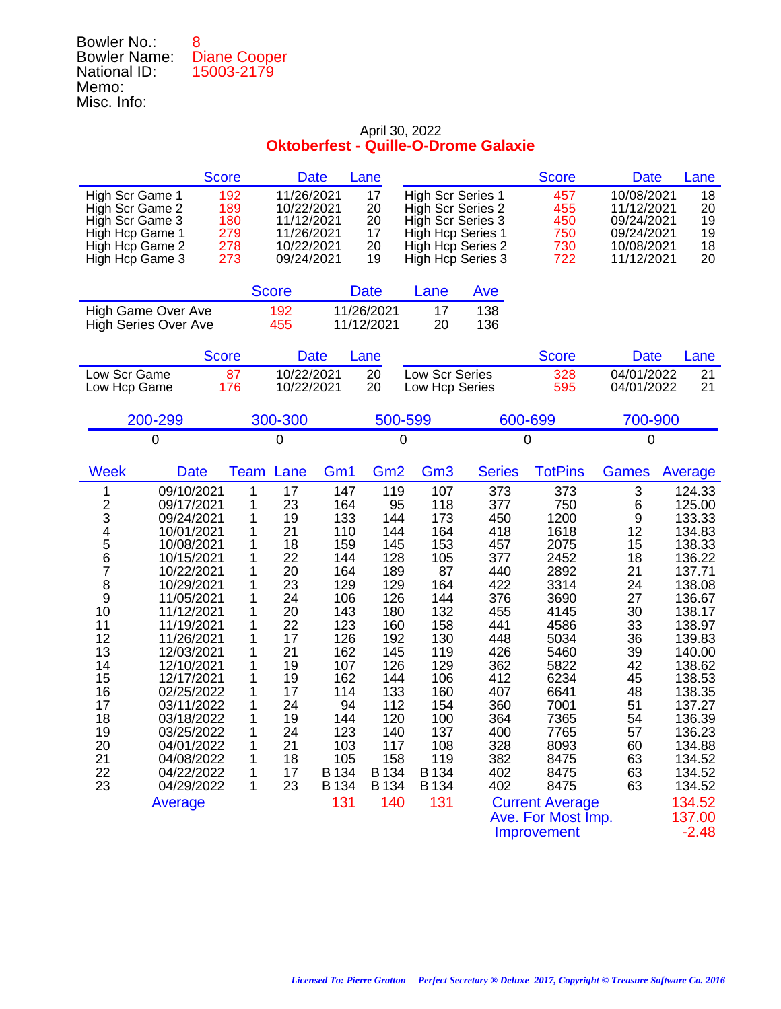| Bowler No.:         | R                   |
|---------------------|---------------------|
| <b>Bowler Name:</b> | <b>Diane Cooper</b> |
| National ID:        | 15003-2179          |
| Memo:               |                     |
| Misc. Info:         |                     |

|                                                                                                                                                                                                                                                                                                                                                                                                                                                                                   | <b>Score</b>                                                                                                    | <b>Date</b>                                                                                                                            |                                                                                                                                                                         | Lane                                                                                                                                                                    |                                                                                                                                                                         |                                                                                                                                                               | <b>Score</b>                                                                                                                                                                                                                                      | <b>Date</b>                                                                                                                         | Lane                                                                                                                                                                                                                                                              |
|-----------------------------------------------------------------------------------------------------------------------------------------------------------------------------------------------------------------------------------------------------------------------------------------------------------------------------------------------------------------------------------------------------------------------------------------------------------------------------------|-----------------------------------------------------------------------------------------------------------------|----------------------------------------------------------------------------------------------------------------------------------------|-------------------------------------------------------------------------------------------------------------------------------------------------------------------------|-------------------------------------------------------------------------------------------------------------------------------------------------------------------------|-------------------------------------------------------------------------------------------------------------------------------------------------------------------------|---------------------------------------------------------------------------------------------------------------------------------------------------------------|---------------------------------------------------------------------------------------------------------------------------------------------------------------------------------------------------------------------------------------------------|-------------------------------------------------------------------------------------------------------------------------------------|-------------------------------------------------------------------------------------------------------------------------------------------------------------------------------------------------------------------------------------------------------------------|
| High Scr Game 1<br>High Scr Game 2<br>High Scr Game 3<br>High Hcp Game 1<br>High Hcp Game 2<br>High Hcp Game 3                                                                                                                                                                                                                                                                                                                                                                    | 192<br>189<br>180<br>279<br>278<br>273                                                                          | 11/26/2021<br>10/22/2021<br>11/12/2021<br>11/26/2021<br>10/22/2021<br>09/24/2021                                                       |                                                                                                                                                                         | 17<br>20<br>20<br>17<br>20<br>19                                                                                                                                        | <b>High Scr Series 1</b><br>High Scr Series 2<br>High Scr Series 3<br>High Hcp Series 1<br>High Hcp Series 2<br>High Hcp Series 3                                       |                                                                                                                                                               | 457<br>455<br>450<br>750<br>730<br>722                                                                                                                                                                                                            | 10/08/2021<br>11/12/2021<br>09/24/2021<br>09/24/2021<br>10/08/2021<br>11/12/2021                                                    | 18<br>20<br>19<br>19<br>18<br>20                                                                                                                                                                                                                                  |
|                                                                                                                                                                                                                                                                                                                                                                                                                                                                                   | <b>Score</b>                                                                                                    |                                                                                                                                        |                                                                                                                                                                         | <b>Date</b>                                                                                                                                                             | Lane                                                                                                                                                                    | Ave                                                                                                                                                           |                                                                                                                                                                                                                                                   |                                                                                                                                     |                                                                                                                                                                                                                                                                   |
| High Game Over Ave<br><b>High Series Over Ave</b>                                                                                                                                                                                                                                                                                                                                                                                                                                 |                                                                                                                 | 192<br>455                                                                                                                             |                                                                                                                                                                         | 11/26/2021<br>11/12/2021                                                                                                                                                | 17<br>20                                                                                                                                                                | 138<br>136                                                                                                                                                    |                                                                                                                                                                                                                                                   |                                                                                                                                     |                                                                                                                                                                                                                                                                   |
|                                                                                                                                                                                                                                                                                                                                                                                                                                                                                   | <b>Score</b>                                                                                                    | <b>Date</b>                                                                                                                            |                                                                                                                                                                         | Lane                                                                                                                                                                    |                                                                                                                                                                         |                                                                                                                                                               | <b>Score</b>                                                                                                                                                                                                                                      | <b>Date</b>                                                                                                                         | Lane                                                                                                                                                                                                                                                              |
| Low Scr Game<br>Low Hcp Game                                                                                                                                                                                                                                                                                                                                                                                                                                                      | 87<br>176                                                                                                       | 10/22/2021<br>10/22/2021                                                                                                               |                                                                                                                                                                         | 20<br>20                                                                                                                                                                | Low Scr Series<br>Low Hcp Series                                                                                                                                        |                                                                                                                                                               | 328<br>595                                                                                                                                                                                                                                        | 04/01/2022<br>04/01/2022                                                                                                            | 21<br>21                                                                                                                                                                                                                                                          |
| 200-299                                                                                                                                                                                                                                                                                                                                                                                                                                                                           |                                                                                                                 | 300-300                                                                                                                                |                                                                                                                                                                         | 500-599                                                                                                                                                                 |                                                                                                                                                                         |                                                                                                                                                               | 600-699                                                                                                                                                                                                                                           | 700-900                                                                                                                             |                                                                                                                                                                                                                                                                   |
| 0                                                                                                                                                                                                                                                                                                                                                                                                                                                                                 |                                                                                                                 | 0                                                                                                                                      |                                                                                                                                                                         | 0                                                                                                                                                                       |                                                                                                                                                                         |                                                                                                                                                               | 0                                                                                                                                                                                                                                                 | 0                                                                                                                                   |                                                                                                                                                                                                                                                                   |
| <b>Week</b><br><b>Date</b>                                                                                                                                                                                                                                                                                                                                                                                                                                                        | <b>Team</b>                                                                                                     | Lane                                                                                                                                   | Gm1                                                                                                                                                                     | Gm <sub>2</sub>                                                                                                                                                         | Gm <sub>3</sub>                                                                                                                                                         | <b>Series</b>                                                                                                                                                 | <b>TotPins</b>                                                                                                                                                                                                                                    | <b>Games</b>                                                                                                                        | Average                                                                                                                                                                                                                                                           |
| 09/10/2021<br>1<br>$\frac{2}{3}$<br>09/17/2021<br>09/24/2021<br>4<br>5<br>10/01/2021<br>10/08/2021<br>6<br>10/15/2021<br>7<br>10/22/2021<br>8<br>10/29/2021<br>9<br>11/05/2021<br>10<br>11/12/2021<br>11<br>11/19/2021<br>12<br>11/26/2021<br>13<br>12/03/2021<br>14<br>12/10/2021<br>15<br>12/17/2021<br>16<br>02/25/2022<br>17<br>03/11/2022<br>18<br>03/18/2022<br>19<br>03/25/2022<br>20<br>04/01/2022<br>21<br>04/08/2022<br>22<br>04/22/2022<br>23<br>04/29/2022<br>Average | 1<br>1<br>1<br>1<br>1<br>1<br>1<br>1<br>1<br>1<br>1<br>1<br>1<br>1<br>1<br>1<br>1<br>1<br>1<br>1<br>1<br>1<br>1 | 17<br>23<br>19<br>21<br>18<br>22<br>20<br>23<br>24<br>20<br>22<br>17<br>21<br>19<br>19<br>17<br>24<br>19<br>24<br>21<br>18<br>17<br>23 | 147<br>164<br>133<br>110<br>159<br>144<br>164<br>129<br>106<br>143<br>123<br>126<br>162<br>107<br>162<br>114<br>94<br>144<br>123<br>103<br>105<br>B 134<br>B 134<br>131 | 119<br>95<br>144<br>144<br>145<br>128<br>189<br>129<br>126<br>180<br>160<br>192<br>145<br>126<br>144<br>133<br>112<br>120<br>140<br>117<br>158<br>B 134<br>B 134<br>140 | 107<br>118<br>173<br>164<br>153<br>105<br>87<br>164<br>144<br>132<br>158<br>130<br>119<br>129<br>106<br>160<br>154<br>100<br>137<br>108<br>119<br>B 134<br>B 134<br>131 | 373<br>377<br>450<br>418<br>457<br>377<br>440<br>422<br>376<br>455<br>441<br>448<br>426<br>362<br>412<br>407<br>360<br>364<br>400<br>328<br>382<br>402<br>402 | 373<br>750<br>1200<br>1618<br>2075<br>2452<br>2892<br>3314<br>3690<br>4145<br>4586<br>5034<br>5460<br>5822<br>6234<br>6641<br>7001<br>7365<br>7765<br>8093<br>8475<br>8475<br>8475<br><b>Current Average</b><br>Ave. For Most Imp.<br>Improvement | 3<br>6<br>9<br>12<br>15<br>18<br>21<br>24<br>27<br>30<br>33<br>36<br>39<br>42<br>45<br>48<br>51<br>54<br>57<br>60<br>63<br>63<br>63 | 124.33<br>125.00<br>133.33<br>134.83<br>138.33<br>136.22<br>137.71<br>138.08<br>136.67<br>138.17<br>138.97<br>139.83<br>140.00<br>138.62<br>138.53<br>138.35<br>137.27<br>136.39<br>136.23<br>134.88<br>134.52<br>134.52<br>134.52<br>134.52<br>137.00<br>$-2.48$ |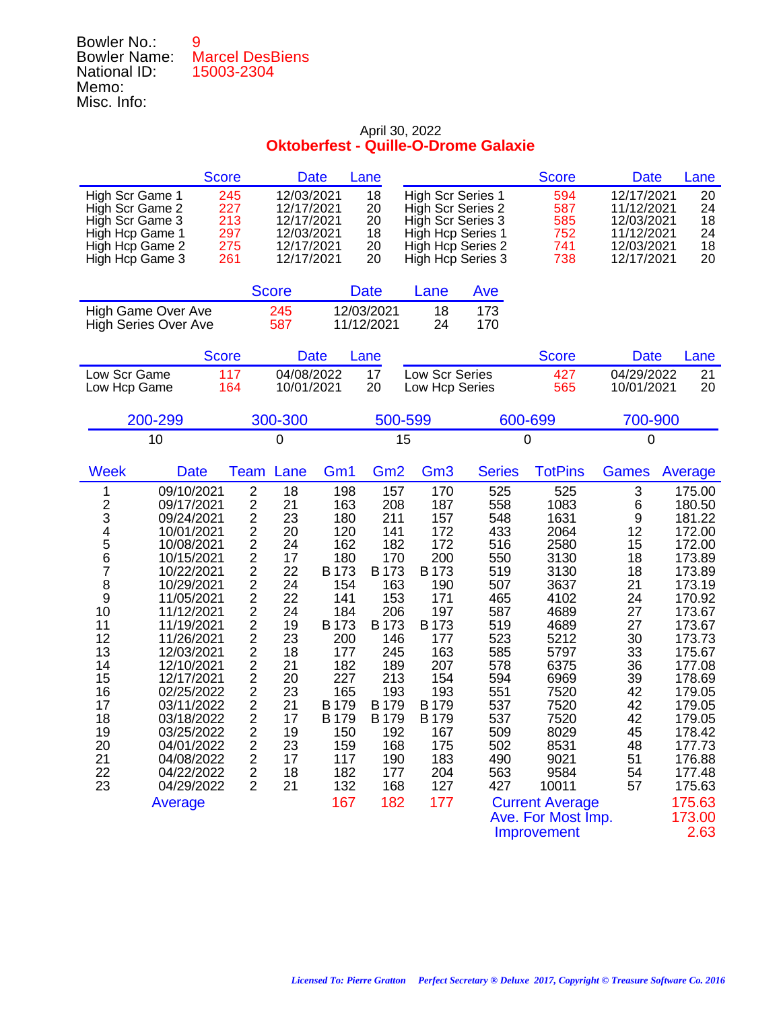## Bowler No.: 9 Bowler Name: Marcel DesBiens National ID: 15003-2304 Memo: Misc. Info:

|                                                                                                                                                                                                                                                                                                                                                                                                                                                                            | <b>Score</b>                                                                                                                                                                                                                      | <b>Date</b>                                                                                                                            |                                                                                                                                                                              | Lane                                                                                                                                                                                       |                                                                                                                                                                              |                                                                                                                                                               | <b>Score</b>                                                                                                                                                                                                                                        | <b>Date</b>                                                                                                                         | Lane                                                                                                                                                                                                                                                           |
|----------------------------------------------------------------------------------------------------------------------------------------------------------------------------------------------------------------------------------------------------------------------------------------------------------------------------------------------------------------------------------------------------------------------------------------------------------------------------|-----------------------------------------------------------------------------------------------------------------------------------------------------------------------------------------------------------------------------------|----------------------------------------------------------------------------------------------------------------------------------------|------------------------------------------------------------------------------------------------------------------------------------------------------------------------------|--------------------------------------------------------------------------------------------------------------------------------------------------------------------------------------------|------------------------------------------------------------------------------------------------------------------------------------------------------------------------------|---------------------------------------------------------------------------------------------------------------------------------------------------------------|-----------------------------------------------------------------------------------------------------------------------------------------------------------------------------------------------------------------------------------------------------|-------------------------------------------------------------------------------------------------------------------------------------|----------------------------------------------------------------------------------------------------------------------------------------------------------------------------------------------------------------------------------------------------------------|
| High Scr Game 1<br>High Scr Game 2<br>High Scr Game 3<br>High Hcp Game 1<br>High Hcp Game 2<br>High Hcp Game 3                                                                                                                                                                                                                                                                                                                                                             | 245<br>227<br>213<br>297<br>275<br>261                                                                                                                                                                                            | 12/03/2021<br>12/17/2021<br>12/17/2021<br>12/03/2021<br>12/17/2021<br>12/17/2021                                                       |                                                                                                                                                                              | 18<br>20<br>20<br>18<br>20<br>20                                                                                                                                                           | <b>High Scr Series 1</b><br>High Scr Series 2<br>High Scr Series 3<br>High Hcp Series 1<br>High Hcp Series 2<br><b>High Hcp Series 3</b>                                     |                                                                                                                                                               | 594<br>587<br>585<br>752<br>741<br>738                                                                                                                                                                                                              | 12/17/2021<br>11/12/2021<br>12/03/2021<br>11/12/2021<br>12/03/2021<br>12/17/2021                                                    | 20<br>24<br>18<br>24<br>18<br>20                                                                                                                                                                                                                               |
|                                                                                                                                                                                                                                                                                                                                                                                                                                                                            |                                                                                                                                                                                                                                   | <b>Score</b>                                                                                                                           |                                                                                                                                                                              | <b>Date</b>                                                                                                                                                                                | Lane                                                                                                                                                                         | Ave                                                                                                                                                           |                                                                                                                                                                                                                                                     |                                                                                                                                     |                                                                                                                                                                                                                                                                |
| <b>High Game Over Ave</b><br><b>High Series Over Ave</b>                                                                                                                                                                                                                                                                                                                                                                                                                   |                                                                                                                                                                                                                                   | 245<br>587                                                                                                                             |                                                                                                                                                                              | 12/03/2021<br>11/12/2021                                                                                                                                                                   | 18<br>24                                                                                                                                                                     | 173<br>170                                                                                                                                                    |                                                                                                                                                                                                                                                     |                                                                                                                                     |                                                                                                                                                                                                                                                                |
|                                                                                                                                                                                                                                                                                                                                                                                                                                                                            | <b>Score</b>                                                                                                                                                                                                                      | <b>Date</b>                                                                                                                            |                                                                                                                                                                              | Lane                                                                                                                                                                                       |                                                                                                                                                                              |                                                                                                                                                               | <b>Score</b>                                                                                                                                                                                                                                        | <b>Date</b>                                                                                                                         | Lane                                                                                                                                                                                                                                                           |
| Low Scr Game<br>Low Hcp Game                                                                                                                                                                                                                                                                                                                                                                                                                                               | 117<br>164                                                                                                                                                                                                                        | 04/08/2022<br>10/01/2021                                                                                                               |                                                                                                                                                                              | 17<br>20                                                                                                                                                                                   | Low Scr Series<br>Low Hcp Series                                                                                                                                             |                                                                                                                                                               | 427<br>565                                                                                                                                                                                                                                          | 04/29/2022<br>10/01/2021                                                                                                            | 21<br>20                                                                                                                                                                                                                                                       |
| 200-299                                                                                                                                                                                                                                                                                                                                                                                                                                                                    |                                                                                                                                                                                                                                   | 300-300                                                                                                                                |                                                                                                                                                                              | 500-599                                                                                                                                                                                    |                                                                                                                                                                              |                                                                                                                                                               | 600-699                                                                                                                                                                                                                                             | 700-900                                                                                                                             |                                                                                                                                                                                                                                                                |
| 10                                                                                                                                                                                                                                                                                                                                                                                                                                                                         |                                                                                                                                                                                                                                   | 0                                                                                                                                      |                                                                                                                                                                              | 15                                                                                                                                                                                         |                                                                                                                                                                              |                                                                                                                                                               | 0                                                                                                                                                                                                                                                   | $\mathbf 0$                                                                                                                         |                                                                                                                                                                                                                                                                |
| <b>Week</b><br>Date                                                                                                                                                                                                                                                                                                                                                                                                                                                        | <b>Team</b>                                                                                                                                                                                                                       | Lane                                                                                                                                   | Gm <sub>1</sub>                                                                                                                                                              | Gm <sub>2</sub>                                                                                                                                                                            | Gm <sub>3</sub>                                                                                                                                                              | <b>Series</b>                                                                                                                                                 | <b>TotPins</b>                                                                                                                                                                                                                                      | Games                                                                                                                               | Average                                                                                                                                                                                                                                                        |
| 09/10/2021<br>1<br>2<br>09/17/2021<br>3<br>09/24/2021<br>4<br>5<br>10/01/2021<br>10/08/2021<br>6<br>10/15/2021<br>7<br>10/22/2021<br>8<br>10/29/2021<br>9<br>11/05/2021<br>10<br>11/12/2021<br>11/19/2021<br>11<br>12<br>11/26/2021<br>13<br>12/03/2021<br>14<br>12/10/2021<br>15<br>12/17/2021<br>16<br>02/25/2022<br>17<br>03/11/2022<br>18<br>03/18/2022<br>19<br>03/25/2022<br>20<br>04/01/2022<br>21<br>04/08/2022<br>22<br>04/22/2022<br>23<br>04/29/2022<br>Average | $\overline{2}$<br>$\overline{c}$<br>$\overline{2}$<br>$\overline{\mathbf{c}}$<br>22222<br>$\overline{2}$<br>2<br>$2222$<br>$222$<br>$\overline{c}$<br>$\overline{2}$<br>2<br>$\boldsymbol{2}$<br>$\overline{2}$<br>$\overline{2}$ | 18<br>21<br>23<br>20<br>24<br>17<br>22<br>24<br>22<br>24<br>19<br>23<br>18<br>21<br>20<br>23<br>21<br>17<br>19<br>23<br>17<br>18<br>21 | 198<br>163<br>180<br>120<br>162<br>180<br>B 173<br>154<br>141<br>184<br>B 173<br>200<br>177<br>182<br>227<br>165<br>B 179<br>B 179<br>150<br>159<br>117<br>182<br>132<br>167 | 157<br>208<br>211<br>141<br>182<br>170<br>B 173<br>163<br>153<br>206<br>B 173<br>146<br>245<br>189<br>213<br>193<br><b>B</b> 179<br><b>B</b> 179<br>192<br>168<br>190<br>177<br>168<br>182 | 170<br>187<br>157<br>172<br>172<br>200<br>B 173<br>190<br>171<br>197<br>B 173<br>177<br>163<br>207<br>154<br>193<br>B 179<br>B 179<br>167<br>175<br>183<br>204<br>127<br>177 | 525<br>558<br>548<br>433<br>516<br>550<br>519<br>507<br>465<br>587<br>519<br>523<br>585<br>578<br>594<br>551<br>537<br>537<br>509<br>502<br>490<br>563<br>427 | 525<br>1083<br>1631<br>2064<br>2580<br>3130<br>3130<br>3637<br>4102<br>4689<br>4689<br>5212<br>5797<br>6375<br>6969<br>7520<br>7520<br>7520<br>8029<br>8531<br>9021<br>9584<br>10011<br><b>Current Average</b><br>Ave. For Most Imp.<br>Improvement | 3<br>6<br>9<br>12<br>15<br>18<br>18<br>21<br>24<br>27<br>27<br>30<br>33<br>36<br>39<br>42<br>42<br>42<br>45<br>48<br>51<br>54<br>57 | 175.00<br>180.50<br>181.22<br>172.00<br>172.00<br>173.89<br>173.89<br>173.19<br>170.92<br>173.67<br>173.67<br>173.73<br>175.67<br>177.08<br>178.69<br>179.05<br>179.05<br>179.05<br>178.42<br>177.73<br>176.88<br>177.48<br>175.63<br>175.63<br>173.00<br>2.63 |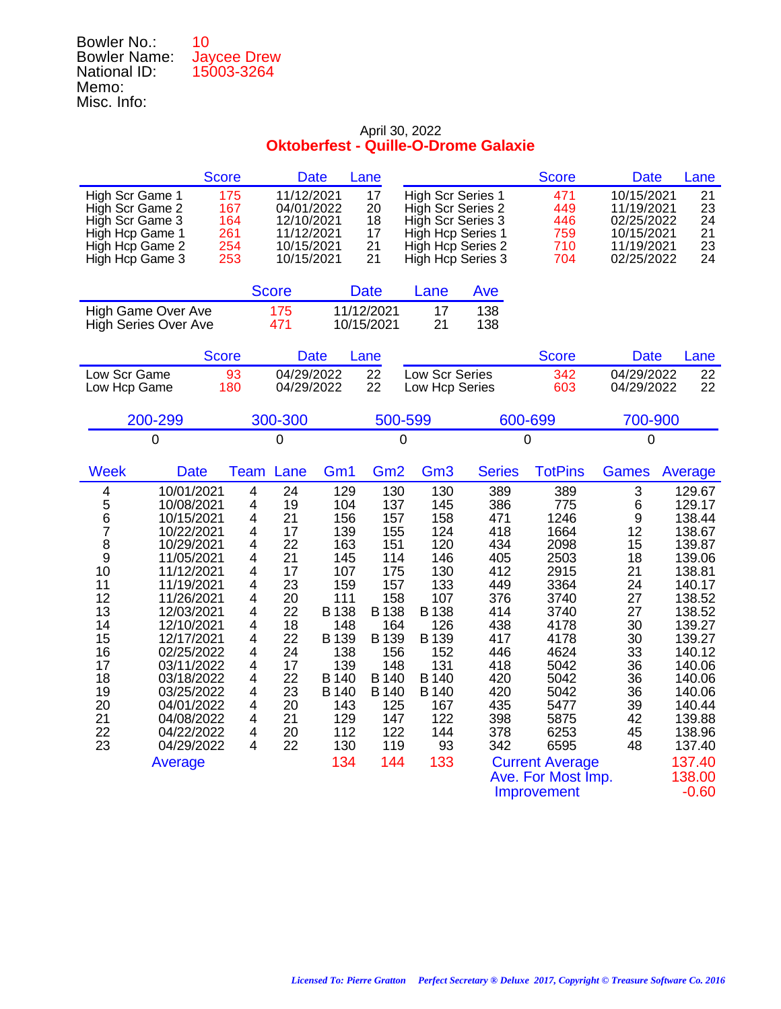| 10                 |
|--------------------|
| <b>Jaycee Drew</b> |
| 15003-3264         |
|                    |
|                    |
|                    |

| 11/12/2021<br>17<br><b>High Scr Series 1</b><br>471<br>10/15/2021<br>High Scr Game 1<br>175<br>21<br>04/01/2022<br>20<br>23<br>High Scr Game 2<br>167<br>High Scr Series 2<br>449<br>11/19/2021<br>164<br>12/10/2021<br>18<br>High Scr Series 3<br>24<br>High Scr Game 3<br>446<br>02/25/2022<br>21<br>261<br>11/12/2021<br>17<br>10/15/2021<br>High Hcp Game 1<br>High Hcp Series 1<br>759<br>254<br>21<br>23<br>High Hcp Game 2<br>10/15/2021<br>High Hcp Series 2<br>710<br>11/19/2021<br>253<br>10/15/2021<br>21<br>24<br>High Hcp Game 3<br>High Hcp Series 3<br>704<br>02/25/2022<br><b>Score</b><br><b>Date</b><br>Lane<br>Ave<br>11/12/2021<br>High Game Over Ave<br>175<br>17<br>138<br>471<br>10/15/2021<br>21<br>138<br><b>High Series Over Ave</b><br><b>Score</b><br>Lane<br><b>Score</b><br><b>Date</b><br><b>Date</b><br>Lane<br>04/29/2022<br>22<br>Low Scr Series<br>04/29/2022<br>Low Scr Game<br>93<br>342<br>22<br>22<br>22<br>180<br>04/29/2022<br>603<br>04/29/2022<br>Low Hcp Game<br>Low Hcp Series<br>200-299<br>300-300<br>500-599<br>600-699<br>700-900<br>$\overline{0}$<br>$\overline{0}$<br>0<br>$\mathbf 0$<br>0<br><b>Week</b><br>Gm <sub>3</sub><br><b>TotPins</b><br>Lane<br>Gm1<br>Gm <sub>2</sub><br><b>Series</b><br><b>Date</b><br>Team<br><b>Games</b><br>Average<br>24<br>130<br>130<br>3<br>4<br>10/01/2021<br>4<br>129<br>389<br>389<br>129.67<br>5<br>19<br>145<br>386<br>6<br>10/08/2021<br>4<br>104<br>137<br>775<br>129.17<br>6<br>21<br>156<br>157<br>158<br>471<br>1246<br>9<br>138.44<br>10/15/2021<br>4<br>$\overline{7}$<br>124<br>12<br>4<br>17<br>139<br>155<br>418<br>1664<br>138.67<br>10/22/2021<br>8<br>22<br>4<br>163<br>120<br>434<br>2098<br>15<br>139.87<br>10/29/2021<br>151<br>9<br>21<br>145<br>146<br>18<br>11/05/2021<br>4<br>114<br>405<br>2503<br>139.06<br>10<br>4<br>17<br>107<br>130<br>412<br>2915<br>21<br>175<br>138.81<br>11/12/2021<br>23<br>133<br>449<br>24<br>11<br>11/19/2021<br>4<br>159<br>157<br>3364<br>140.17<br>12<br>20<br>111<br>158<br>107<br>376<br>27<br>4<br>3740<br>138.52<br>11/26/2021<br>13<br>22<br><b>B</b> 138<br><b>B</b> 138<br>12/03/2021<br>4<br><b>B</b> 138<br>414<br>3740<br>27<br>138.52<br>14<br>4<br>18<br>148<br>164<br>126<br>4178<br>30<br>12/10/2021<br>438<br>139.27<br>15<br>12/17/2021<br>4<br>22<br>B 139<br>B 139<br>B 139<br>417<br>4178<br>30<br>139.27<br>4<br>138<br>152<br>16<br>02/25/2022<br>24<br>156<br>446<br>4624<br>33<br>140.12<br>139<br>131<br>17<br>03/11/2022<br>4<br>17<br>148<br>418<br>5042<br>36<br>140.06<br>18<br>4<br>22<br>B 140<br><b>B</b> 140<br>B 140<br>420<br>5042<br>36<br>03/18/2022<br>140.06<br>19<br>23<br>420<br>03/25/2022<br>4<br>B 140<br>B 140<br>B 140<br>5042<br>36<br>140.06<br>167<br>435<br>20<br>04/01/2022<br>4<br>20<br>143<br>125<br>5477<br>39<br>140.44<br>21<br>21<br>129<br>122<br>398<br>04/08/2022<br>4<br>147<br>5875<br>42<br>139.88<br>22<br>144<br>20<br>112<br>122<br>6253<br>04/22/2022<br>4<br>378<br>45<br>138.96<br>23<br>22<br>04/29/2022<br>4<br>130<br>119<br>93<br>342<br>6595<br>48<br>137.40<br><b>Current Average</b> | <b>Score</b> | <b>Date</b> |     | Lane |     | <b>Score</b> | <b>Date</b> | Lane   |
|---------------------------------------------------------------------------------------------------------------------------------------------------------------------------------------------------------------------------------------------------------------------------------------------------------------------------------------------------------------------------------------------------------------------------------------------------------------------------------------------------------------------------------------------------------------------------------------------------------------------------------------------------------------------------------------------------------------------------------------------------------------------------------------------------------------------------------------------------------------------------------------------------------------------------------------------------------------------------------------------------------------------------------------------------------------------------------------------------------------------------------------------------------------------------------------------------------------------------------------------------------------------------------------------------------------------------------------------------------------------------------------------------------------------------------------------------------------------------------------------------------------------------------------------------------------------------------------------------------------------------------------------------------------------------------------------------------------------------------------------------------------------------------------------------------------------------------------------------------------------------------------------------------------------------------------------------------------------------------------------------------------------------------------------------------------------------------------------------------------------------------------------------------------------------------------------------------------------------------------------------------------------------------------------------------------------------------------------------------------------------------------------------------------------------------------------------------------------------------------------------------------------------------------------------------------------------------------------------------------------------------------------------------------------------------------------------------------------------------------------------------------------------------------------------------------------------------------------------------------------------------------------------------------------------------------------------------------------------------------------------------------------------------------------------------------------------------------------------------------------|--------------|-------------|-----|------|-----|--------------|-------------|--------|
|                                                                                                                                                                                                                                                                                                                                                                                                                                                                                                                                                                                                                                                                                                                                                                                                                                                                                                                                                                                                                                                                                                                                                                                                                                                                                                                                                                                                                                                                                                                                                                                                                                                                                                                                                                                                                                                                                                                                                                                                                                                                                                                                                                                                                                                                                                                                                                                                                                                                                                                                                                                                                                                                                                                                                                                                                                                                                                                                                                                                                                                                                                                     |              |             |     |      |     |              |             |        |
|                                                                                                                                                                                                                                                                                                                                                                                                                                                                                                                                                                                                                                                                                                                                                                                                                                                                                                                                                                                                                                                                                                                                                                                                                                                                                                                                                                                                                                                                                                                                                                                                                                                                                                                                                                                                                                                                                                                                                                                                                                                                                                                                                                                                                                                                                                                                                                                                                                                                                                                                                                                                                                                                                                                                                                                                                                                                                                                                                                                                                                                                                                                     |              |             |     |      |     |              |             |        |
|                                                                                                                                                                                                                                                                                                                                                                                                                                                                                                                                                                                                                                                                                                                                                                                                                                                                                                                                                                                                                                                                                                                                                                                                                                                                                                                                                                                                                                                                                                                                                                                                                                                                                                                                                                                                                                                                                                                                                                                                                                                                                                                                                                                                                                                                                                                                                                                                                                                                                                                                                                                                                                                                                                                                                                                                                                                                                                                                                                                                                                                                                                                     |              |             |     |      |     |              |             |        |
|                                                                                                                                                                                                                                                                                                                                                                                                                                                                                                                                                                                                                                                                                                                                                                                                                                                                                                                                                                                                                                                                                                                                                                                                                                                                                                                                                                                                                                                                                                                                                                                                                                                                                                                                                                                                                                                                                                                                                                                                                                                                                                                                                                                                                                                                                                                                                                                                                                                                                                                                                                                                                                                                                                                                                                                                                                                                                                                                                                                                                                                                                                                     |              |             |     |      |     |              |             |        |
|                                                                                                                                                                                                                                                                                                                                                                                                                                                                                                                                                                                                                                                                                                                                                                                                                                                                                                                                                                                                                                                                                                                                                                                                                                                                                                                                                                                                                                                                                                                                                                                                                                                                                                                                                                                                                                                                                                                                                                                                                                                                                                                                                                                                                                                                                                                                                                                                                                                                                                                                                                                                                                                                                                                                                                                                                                                                                                                                                                                                                                                                                                                     |              |             |     |      |     |              |             |        |
|                                                                                                                                                                                                                                                                                                                                                                                                                                                                                                                                                                                                                                                                                                                                                                                                                                                                                                                                                                                                                                                                                                                                                                                                                                                                                                                                                                                                                                                                                                                                                                                                                                                                                                                                                                                                                                                                                                                                                                                                                                                                                                                                                                                                                                                                                                                                                                                                                                                                                                                                                                                                                                                                                                                                                                                                                                                                                                                                                                                                                                                                                                                     |              |             |     |      |     |              |             |        |
|                                                                                                                                                                                                                                                                                                                                                                                                                                                                                                                                                                                                                                                                                                                                                                                                                                                                                                                                                                                                                                                                                                                                                                                                                                                                                                                                                                                                                                                                                                                                                                                                                                                                                                                                                                                                                                                                                                                                                                                                                                                                                                                                                                                                                                                                                                                                                                                                                                                                                                                                                                                                                                                                                                                                                                                                                                                                                                                                                                                                                                                                                                                     |              |             |     |      |     |              |             |        |
|                                                                                                                                                                                                                                                                                                                                                                                                                                                                                                                                                                                                                                                                                                                                                                                                                                                                                                                                                                                                                                                                                                                                                                                                                                                                                                                                                                                                                                                                                                                                                                                                                                                                                                                                                                                                                                                                                                                                                                                                                                                                                                                                                                                                                                                                                                                                                                                                                                                                                                                                                                                                                                                                                                                                                                                                                                                                                                                                                                                                                                                                                                                     |              |             |     |      |     |              |             |        |
|                                                                                                                                                                                                                                                                                                                                                                                                                                                                                                                                                                                                                                                                                                                                                                                                                                                                                                                                                                                                                                                                                                                                                                                                                                                                                                                                                                                                                                                                                                                                                                                                                                                                                                                                                                                                                                                                                                                                                                                                                                                                                                                                                                                                                                                                                                                                                                                                                                                                                                                                                                                                                                                                                                                                                                                                                                                                                                                                                                                                                                                                                                                     | Average      |             | 134 | 144  | 133 |              |             | 137.40 |

Improvement -0.60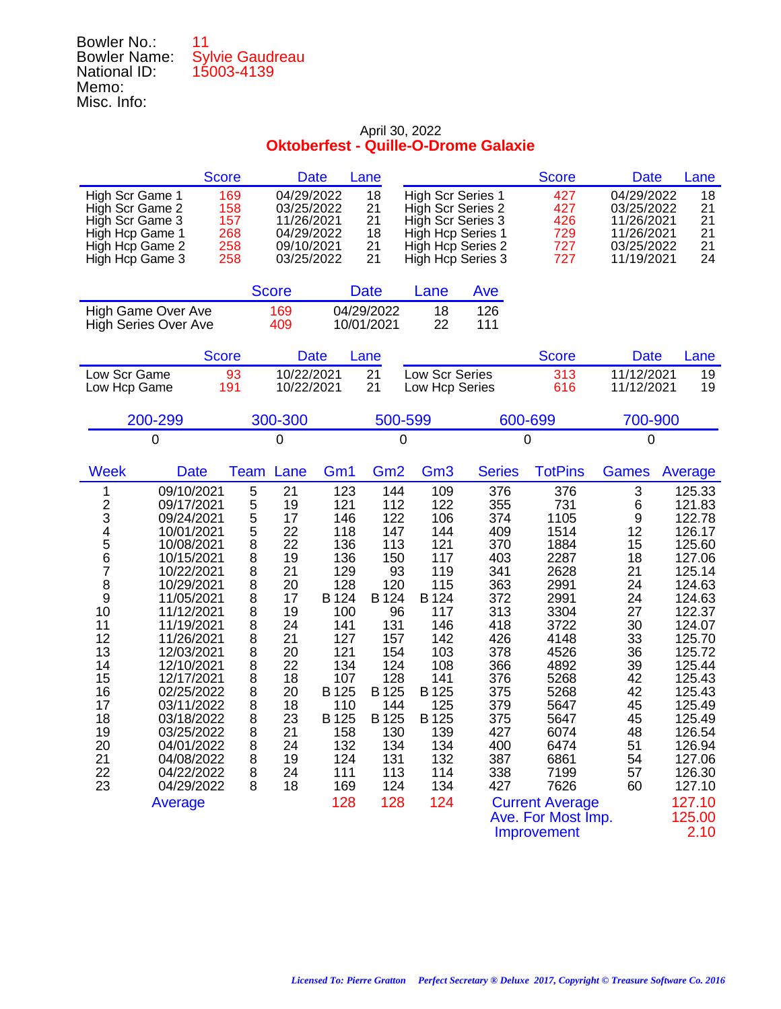| Bowler No.:         | 11                     |
|---------------------|------------------------|
| <b>Bowler Name:</b> | <b>Sylvie Gaudreau</b> |
| National ID:        | 15003-4139             |
| Memo:               |                        |
| Misc. Info:         |                        |

|                                                                                                                                                                                                                                                                                                                                                                                                                                                                                   | <b>Score</b>                                                                                                                 | <b>Date</b>                                                                                                                                                                                                                                                                                                          | Lane                                                                                                                                                                     |                                                                                                                                                                            |                                                                                                                                                               | <b>Score</b>                                                                                                                                                                                                                                      | <b>Date</b>                                                                                                                         | Lane                                                                                                                                                                                                                                                           |
|-----------------------------------------------------------------------------------------------------------------------------------------------------------------------------------------------------------------------------------------------------------------------------------------------------------------------------------------------------------------------------------------------------------------------------------------------------------------------------------|------------------------------------------------------------------------------------------------------------------------------|----------------------------------------------------------------------------------------------------------------------------------------------------------------------------------------------------------------------------------------------------------------------------------------------------------------------|--------------------------------------------------------------------------------------------------------------------------------------------------------------------------|----------------------------------------------------------------------------------------------------------------------------------------------------------------------------|---------------------------------------------------------------------------------------------------------------------------------------------------------------|---------------------------------------------------------------------------------------------------------------------------------------------------------------------------------------------------------------------------------------------------|-------------------------------------------------------------------------------------------------------------------------------------|----------------------------------------------------------------------------------------------------------------------------------------------------------------------------------------------------------------------------------------------------------------|
| High Scr Game 1<br>High Scr Game 2<br>High Scr Game 3<br>High Hcp Game 1<br>High Hcp Game 2<br>High Hcp Game 3                                                                                                                                                                                                                                                                                                                                                                    | 169<br>158<br>157<br>268<br>258<br>258                                                                                       | 04/29/2022<br>03/25/2022<br>11/26/2021<br>04/29/2022<br>09/10/2021<br>03/25/2022                                                                                                                                                                                                                                     | 18<br>21<br>21<br>18<br>21<br>21                                                                                                                                         | <b>High Scr Series 1</b><br>High Scr Series 2<br>High Scr Series 3<br>High Hcp Series 1<br>High Hcp Series 2<br>High Hcp Series 3                                          |                                                                                                                                                               | 427<br>427<br>426<br>729<br>727<br>727                                                                                                                                                                                                            | 04/29/2022<br>03/25/2022<br>11/26/2021<br>11/26/2021<br>03/25/2022<br>11/19/2021                                                    | 18<br>21<br>21<br>21<br>21<br>24                                                                                                                                                                                                                               |
|                                                                                                                                                                                                                                                                                                                                                                                                                                                                                   | <b>Score</b>                                                                                                                 |                                                                                                                                                                                                                                                                                                                      | <b>Date</b>                                                                                                                                                              | Lane                                                                                                                                                                       | Ave                                                                                                                                                           |                                                                                                                                                                                                                                                   |                                                                                                                                     |                                                                                                                                                                                                                                                                |
| <b>High Game Over Ave</b><br><b>High Series Over Ave</b>                                                                                                                                                                                                                                                                                                                                                                                                                          | 169<br>409                                                                                                                   |                                                                                                                                                                                                                                                                                                                      | 04/29/2022<br>10/01/2021                                                                                                                                                 | 18<br>22                                                                                                                                                                   | 126<br>111                                                                                                                                                    |                                                                                                                                                                                                                                                   |                                                                                                                                     |                                                                                                                                                                                                                                                                |
|                                                                                                                                                                                                                                                                                                                                                                                                                                                                                   | <b>Score</b>                                                                                                                 | <b>Date</b>                                                                                                                                                                                                                                                                                                          | Lane                                                                                                                                                                     |                                                                                                                                                                            |                                                                                                                                                               | <b>Score</b>                                                                                                                                                                                                                                      | <b>Date</b>                                                                                                                         | Lane                                                                                                                                                                                                                                                           |
| Low Scr Game<br>Low Hcp Game                                                                                                                                                                                                                                                                                                                                                                                                                                                      | 93<br>191                                                                                                                    | 10/22/2021<br>10/22/2021                                                                                                                                                                                                                                                                                             | 21<br>21                                                                                                                                                                 | Low Scr Series<br>Low Hcp Series                                                                                                                                           |                                                                                                                                                               | 313<br>616                                                                                                                                                                                                                                        | 11/12/2021<br>11/12/2021                                                                                                            | 19<br>19                                                                                                                                                                                                                                                       |
| 200-299                                                                                                                                                                                                                                                                                                                                                                                                                                                                           | 300-300                                                                                                                      |                                                                                                                                                                                                                                                                                                                      | 500-599                                                                                                                                                                  |                                                                                                                                                                            |                                                                                                                                                               | 600-699                                                                                                                                                                                                                                           | 700-900                                                                                                                             |                                                                                                                                                                                                                                                                |
| 0                                                                                                                                                                                                                                                                                                                                                                                                                                                                                 | 0                                                                                                                            |                                                                                                                                                                                                                                                                                                                      | 0                                                                                                                                                                        |                                                                                                                                                                            |                                                                                                                                                               | 0                                                                                                                                                                                                                                                 | 0                                                                                                                                   |                                                                                                                                                                                                                                                                |
| <b>Week</b><br><b>Date</b>                                                                                                                                                                                                                                                                                                                                                                                                                                                        | Team                                                                                                                         | Lane<br>Gm <sub>1</sub>                                                                                                                                                                                                                                                                                              | Gm <sub>2</sub>                                                                                                                                                          | Gm <sub>3</sub>                                                                                                                                                            | <b>Series</b>                                                                                                                                                 | <b>TotPins</b>                                                                                                                                                                                                                                    | <b>Games</b>                                                                                                                        | Average                                                                                                                                                                                                                                                        |
| 09/10/2021<br>1<br>$\frac{2}{3}$<br>09/17/2021<br>09/24/2021<br>4<br>5<br>10/01/2021<br>10/08/2021<br>6<br>10/15/2021<br>7<br>10/22/2021<br>8<br>10/29/2021<br>9<br>11/05/2021<br>10<br>11/12/2021<br>11<br>11/19/2021<br>12<br>11/26/2021<br>13<br>12/03/2021<br>14<br>12/10/2021<br>15<br>12/17/2021<br>16<br>02/25/2022<br>17<br>03/11/2022<br>18<br>03/18/2022<br>19<br>03/25/2022<br>20<br>04/01/2022<br>21<br>04/08/2022<br>22<br>04/22/2022<br>23<br>04/29/2022<br>Average | 5<br>5<br>5<br>5<br>$\overline{8}$<br>8<br>8<br>8<br>8<br>8<br>8<br>8<br>8<br>8<br>8<br>8<br>8<br>8<br>8<br>8<br>8<br>8<br>8 | 21<br>123<br>19<br>121<br>17<br>146<br>22<br>118<br>22<br>136<br>19<br>136<br>21<br>129<br>20<br>128<br>17<br>B 124<br>19<br>100<br>24<br>141<br>21<br>127<br>20<br>121<br>22<br>134<br>18<br>107<br>B 125<br>20<br>18<br>110<br>23<br>B 125<br>21<br>158<br>24<br>132<br>19<br>124<br>24<br>111<br>18<br>169<br>128 | 144<br>112<br>122<br>147<br>113<br>150<br>93<br>120<br>B 124<br>96<br>131<br>157<br>154<br>124<br>128<br>B 125<br>144<br>B 125<br>130<br>134<br>131<br>113<br>124<br>128 | 109<br>122<br>106<br>144<br>121<br>117<br>119<br>115<br>B 124<br>117<br>146<br>142<br>103<br>108<br>141<br>B 125<br>125<br>B 125<br>139<br>134<br>132<br>114<br>134<br>124 | 376<br>355<br>374<br>409<br>370<br>403<br>341<br>363<br>372<br>313<br>418<br>426<br>378<br>366<br>376<br>375<br>379<br>375<br>427<br>400<br>387<br>338<br>427 | 376<br>731<br>1105<br>1514<br>1884<br>2287<br>2628<br>2991<br>2991<br>3304<br>3722<br>4148<br>4526<br>4892<br>5268<br>5268<br>5647<br>5647<br>6074<br>6474<br>6861<br>7199<br>7626<br><b>Current Average</b><br>Ave. For Most Imp.<br>Improvement | 3<br>6<br>9<br>12<br>15<br>18<br>21<br>24<br>24<br>27<br>30<br>33<br>36<br>39<br>42<br>42<br>45<br>45<br>48<br>51<br>54<br>57<br>60 | 125.33<br>121.83<br>122.78<br>126.17<br>125.60<br>127.06<br>125.14<br>124.63<br>124.63<br>122.37<br>124.07<br>125.70<br>125.72<br>125.44<br>125.43<br>125.43<br>125.49<br>125.49<br>126.54<br>126.94<br>127.06<br>126.30<br>127.10<br>127.10<br>125.00<br>2.10 |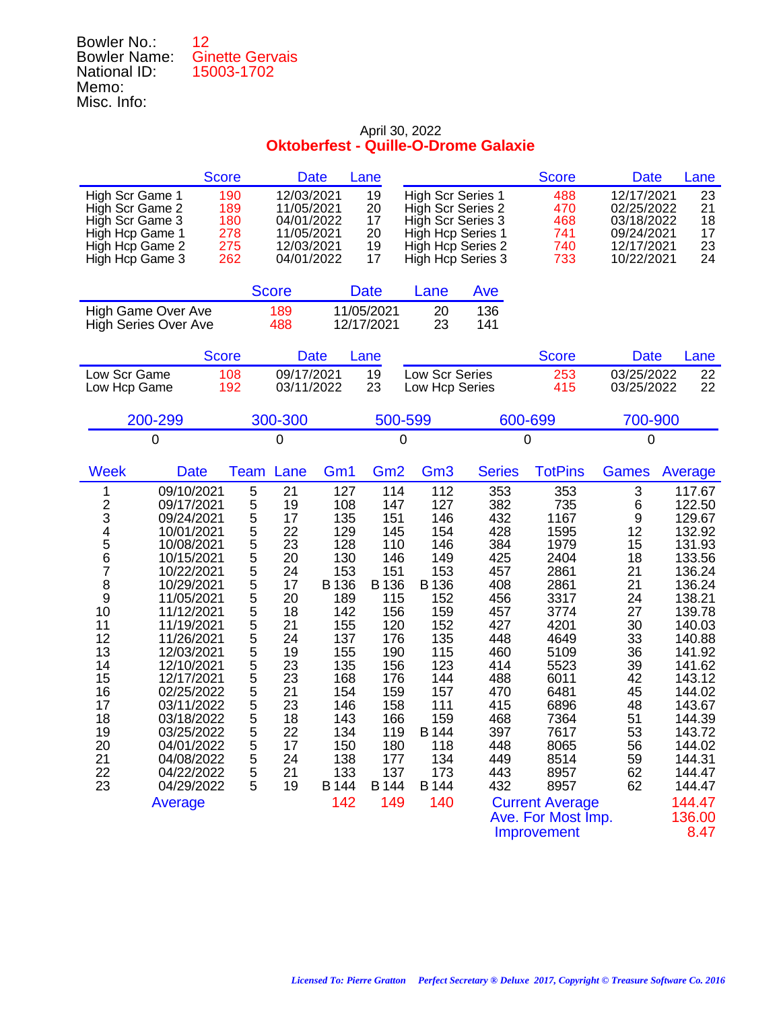| 12                     |
|------------------------|
| <b>Ginette Gervais</b> |
| 15003-1702             |
|                        |
|                        |
|                        |

|                                                                                                                                                                                                                                                                                                                                                                                                                                                                                   | <b>Score</b>                                                                                                           | <b>Date</b>                                                                                                                            |                                                                                                                                                                          | Lane                                                                                                                                                                     |                                                                                                                                                                            |                                                                                                                                                               | <b>Score</b>                                                                                                                                                                                                                                      | <b>Date</b>                                                                                                                         | Lane                                                                                                                                                                                                                                                           |
|-----------------------------------------------------------------------------------------------------------------------------------------------------------------------------------------------------------------------------------------------------------------------------------------------------------------------------------------------------------------------------------------------------------------------------------------------------------------------------------|------------------------------------------------------------------------------------------------------------------------|----------------------------------------------------------------------------------------------------------------------------------------|--------------------------------------------------------------------------------------------------------------------------------------------------------------------------|--------------------------------------------------------------------------------------------------------------------------------------------------------------------------|----------------------------------------------------------------------------------------------------------------------------------------------------------------------------|---------------------------------------------------------------------------------------------------------------------------------------------------------------|---------------------------------------------------------------------------------------------------------------------------------------------------------------------------------------------------------------------------------------------------|-------------------------------------------------------------------------------------------------------------------------------------|----------------------------------------------------------------------------------------------------------------------------------------------------------------------------------------------------------------------------------------------------------------|
| High Scr Game 1<br>High Scr Game 2<br>High Scr Game 3<br>High Hcp Game 1<br>High Hcp Game 2<br>High Hcp Game 3                                                                                                                                                                                                                                                                                                                                                                    | 190<br>189<br>180<br>278<br>275<br>262                                                                                 | 12/03/2021<br>11/05/2021<br>04/01/2022<br>11/05/2021<br>12/03/2021<br>04/01/2022                                                       |                                                                                                                                                                          | 19<br>20<br>17<br>20<br>19<br>17                                                                                                                                         | <b>High Scr Series 1</b><br>High Scr Series 2<br>High Scr Series 3                                                                                                         | High Hcp Series 1<br>High Hcp Series 2<br>High Hcp Series 3                                                                                                   | 488<br>470<br>468<br>741<br>740<br>733                                                                                                                                                                                                            | 12/17/2021<br>02/25/2022<br>03/18/2022<br>09/24/2021<br>12/17/2021<br>10/22/2021                                                    | 23<br>21<br>18<br>17<br>23<br>24                                                                                                                                                                                                                               |
|                                                                                                                                                                                                                                                                                                                                                                                                                                                                                   |                                                                                                                        | <b>Score</b>                                                                                                                           |                                                                                                                                                                          | <b>Date</b>                                                                                                                                                              | Lane                                                                                                                                                                       | Ave                                                                                                                                                           |                                                                                                                                                                                                                                                   |                                                                                                                                     |                                                                                                                                                                                                                                                                |
| High Game Over Ave<br><b>High Series Over Ave</b>                                                                                                                                                                                                                                                                                                                                                                                                                                 |                                                                                                                        | 189<br>488                                                                                                                             |                                                                                                                                                                          | 11/05/2021<br>12/17/2021                                                                                                                                                 | 20<br>23                                                                                                                                                                   | 136<br>141                                                                                                                                                    |                                                                                                                                                                                                                                                   |                                                                                                                                     |                                                                                                                                                                                                                                                                |
|                                                                                                                                                                                                                                                                                                                                                                                                                                                                                   | <b>Score</b>                                                                                                           | <b>Date</b>                                                                                                                            |                                                                                                                                                                          | Lane                                                                                                                                                                     |                                                                                                                                                                            |                                                                                                                                                               | <b>Score</b>                                                                                                                                                                                                                                      | <b>Date</b>                                                                                                                         | Lane                                                                                                                                                                                                                                                           |
| Low Scr Game<br>Low Hcp Game                                                                                                                                                                                                                                                                                                                                                                                                                                                      | 108<br>192                                                                                                             | 09/17/2021<br>03/11/2022                                                                                                               |                                                                                                                                                                          | 19<br>23                                                                                                                                                                 | Low Scr Series<br>Low Hcp Series                                                                                                                                           |                                                                                                                                                               | 253<br>415                                                                                                                                                                                                                                        | 03/25/2022<br>03/25/2022                                                                                                            | 22<br>22                                                                                                                                                                                                                                                       |
| 200-299                                                                                                                                                                                                                                                                                                                                                                                                                                                                           |                                                                                                                        | 300-300                                                                                                                                |                                                                                                                                                                          | 500-599                                                                                                                                                                  |                                                                                                                                                                            |                                                                                                                                                               | 600-699                                                                                                                                                                                                                                           | 700-900                                                                                                                             |                                                                                                                                                                                                                                                                |
| $\Omega$                                                                                                                                                                                                                                                                                                                                                                                                                                                                          |                                                                                                                        | 0                                                                                                                                      |                                                                                                                                                                          | 0                                                                                                                                                                        |                                                                                                                                                                            |                                                                                                                                                               | 0                                                                                                                                                                                                                                                 | $\mathbf 0$                                                                                                                         |                                                                                                                                                                                                                                                                |
| <b>Week</b><br><b>Date</b>                                                                                                                                                                                                                                                                                                                                                                                                                                                        | Team                                                                                                                   | Lane                                                                                                                                   | Gm <sub>1</sub>                                                                                                                                                          | Gm <sub>2</sub>                                                                                                                                                          | Gm <sub>3</sub>                                                                                                                                                            | <b>Series</b>                                                                                                                                                 | <b>TotPins</b>                                                                                                                                                                                                                                    | <b>Games</b>                                                                                                                        | Average                                                                                                                                                                                                                                                        |
| 09/10/2021<br>1<br>$\frac{2}{3}$<br>09/17/2021<br>09/24/2021<br>4<br>5<br>10/01/2021<br>10/08/2021<br>6<br>10/15/2021<br>7<br>10/22/2021<br>8<br>10/29/2021<br>9<br>11/05/2021<br>10<br>11/12/2021<br>11<br>11/19/2021<br>12<br>11/26/2021<br>13<br>12/03/2021<br>14<br>12/10/2021<br>15<br>12/17/2021<br>16<br>02/25/2022<br>17<br>03/11/2022<br>18<br>03/18/2022<br>19<br>03/25/2022<br>20<br>04/01/2022<br>21<br>04/08/2022<br>22<br>04/22/2022<br>23<br>04/29/2022<br>Average | 5<br>5<br>5<br>5<br>5<br>$\frac{5}{5}$<br>5<br>5<br>5<br>5<br>5<br>5<br>5<br>5<br>5<br>5<br>5<br>5<br>5<br>5<br>5<br>5 | 21<br>19<br>17<br>22<br>23<br>20<br>24<br>17<br>20<br>18<br>21<br>24<br>19<br>23<br>23<br>21<br>23<br>18<br>22<br>17<br>24<br>21<br>19 | 127<br>108<br>135<br>129<br>128<br>130<br>153<br>B 136<br>189<br>142<br>155<br>137<br>155<br>135<br>168<br>154<br>146<br>143<br>134<br>150<br>138<br>133<br>B 144<br>142 | 114<br>147<br>151<br>145<br>110<br>146<br>151<br>B 136<br>115<br>156<br>120<br>176<br>190<br>156<br>176<br>159<br>158<br>166<br>119<br>180<br>177<br>137<br>B 144<br>149 | 112<br>127<br>146<br>154<br>146<br>149<br>153<br>B 136<br>152<br>159<br>152<br>135<br>115<br>123<br>144<br>157<br>111<br>159<br>B 144<br>118<br>134<br>173<br>B 144<br>140 | 353<br>382<br>432<br>428<br>384<br>425<br>457<br>408<br>456<br>457<br>427<br>448<br>460<br>414<br>488<br>470<br>415<br>468<br>397<br>448<br>449<br>443<br>432 | 353<br>735<br>1167<br>1595<br>1979<br>2404<br>2861<br>2861<br>3317<br>3774<br>4201<br>4649<br>5109<br>5523<br>6011<br>6481<br>6896<br>7364<br>7617<br>8065<br>8514<br>8957<br>8957<br><b>Current Average</b><br>Ave. For Most Imp.<br>Improvement | 3<br>6<br>9<br>12<br>15<br>18<br>21<br>21<br>24<br>27<br>30<br>33<br>36<br>39<br>42<br>45<br>48<br>51<br>53<br>56<br>59<br>62<br>62 | 117.67<br>122.50<br>129.67<br>132.92<br>131.93<br>133.56<br>136.24<br>136.24<br>138.21<br>139.78<br>140.03<br>140.88<br>141.92<br>141.62<br>143.12<br>144.02<br>143.67<br>144.39<br>143.72<br>144.02<br>144.31<br>144.47<br>144.47<br>144.47<br>136.00<br>8.47 |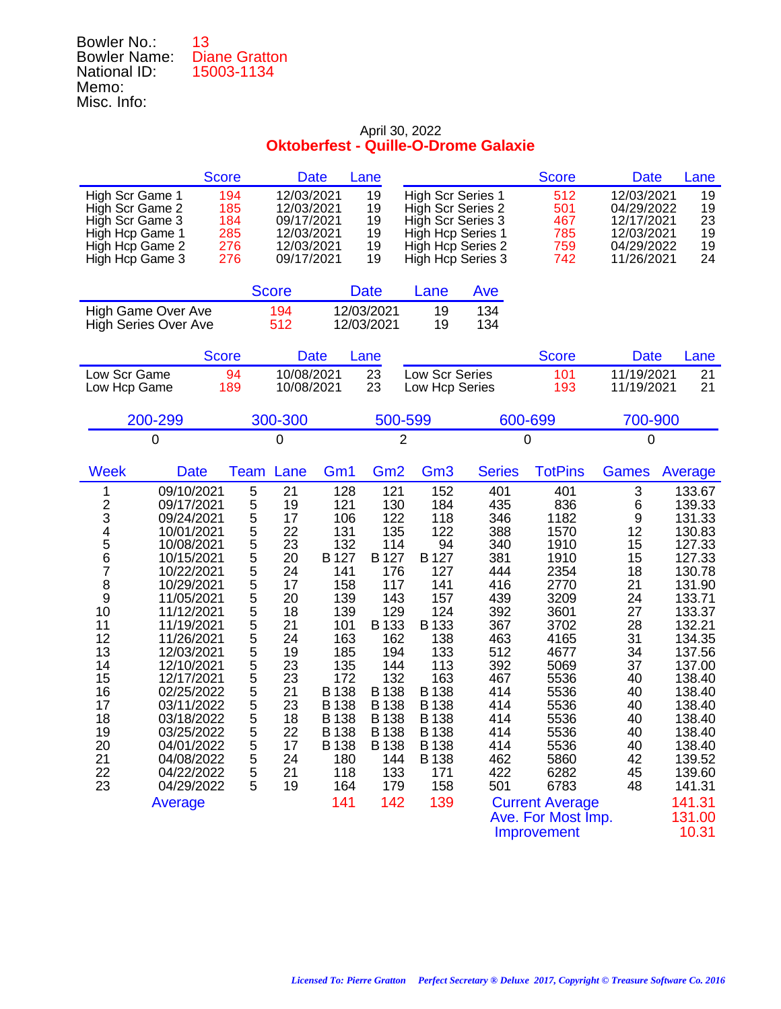| 13                   |
|----------------------|
| <b>Diane Gratton</b> |
| 15003-1134           |
|                      |
|                      |
|                      |

|                                                                                                                                                                                                                                                                                                                                                                                                                                                                                   | <b>Score</b>                                                                                                                                                                                                                                  | <b>Date</b><br>Lane                                                                                                                                                                                   |                                                                                                                                                                                                  |                                                                                                                                                                                                                 |                                                                                                                                                               | <b>Score</b>                                                                                                                                                                                                                                      | <b>Date</b>                                                                                                                         | Lane                                                                                                                                                                                                                                                            |
|-----------------------------------------------------------------------------------------------------------------------------------------------------------------------------------------------------------------------------------------------------------------------------------------------------------------------------------------------------------------------------------------------------------------------------------------------------------------------------------|-----------------------------------------------------------------------------------------------------------------------------------------------------------------------------------------------------------------------------------------------|-------------------------------------------------------------------------------------------------------------------------------------------------------------------------------------------------------|--------------------------------------------------------------------------------------------------------------------------------------------------------------------------------------------------|-----------------------------------------------------------------------------------------------------------------------------------------------------------------------------------------------------------------|---------------------------------------------------------------------------------------------------------------------------------------------------------------|---------------------------------------------------------------------------------------------------------------------------------------------------------------------------------------------------------------------------------------------------|-------------------------------------------------------------------------------------------------------------------------------------|-----------------------------------------------------------------------------------------------------------------------------------------------------------------------------------------------------------------------------------------------------------------|
| High Scr Game 1<br>High Scr Game 2<br>High Scr Game 3<br>High Hcp Game 1<br>High Hcp Game 2<br>High Hcp Game 3                                                                                                                                                                                                                                                                                                                                                                    | 194<br>12/03/2021<br>185<br>12/03/2021<br>184<br>09/17/2021<br>285<br>12/03/2021<br>276<br>12/03/2021<br>276<br>09/17/2021                                                                                                                    |                                                                                                                                                                                                       | 19<br>19<br>19<br>19<br>19<br>19                                                                                                                                                                 | <b>High Scr Series 1</b><br>High Scr Series 2<br>High Scr Series 3<br>High Hcp Series 1<br>High Hcp Series 2<br>High Hcp Series 3                                                                               |                                                                                                                                                               | 512<br>501<br>467<br>785<br>759<br>742                                                                                                                                                                                                            | 12/03/2021<br>04/29/2022<br>12/17/2021<br>12/03/2021<br>04/29/2022<br>11/26/2021                                                    | 19<br>19<br>23<br>19<br>19<br>24                                                                                                                                                                                                                                |
|                                                                                                                                                                                                                                                                                                                                                                                                                                                                                   | <b>Score</b>                                                                                                                                                                                                                                  | <b>Date</b>                                                                                                                                                                                           |                                                                                                                                                                                                  | Lane                                                                                                                                                                                                            | Ave                                                                                                                                                           |                                                                                                                                                                                                                                                   |                                                                                                                                     |                                                                                                                                                                                                                                                                 |
| High Game Over Ave<br><b>High Series Over Ave</b>                                                                                                                                                                                                                                                                                                                                                                                                                                 | 194<br>512                                                                                                                                                                                                                                    | 12/03/2021<br>12/03/2021                                                                                                                                                                              |                                                                                                                                                                                                  | 19<br>19                                                                                                                                                                                                        | 134<br>134                                                                                                                                                    |                                                                                                                                                                                                                                                   |                                                                                                                                     |                                                                                                                                                                                                                                                                 |
|                                                                                                                                                                                                                                                                                                                                                                                                                                                                                   | <b>Score</b>                                                                                                                                                                                                                                  | <b>Date</b><br>Lane                                                                                                                                                                                   |                                                                                                                                                                                                  |                                                                                                                                                                                                                 |                                                                                                                                                               | <b>Score</b>                                                                                                                                                                                                                                      | <b>Date</b>                                                                                                                         | Lane                                                                                                                                                                                                                                                            |
| Low Scr Game<br>Low Hcp Game                                                                                                                                                                                                                                                                                                                                                                                                                                                      | 10/08/2021<br>94<br>189<br>10/08/2021                                                                                                                                                                                                         |                                                                                                                                                                                                       | 23<br>23                                                                                                                                                                                         | Low Scr Series<br>Low Hcp Series                                                                                                                                                                                |                                                                                                                                                               | 101<br>193                                                                                                                                                                                                                                        | 11/19/2021<br>11/19/2021                                                                                                            | 21<br>21                                                                                                                                                                                                                                                        |
| 200-299                                                                                                                                                                                                                                                                                                                                                                                                                                                                           | 300-300                                                                                                                                                                                                                                       |                                                                                                                                                                                                       | 500-599                                                                                                                                                                                          |                                                                                                                                                                                                                 | 600-699                                                                                                                                                       |                                                                                                                                                                                                                                                   | 700-900                                                                                                                             |                                                                                                                                                                                                                                                                 |
| 0                                                                                                                                                                                                                                                                                                                                                                                                                                                                                 | 0                                                                                                                                                                                                                                             |                                                                                                                                                                                                       | $\overline{2}$                                                                                                                                                                                   |                                                                                                                                                                                                                 | 0                                                                                                                                                             |                                                                                                                                                                                                                                                   | 0                                                                                                                                   |                                                                                                                                                                                                                                                                 |
| <b>Week</b><br><b>Date</b>                                                                                                                                                                                                                                                                                                                                                                                                                                                        | Lane<br>Team                                                                                                                                                                                                                                  | Gm1                                                                                                                                                                                                   | Gm <sub>2</sub>                                                                                                                                                                                  | Gm <sub>3</sub>                                                                                                                                                                                                 | <b>Series</b>                                                                                                                                                 | <b>TotPins</b>                                                                                                                                                                                                                                    | <b>Games</b>                                                                                                                        | Average                                                                                                                                                                                                                                                         |
| 09/10/2021<br>1<br>$\frac{2}{3}$<br>09/17/2021<br>09/24/2021<br>4<br>5<br>10/01/2021<br>10/08/2021<br>6<br>10/15/2021<br>7<br>10/22/2021<br>8<br>10/29/2021<br>9<br>11/05/2021<br>10<br>11/12/2021<br>11<br>11/19/2021<br>12<br>11/26/2021<br>13<br>12/03/2021<br>14<br>12/10/2021<br>15<br>12/17/2021<br>16<br>02/25/2022<br>17<br>03/11/2022<br>18<br>03/18/2022<br>19<br>03/25/2022<br>20<br>04/01/2022<br>21<br>04/08/2022<br>22<br>04/22/2022<br>23<br>04/29/2022<br>Average | 5<br>21<br>5<br>19<br>5<br>17<br>5<br>5<br>22<br>23<br>5<br>5<br>20<br>24<br>5<br>17<br>5<br>20<br>5<br>18<br>5<br>21<br>5555<br>24<br>19<br>23<br>23<br>5<br>21<br>5<br>23<br>5<br>18<br>5<br>22<br>5<br>17<br>5<br>24<br>5<br>21<br>5<br>19 | 128<br>121<br>106<br>131<br>132<br>B 127<br>141<br>158<br>139<br>139<br>101<br>163<br>185<br>135<br>172<br>B 138<br><b>B</b> 138<br><b>B</b> 138<br><b>B</b> 138<br>B 138<br>180<br>118<br>164<br>141 | 121<br>130<br>122<br>135<br>114<br>B 127<br>176<br>117<br>143<br>129<br>B 133<br>162<br>194<br>144<br>132<br>B 138<br><b>B</b> 138<br><b>B</b> 138<br>B 138<br>B 138<br>144<br>133<br>179<br>142 | 152<br>184<br>118<br>122<br>94<br>B 127<br>127<br>141<br>157<br>124<br>B 133<br>138<br>133<br>113<br>163<br>B 138<br><b>B</b> 138<br><b>B</b> 138<br><b>B</b> 138<br>B 138<br><b>B</b> 138<br>171<br>158<br>139 | 401<br>435<br>346<br>388<br>340<br>381<br>444<br>416<br>439<br>392<br>367<br>463<br>512<br>392<br>467<br>414<br>414<br>414<br>414<br>414<br>462<br>422<br>501 | 401<br>836<br>1182<br>1570<br>1910<br>1910<br>2354<br>2770<br>3209<br>3601<br>3702<br>4165<br>4677<br>5069<br>5536<br>5536<br>5536<br>5536<br>5536<br>5536<br>5860<br>6282<br>6783<br><b>Current Average</b><br>Ave. For Most Imp.<br>Improvement | 3<br>6<br>9<br>12<br>15<br>15<br>18<br>21<br>24<br>27<br>28<br>31<br>34<br>37<br>40<br>40<br>40<br>40<br>40<br>40<br>42<br>45<br>48 | 133.67<br>139.33<br>131.33<br>130.83<br>127.33<br>127.33<br>130.78<br>131.90<br>133.71<br>133.37<br>132.21<br>134.35<br>137.56<br>137.00<br>138.40<br>138.40<br>138.40<br>138.40<br>138.40<br>138.40<br>139.52<br>139.60<br>141.31<br>141.31<br>131.00<br>10.31 |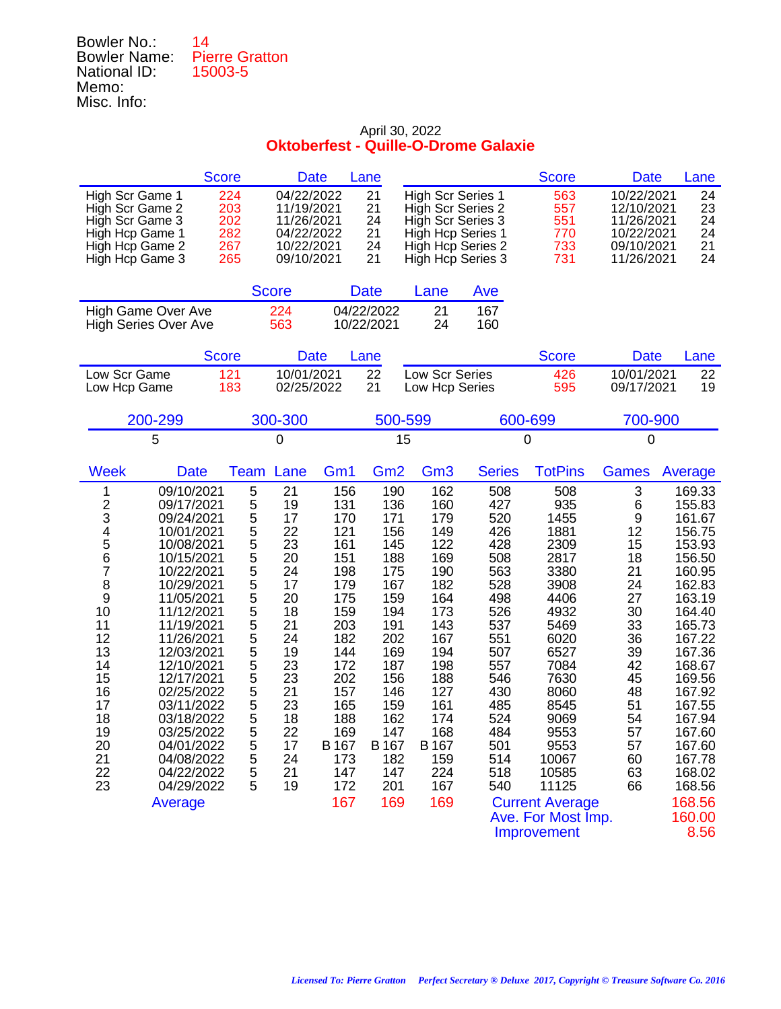| Bowler No.:         | 14                    |
|---------------------|-----------------------|
| <b>Bowler Name:</b> | <b>Pierre Gratton</b> |
| National ID:        | 15003-5               |
| Memo:               |                       |
| Misc. Info:         |                       |

| <b>Score</b>                                                                                                                                                                                                                                                                                                                                                                                                                                                                      |                                                                                                     | <b>Date</b>                                                                                                                                                                                                                                                                                                      | Lane                                                                                                                                                                   |                                                                                                                                                                        |                                                                                                                                                               | <b>Score</b>                                                                                                                                                                                                                                         | <b>Date</b>                                                                                                                         | Lane                                                                                                                                                                                                                                                           |
|-----------------------------------------------------------------------------------------------------------------------------------------------------------------------------------------------------------------------------------------------------------------------------------------------------------------------------------------------------------------------------------------------------------------------------------------------------------------------------------|-----------------------------------------------------------------------------------------------------|------------------------------------------------------------------------------------------------------------------------------------------------------------------------------------------------------------------------------------------------------------------------------------------------------------------|------------------------------------------------------------------------------------------------------------------------------------------------------------------------|------------------------------------------------------------------------------------------------------------------------------------------------------------------------|---------------------------------------------------------------------------------------------------------------------------------------------------------------|------------------------------------------------------------------------------------------------------------------------------------------------------------------------------------------------------------------------------------------------------|-------------------------------------------------------------------------------------------------------------------------------------|----------------------------------------------------------------------------------------------------------------------------------------------------------------------------------------------------------------------------------------------------------------|
| High Scr Game 1<br>High Scr Game 2<br>High Scr Game 3<br>High Hcp Game 1<br>High Hcp Game 2<br>High Hcp Game 3                                                                                                                                                                                                                                                                                                                                                                    | 224<br>203<br>202<br>282<br>267<br>265                                                              | 04/22/2022<br>11/19/2021<br>11/26/2021<br>04/22/2022<br>10/22/2021<br>09/10/2021                                                                                                                                                                                                                                 | 21<br>21<br>24<br>21<br>24<br>21                                                                                                                                       | <b>High Scr Series 1</b><br>High Scr Series 2<br>High Scr Series 3<br>High Hcp Series 1<br>High Hcp Series 2<br>High Hcp Series 3                                      |                                                                                                                                                               | 563<br>557<br>551<br>770<br>733<br>731                                                                                                                                                                                                               | 10/22/2021<br>12/10/2021<br>11/26/2021<br>10/22/2021<br>09/10/2021<br>11/26/2021                                                    | 24<br>23<br>24<br>24<br>21<br>24                                                                                                                                                                                                                               |
|                                                                                                                                                                                                                                                                                                                                                                                                                                                                                   | <b>Score</b>                                                                                        |                                                                                                                                                                                                                                                                                                                  | <b>Date</b>                                                                                                                                                            | Lane                                                                                                                                                                   | Ave                                                                                                                                                           |                                                                                                                                                                                                                                                      |                                                                                                                                     |                                                                                                                                                                                                                                                                |
| High Game Over Ave<br><b>High Series Over Ave</b>                                                                                                                                                                                                                                                                                                                                                                                                                                 | 224<br>563                                                                                          |                                                                                                                                                                                                                                                                                                                  | 04/22/2022<br>10/22/2021                                                                                                                                               | 21<br>24                                                                                                                                                               | 167<br>160                                                                                                                                                    |                                                                                                                                                                                                                                                      |                                                                                                                                     |                                                                                                                                                                                                                                                                |
| <b>Score</b>                                                                                                                                                                                                                                                                                                                                                                                                                                                                      |                                                                                                     | <b>Date</b>                                                                                                                                                                                                                                                                                                      | Lane                                                                                                                                                                   |                                                                                                                                                                        |                                                                                                                                                               | <b>Score</b>                                                                                                                                                                                                                                         | <b>Date</b>                                                                                                                         | Lane                                                                                                                                                                                                                                                           |
| Low Scr Game<br>Low Hcp Game                                                                                                                                                                                                                                                                                                                                                                                                                                                      | 121<br>183                                                                                          | 10/01/2021<br>02/25/2022                                                                                                                                                                                                                                                                                         | 22<br>21                                                                                                                                                               | Low Scr Series<br>Low Hcp Series                                                                                                                                       |                                                                                                                                                               | 426<br>595                                                                                                                                                                                                                                           | 10/01/2021<br>09/17/2021                                                                                                            | 22<br>19                                                                                                                                                                                                                                                       |
| 200-299                                                                                                                                                                                                                                                                                                                                                                                                                                                                           | 300-300                                                                                             |                                                                                                                                                                                                                                                                                                                  | 500-599                                                                                                                                                                |                                                                                                                                                                        |                                                                                                                                                               | 600-699                                                                                                                                                                                                                                              | 700-900                                                                                                                             |                                                                                                                                                                                                                                                                |
| 5                                                                                                                                                                                                                                                                                                                                                                                                                                                                                 | 0                                                                                                   |                                                                                                                                                                                                                                                                                                                  | 15                                                                                                                                                                     |                                                                                                                                                                        |                                                                                                                                                               | 0                                                                                                                                                                                                                                                    | 0                                                                                                                                   |                                                                                                                                                                                                                                                                |
| <b>Week</b><br><b>Date</b>                                                                                                                                                                                                                                                                                                                                                                                                                                                        | <b>Team</b>                                                                                         | Lane<br>Gm1                                                                                                                                                                                                                                                                                                      | Gm <sub>2</sub>                                                                                                                                                        | Gm <sub>3</sub>                                                                                                                                                        | <b>Series</b>                                                                                                                                                 | <b>TotPins</b>                                                                                                                                                                                                                                       | <b>Games</b>                                                                                                                        | Average                                                                                                                                                                                                                                                        |
| 09/10/2021<br>1<br>$\frac{2}{3}$<br>09/17/2021<br>09/24/2021<br>4<br>5<br>10/01/2021<br>10/08/2021<br>6<br>10/15/2021<br>7<br>10/22/2021<br>8<br>10/29/2021<br>9<br>11/05/2021<br>10<br>11/12/2021<br>11<br>11/19/2021<br>12<br>11/26/2021<br>13<br>12/03/2021<br>14<br>12/10/2021<br>15<br>12/17/2021<br>16<br>02/25/2022<br>17<br>03/11/2022<br>18<br>03/18/2022<br>19<br>03/25/2022<br>20<br>04/01/2022<br>21<br>04/08/2022<br>22<br>04/22/2022<br>23<br>04/29/2022<br>Average | 5<br>5<br>5<br>5<br>5<br>5<br>5<br>5<br>5<br>5<br>5<br>5555<br>5<br>5<br>5<br>5<br>5<br>5<br>5<br>5 | 21<br>156<br>19<br>131<br>17<br>170<br>22<br>121<br>23<br>161<br>20<br>151<br>24<br>198<br>17<br>179<br>20<br>175<br>159<br>18<br>21<br>203<br>182<br>24<br>19<br>144<br>23<br>172<br>23<br>202<br>21<br>157<br>23<br>165<br>18<br>188<br>22<br>169<br>17<br>B 167<br>24<br>173<br>21<br>147<br>19<br>172<br>167 | 190<br>136<br>171<br>156<br>145<br>188<br>175<br>167<br>159<br>194<br>191<br>202<br>169<br>187<br>156<br>146<br>159<br>162<br>147<br>B 167<br>182<br>147<br>201<br>169 | 162<br>160<br>179<br>149<br>122<br>169<br>190<br>182<br>164<br>173<br>143<br>167<br>194<br>198<br>188<br>127<br>161<br>174<br>168<br>B 167<br>159<br>224<br>167<br>169 | 508<br>427<br>520<br>426<br>428<br>508<br>563<br>528<br>498<br>526<br>537<br>551<br>507<br>557<br>546<br>430<br>485<br>524<br>484<br>501<br>514<br>518<br>540 | 508<br>935<br>1455<br>1881<br>2309<br>2817<br>3380<br>3908<br>4406<br>4932<br>5469<br>6020<br>6527<br>7084<br>7630<br>8060<br>8545<br>9069<br>9553<br>9553<br>10067<br>10585<br>11125<br><b>Current Average</b><br>Ave. For Most Imp.<br>Improvement | 3<br>6<br>9<br>12<br>15<br>18<br>21<br>24<br>27<br>30<br>33<br>36<br>39<br>42<br>45<br>48<br>51<br>54<br>57<br>57<br>60<br>63<br>66 | 169.33<br>155.83<br>161.67<br>156.75<br>153.93<br>156.50<br>160.95<br>162.83<br>163.19<br>164.40<br>165.73<br>167.22<br>167.36<br>168.67<br>169.56<br>167.92<br>167.55<br>167.94<br>167.60<br>167.60<br>167.78<br>168.02<br>168.56<br>168.56<br>160.00<br>8.56 |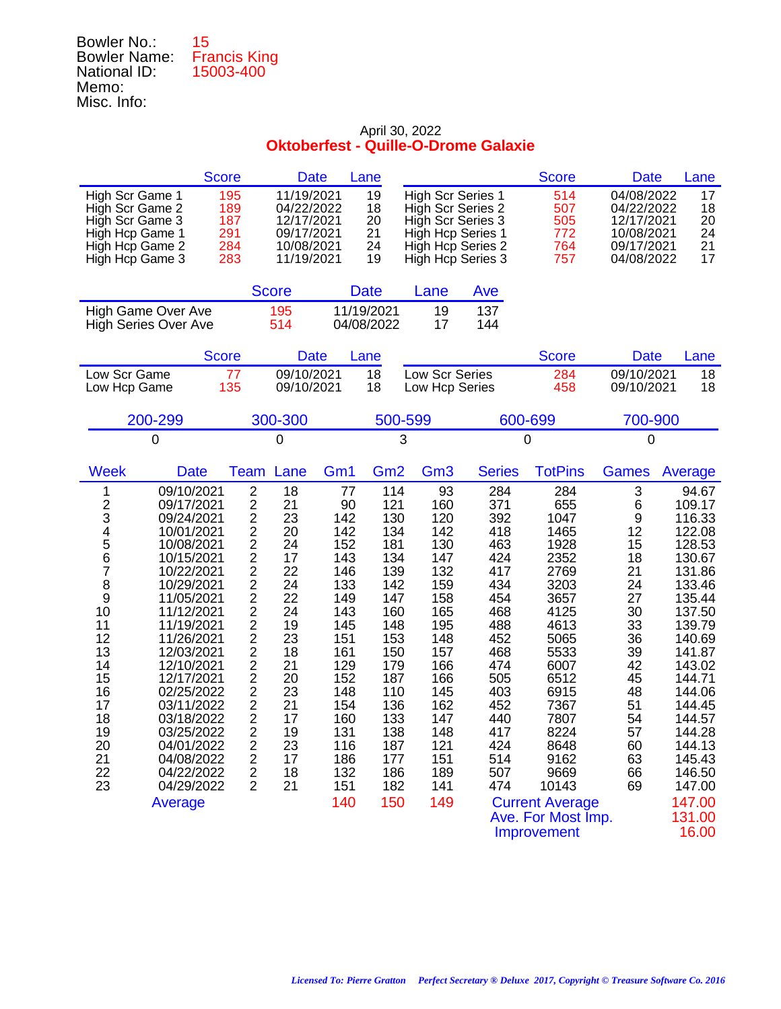| Bowler No.:         | 15                  |
|---------------------|---------------------|
| <b>Bowler Name:</b> | <b>Francis King</b> |
| National ID:        | 15003-400           |
| Memo:               |                     |
| Misc. Info:         |                     |

| <b>Score</b>                                                                                                                                                                                                                                                                                                                                                                                                                                                                      | <b>Date</b>                                                                                                                                                                                                                                                                                                                                                                                                                                                                                                               |                                                                                                                                                                    | Lane                                                                                                                                                                 |                                                                                                                                                                     |                                                                                                                                                               | <b>Score</b>                                                                                                                                                                                                                                       | <b>Date</b>                                                                                                                         | Lane                                                                                                                                                                                                                                                           |
|-----------------------------------------------------------------------------------------------------------------------------------------------------------------------------------------------------------------------------------------------------------------------------------------------------------------------------------------------------------------------------------------------------------------------------------------------------------------------------------|---------------------------------------------------------------------------------------------------------------------------------------------------------------------------------------------------------------------------------------------------------------------------------------------------------------------------------------------------------------------------------------------------------------------------------------------------------------------------------------------------------------------------|--------------------------------------------------------------------------------------------------------------------------------------------------------------------|----------------------------------------------------------------------------------------------------------------------------------------------------------------------|---------------------------------------------------------------------------------------------------------------------------------------------------------------------|---------------------------------------------------------------------------------------------------------------------------------------------------------------|----------------------------------------------------------------------------------------------------------------------------------------------------------------------------------------------------------------------------------------------------|-------------------------------------------------------------------------------------------------------------------------------------|----------------------------------------------------------------------------------------------------------------------------------------------------------------------------------------------------------------------------------------------------------------|
| High Scr Game 1<br>High Scr Game 2<br>High Scr Game 3<br>High Hcp Game 1<br>High Hcp Game 2<br>High Hcp Game 3                                                                                                                                                                                                                                                                                                                                                                    | 11/19/2021<br>195<br>189<br>04/22/2022<br>187<br>12/17/2021<br>291<br>09/17/2021<br>284<br>10/08/2021<br>283<br>11/19/2021                                                                                                                                                                                                                                                                                                                                                                                                |                                                                                                                                                                    | 19<br>18<br>20<br>21<br>24<br>19                                                                                                                                     | <b>High Scr Series 1</b><br>High Scr Series 2<br>High Scr Series 3<br>High Hcp Series 1<br>High Hcp Series 2<br>High Hcp Series 3                                   |                                                                                                                                                               | 514<br>507<br>505<br>772<br>764<br>757                                                                                                                                                                                                             | 04/08/2022<br>04/22/2022<br>12/17/2021<br>10/08/2021<br>09/17/2021<br>04/08/2022                                                    | 17<br>18<br>20<br>24<br>21<br>17                                                                                                                                                                                                                               |
|                                                                                                                                                                                                                                                                                                                                                                                                                                                                                   | <b>Score</b>                                                                                                                                                                                                                                                                                                                                                                                                                                                                                                              |                                                                                                                                                                    | <b>Date</b>                                                                                                                                                          | Lane                                                                                                                                                                | Ave                                                                                                                                                           |                                                                                                                                                                                                                                                    |                                                                                                                                     |                                                                                                                                                                                                                                                                |
| High Game Over Ave<br><b>High Series Over Ave</b>                                                                                                                                                                                                                                                                                                                                                                                                                                 | 195<br>514                                                                                                                                                                                                                                                                                                                                                                                                                                                                                                                |                                                                                                                                                                    | 11/19/2021<br>04/08/2022                                                                                                                                             | 19<br>17                                                                                                                                                            | 137<br>144                                                                                                                                                    |                                                                                                                                                                                                                                                    |                                                                                                                                     |                                                                                                                                                                                                                                                                |
| <b>Score</b>                                                                                                                                                                                                                                                                                                                                                                                                                                                                      | <b>Date</b>                                                                                                                                                                                                                                                                                                                                                                                                                                                                                                               |                                                                                                                                                                    | Lane                                                                                                                                                                 |                                                                                                                                                                     |                                                                                                                                                               | <b>Score</b>                                                                                                                                                                                                                                       | <b>Date</b>                                                                                                                         | Lane                                                                                                                                                                                                                                                           |
| Low Scr Game<br>Low Hcp Game                                                                                                                                                                                                                                                                                                                                                                                                                                                      | 09/10/2021<br>77<br>135<br>09/10/2021                                                                                                                                                                                                                                                                                                                                                                                                                                                                                     |                                                                                                                                                                    | 18<br>18                                                                                                                                                             | Low Scr Series<br>Low Hcp Series                                                                                                                                    |                                                                                                                                                               | 284<br>458                                                                                                                                                                                                                                         | 09/10/2021<br>09/10/2021                                                                                                            | 18<br>18                                                                                                                                                                                                                                                       |
| 200-299                                                                                                                                                                                                                                                                                                                                                                                                                                                                           | 300-300                                                                                                                                                                                                                                                                                                                                                                                                                                                                                                                   |                                                                                                                                                                    | 500-599                                                                                                                                                              |                                                                                                                                                                     |                                                                                                                                                               | 600-699                                                                                                                                                                                                                                            | 700-900                                                                                                                             |                                                                                                                                                                                                                                                                |
| 0                                                                                                                                                                                                                                                                                                                                                                                                                                                                                 | 0                                                                                                                                                                                                                                                                                                                                                                                                                                                                                                                         |                                                                                                                                                                    | 3                                                                                                                                                                    |                                                                                                                                                                     |                                                                                                                                                               | 0                                                                                                                                                                                                                                                  | 0                                                                                                                                   |                                                                                                                                                                                                                                                                |
| <b>Week</b><br><b>Date</b>                                                                                                                                                                                                                                                                                                                                                                                                                                                        | Lane<br>Team                                                                                                                                                                                                                                                                                                                                                                                                                                                                                                              | Gm <sub>1</sub>                                                                                                                                                    | Gm <sub>2</sub>                                                                                                                                                      | Gm <sub>3</sub>                                                                                                                                                     | <b>Series</b>                                                                                                                                                 | <b>TotPins</b>                                                                                                                                                                                                                                     | <b>Games</b>                                                                                                                        | Average                                                                                                                                                                                                                                                        |
| 09/10/2021<br>1<br>$\frac{2}{3}$<br>09/17/2021<br>09/24/2021<br>4<br>5<br>10/01/2021<br>10/08/2021<br>6<br>10/15/2021<br>7<br>10/22/2021<br>8<br>10/29/2021<br>9<br>11/05/2021<br>10<br>11/12/2021<br>11<br>11/19/2021<br>12<br>11/26/2021<br>13<br>12/03/2021<br>14<br>12/10/2021<br>15<br>12/17/2021<br>16<br>02/25/2022<br>17<br>03/11/2022<br>18<br>03/18/2022<br>19<br>03/25/2022<br>20<br>04/01/2022<br>21<br>04/08/2022<br>22<br>04/22/2022<br>23<br>04/29/2022<br>Average | $\overline{c}$<br>18<br>$\overline{c}$<br>21<br>$\overline{c}$<br>23<br>$\frac{2}{2}$<br>20<br>24<br>$\overline{c}$<br>17<br>$\overline{c}$<br>22<br>$\frac{2}{2}$<br>24<br>22<br>$\overline{c}$<br>24<br>$\overline{c}$<br>19<br>$\frac{2}{2}$<br>23<br>18<br>$\overline{c}$<br>21<br>$\overline{c}$<br>20<br>$\overline{\mathbf{c}}$<br>23<br>$\overline{c}$<br>21<br>$\overline{\mathbf{c}}$<br>17<br>$\overline{2}$<br>19<br>23<br>2<br>$\overline{\mathbf{c}}$<br>17<br>$\overline{2}$<br>18<br>$\overline{2}$<br>21 | 77<br>90<br>142<br>142<br>152<br>143<br>146<br>133<br>149<br>143<br>145<br>151<br>161<br>129<br>152<br>148<br>154<br>160<br>131<br>116<br>186<br>132<br>151<br>140 | 114<br>121<br>130<br>134<br>181<br>134<br>139<br>142<br>147<br>160<br>148<br>153<br>150<br>179<br>187<br>110<br>136<br>133<br>138<br>187<br>177<br>186<br>182<br>150 | 93<br>160<br>120<br>142<br>130<br>147<br>132<br>159<br>158<br>165<br>195<br>148<br>157<br>166<br>166<br>145<br>162<br>147<br>148<br>121<br>151<br>189<br>141<br>149 | 284<br>371<br>392<br>418<br>463<br>424<br>417<br>434<br>454<br>468<br>488<br>452<br>468<br>474<br>505<br>403<br>452<br>440<br>417<br>424<br>514<br>507<br>474 | 284<br>655<br>1047<br>1465<br>1928<br>2352<br>2769<br>3203<br>3657<br>4125<br>4613<br>5065<br>5533<br>6007<br>6512<br>6915<br>7367<br>7807<br>8224<br>8648<br>9162<br>9669<br>10143<br><b>Current Average</b><br>Ave. For Most Imp.<br>Improvement | 3<br>6<br>9<br>12<br>15<br>18<br>21<br>24<br>27<br>30<br>33<br>36<br>39<br>42<br>45<br>48<br>51<br>54<br>57<br>60<br>63<br>66<br>69 | 94.67<br>109.17<br>116.33<br>122.08<br>128.53<br>130.67<br>131.86<br>133.46<br>135.44<br>137.50<br>139.79<br>140.69<br>141.87<br>143.02<br>144.71<br>144.06<br>144.45<br>144.57<br>144.28<br>144.13<br>145.43<br>146.50<br>147.00<br>147.00<br>131.00<br>16.00 |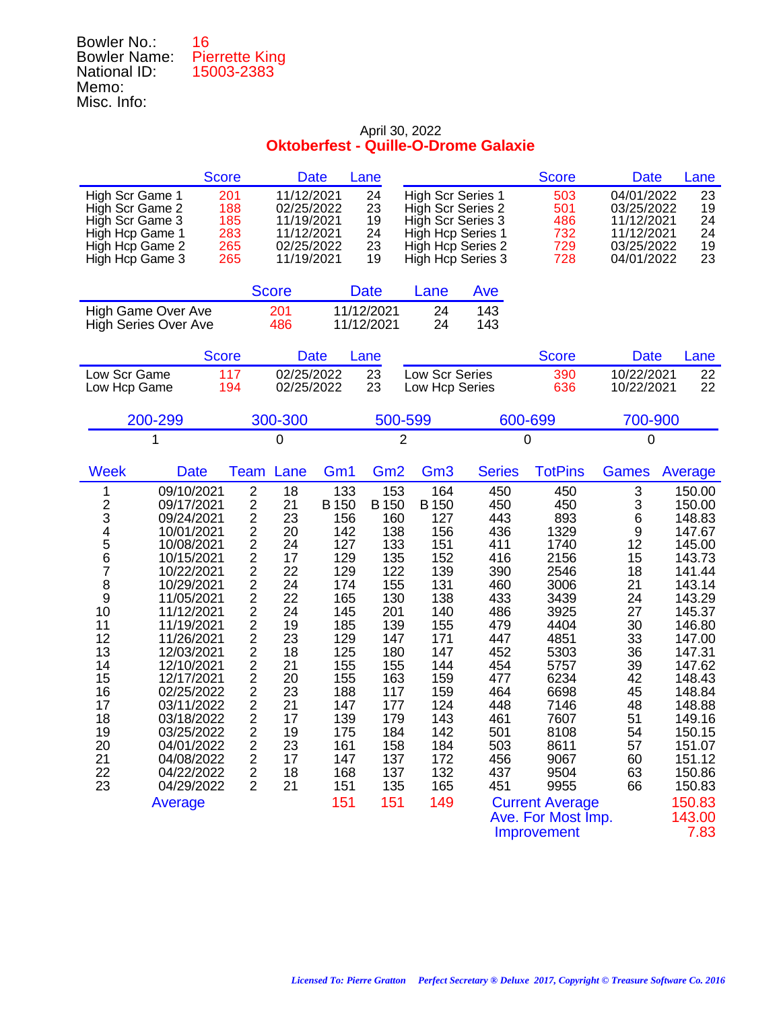| Bowler No.:         | 16                    |
|---------------------|-----------------------|
| <b>Bowler Name:</b> | <b>Pierrette King</b> |
| National ID:        | 15003-2383            |
| Memo:               |                       |
| Misc. Info:         |                       |

|                                                                                                                                              |                                                                                                                                                                                                                                                                                                                  | <b>Score</b>                           |                                                                                                                                                                                                                                                                                                                                                                                                                                                                                                                          | <b>Date</b>                                                                                                                                                     | Lane                                                                                                                                                            |                                                                                                                                                                 |                                                                                                                                                        | <b>Score</b>                                                                                                                                                               | <b>Date</b>                                                                                                                          | Lane                                                                                                                                                                                                                     |
|----------------------------------------------------------------------------------------------------------------------------------------------|------------------------------------------------------------------------------------------------------------------------------------------------------------------------------------------------------------------------------------------------------------------------------------------------------------------|----------------------------------------|--------------------------------------------------------------------------------------------------------------------------------------------------------------------------------------------------------------------------------------------------------------------------------------------------------------------------------------------------------------------------------------------------------------------------------------------------------------------------------------------------------------------------|-----------------------------------------------------------------------------------------------------------------------------------------------------------------|-----------------------------------------------------------------------------------------------------------------------------------------------------------------|-----------------------------------------------------------------------------------------------------------------------------------------------------------------|--------------------------------------------------------------------------------------------------------------------------------------------------------|----------------------------------------------------------------------------------------------------------------------------------------------------------------------------|--------------------------------------------------------------------------------------------------------------------------------------|--------------------------------------------------------------------------------------------------------------------------------------------------------------------------------------------------------------------------|
| High Scr Game 1<br>High Scr Game 2<br>High Scr Game 3<br>High Hcp Game 1<br>High Hcp Game 2<br>High Hcp Game 3                               |                                                                                                                                                                                                                                                                                                                  | 201<br>188<br>185<br>283<br>265<br>265 | 11/12/2021<br>02/25/2022<br>11/19/2021<br>11/12/2021<br>02/25/2022<br>11/19/2021                                                                                                                                                                                                                                                                                                                                                                                                                                         |                                                                                                                                                                 | 24<br>23<br>19<br>24<br>23<br>19                                                                                                                                | <b>High Scr Series 1</b><br>High Scr Series 2<br>High Scr Series 3<br>High Hcp Series 1<br>High Hcp Series 2<br>High Hcp Series 3                               |                                                                                                                                                        | 503<br>501<br>486<br>732<br>729<br>728                                                                                                                                     | 04/01/2022<br>03/25/2022<br>11/12/2021<br>11/12/2021<br>03/25/2022<br>04/01/2022                                                     | 23<br>19<br>24<br>24<br>19<br>23                                                                                                                                                                                         |
|                                                                                                                                              |                                                                                                                                                                                                                                                                                                                  |                                        | <b>Score</b>                                                                                                                                                                                                                                                                                                                                                                                                                                                                                                             |                                                                                                                                                                 | <b>Date</b>                                                                                                                                                     | Lane                                                                                                                                                            | Ave                                                                                                                                                    |                                                                                                                                                                            |                                                                                                                                      |                                                                                                                                                                                                                          |
|                                                                                                                                              | <b>High Game Over Ave</b><br><b>High Series Over Ave</b>                                                                                                                                                                                                                                                         |                                        | 201<br>486                                                                                                                                                                                                                                                                                                                                                                                                                                                                                                               |                                                                                                                                                                 | 11/12/2021<br>11/12/2021                                                                                                                                        | 24<br>24                                                                                                                                                        | 143<br>143                                                                                                                                             |                                                                                                                                                                            |                                                                                                                                      |                                                                                                                                                                                                                          |
|                                                                                                                                              |                                                                                                                                                                                                                                                                                                                  | <b>Score</b>                           |                                                                                                                                                                                                                                                                                                                                                                                                                                                                                                                          | <b>Date</b>                                                                                                                                                     | Lane                                                                                                                                                            |                                                                                                                                                                 |                                                                                                                                                        | <b>Score</b>                                                                                                                                                               | <b>Date</b>                                                                                                                          | Lane                                                                                                                                                                                                                     |
| Low Scr Game<br>Low Hcp Game                                                                                                                 |                                                                                                                                                                                                                                                                                                                  | 117<br>194                             | 02/25/2022<br>02/25/2022                                                                                                                                                                                                                                                                                                                                                                                                                                                                                                 |                                                                                                                                                                 | 23<br>23                                                                                                                                                        | Low Scr Series<br>Low Hcp Series                                                                                                                                |                                                                                                                                                        | 390<br>636                                                                                                                                                                 | 10/22/2021<br>10/22/2021                                                                                                             | 22<br>22                                                                                                                                                                                                                 |
|                                                                                                                                              | 200-299                                                                                                                                                                                                                                                                                                          |                                        | 300-300                                                                                                                                                                                                                                                                                                                                                                                                                                                                                                                  |                                                                                                                                                                 | 500-599                                                                                                                                                         |                                                                                                                                                                 |                                                                                                                                                        | 600-699                                                                                                                                                                    | 700-900                                                                                                                              |                                                                                                                                                                                                                          |
|                                                                                                                                              | 1                                                                                                                                                                                                                                                                                                                |                                        | 0                                                                                                                                                                                                                                                                                                                                                                                                                                                                                                                        |                                                                                                                                                                 | $\overline{2}$                                                                                                                                                  |                                                                                                                                                                 |                                                                                                                                                        | 0                                                                                                                                                                          | 0                                                                                                                                    |                                                                                                                                                                                                                          |
| <b>Week</b>                                                                                                                                  | <b>Date</b><br>09/10/2021                                                                                                                                                                                                                                                                                        | <b>Team</b>                            | Lane<br>$\overline{2}$<br>18                                                                                                                                                                                                                                                                                                                                                                                                                                                                                             | Gm1<br>133                                                                                                                                                      | Gm <sub>2</sub><br>153                                                                                                                                          | Gm <sub>3</sub><br>164                                                                                                                                          | <b>Series</b><br>450                                                                                                                                   | <b>TotPins</b><br>450                                                                                                                                                      | <b>Games</b><br>3                                                                                                                    | Average<br>150.00                                                                                                                                                                                                        |
| $\frac{2}{3}$<br>4<br>5<br>6<br>$\overline{7}$<br>8<br>9<br>10<br>11<br>12<br>13<br>14<br>15<br>16<br>17<br>18<br>19<br>20<br>21<br>22<br>23 | 09/17/2021<br>09/24/2021<br>10/01/2021<br>10/08/2021<br>10/15/2021<br>10/22/2021<br>10/29/2021<br>11/05/2021<br>11/12/2021<br>11/19/2021<br>11/26/2021<br>12/03/2021<br>12/10/2021<br>12/17/2021<br>02/25/2022<br>03/11/2022<br>03/18/2022<br>03/25/2022<br>04/01/2022<br>04/08/2022<br>04/22/2022<br>04/29/2022 |                                        | $\overline{c}$<br>21<br>$\overline{c}$<br>23<br>$\frac{2}{2}$<br>20<br>24<br>17<br>$\overline{\mathbf{c}}$<br>22<br>$\overline{c}$<br>24<br>$\overline{c}$<br>22<br>$\overline{2}$<br>24<br>$\overline{\mathbf{c}}$<br>19<br>$\overline{2}$<br>23<br>$\overline{\mathbf{c}}$<br>18<br>$\overline{c}$<br>21<br>$\overline{c}$<br>20<br>$\overline{c}$<br>23<br>$\frac{2}{2}$<br>21<br>17<br>$\overline{c}$<br>19<br>$\overline{2}$<br>23<br>$\overline{\mathbf{c}}$<br>17<br>$\overline{c}$<br>18<br>$\overline{2}$<br>21 | <b>B</b> 150<br>156<br>142<br>127<br>129<br>129<br>174<br>165<br>145<br>185<br>129<br>125<br>155<br>155<br>188<br>147<br>139<br>175<br>161<br>147<br>168<br>151 | <b>B</b> 150<br>160<br>138<br>133<br>135<br>122<br>155<br>130<br>201<br>139<br>147<br>180<br>155<br>163<br>117<br>177<br>179<br>184<br>158<br>137<br>137<br>135 | <b>B</b> 150<br>127<br>156<br>151<br>152<br>139<br>131<br>138<br>140<br>155<br>171<br>147<br>144<br>159<br>159<br>124<br>143<br>142<br>184<br>172<br>132<br>165 | 450<br>443<br>436<br>411<br>416<br>390<br>460<br>433<br>486<br>479<br>447<br>452<br>454<br>477<br>464<br>448<br>461<br>501<br>503<br>456<br>437<br>451 | 450<br>893<br>1329<br>1740<br>2156<br>2546<br>3006<br>3439<br>3925<br>4404<br>4851<br>5303<br>5757<br>6234<br>6698<br>7146<br>7607<br>8108<br>8611<br>9067<br>9504<br>9955 | 3<br>6<br>$\frac{9}{12}$<br>15<br>18<br>21<br>24<br>27<br>30<br>33<br>36<br>39<br>42<br>45<br>48<br>51<br>54<br>57<br>60<br>63<br>66 | 150.00<br>148.83<br>147.67<br>145.00<br>143.73<br>141.44<br>143.14<br>143.29<br>145.37<br>146.80<br>147.00<br>147.31<br>147.62<br>148.43<br>148.84<br>148.88<br>149.16<br>150.15<br>151.07<br>151.12<br>150.86<br>150.83 |
|                                                                                                                                              | Average                                                                                                                                                                                                                                                                                                          |                                        |                                                                                                                                                                                                                                                                                                                                                                                                                                                                                                                          | 151                                                                                                                                                             | 151                                                                                                                                                             | 149                                                                                                                                                             |                                                                                                                                                        | <b>Current Average</b><br>Ave. For Most Imp.                                                                                                                               |                                                                                                                                      | 150.83<br>143.00                                                                                                                                                                                                         |

Improvement 7.83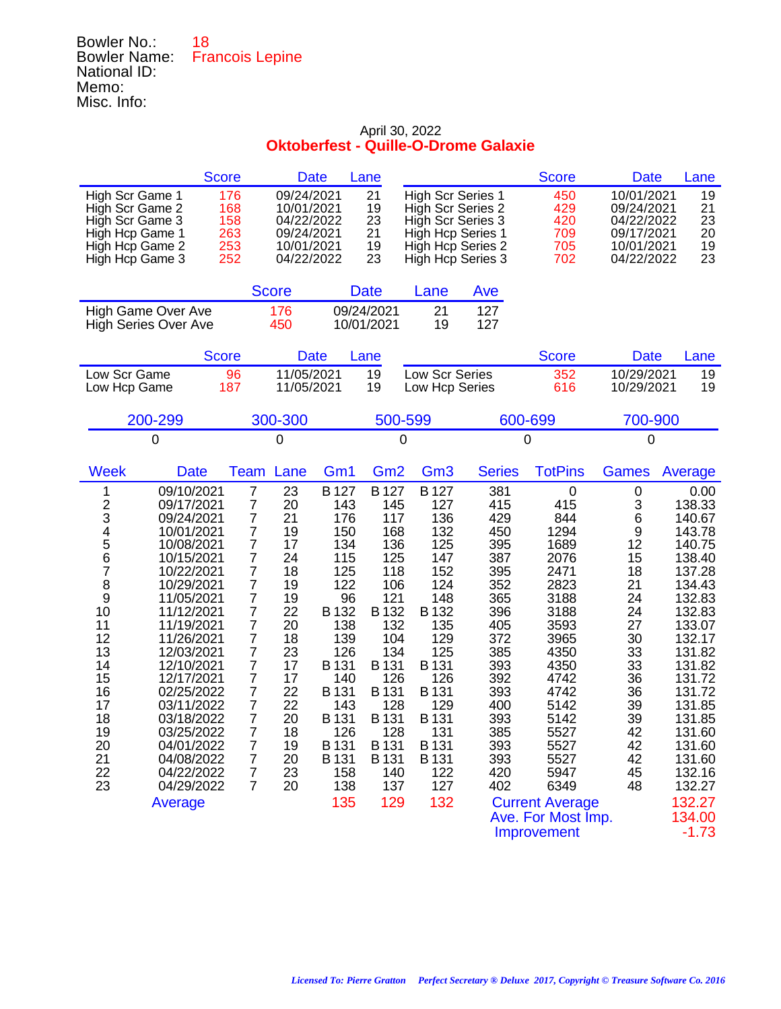## Bowler No.: 18 Bowler Name: Francois Lepine National ID: Memo: Misc. Info:

|                                                                                                                                                                                                                                                                                                                                                                                                                                                                                                  | <b>Score</b>                                                                                                                                                                                                                                                                                          | <b>Date</b>                                                                                                                            |                                                                                                                                                                                   | Lane                                                                                                                                                                               |                                                                                                                                                                                    |                                                                                                                                                               | <b>Score</b>                                                                                                                                                                                                                                                  | <b>Date</b>                                                                                                                        | Lane                                                                                                                                                                                                                                                            |
|--------------------------------------------------------------------------------------------------------------------------------------------------------------------------------------------------------------------------------------------------------------------------------------------------------------------------------------------------------------------------------------------------------------------------------------------------------------------------------------------------|-------------------------------------------------------------------------------------------------------------------------------------------------------------------------------------------------------------------------------------------------------------------------------------------------------|----------------------------------------------------------------------------------------------------------------------------------------|-----------------------------------------------------------------------------------------------------------------------------------------------------------------------------------|------------------------------------------------------------------------------------------------------------------------------------------------------------------------------------|------------------------------------------------------------------------------------------------------------------------------------------------------------------------------------|---------------------------------------------------------------------------------------------------------------------------------------------------------------|---------------------------------------------------------------------------------------------------------------------------------------------------------------------------------------------------------------------------------------------------------------|------------------------------------------------------------------------------------------------------------------------------------|-----------------------------------------------------------------------------------------------------------------------------------------------------------------------------------------------------------------------------------------------------------------|
| High Scr Game 1<br>High Scr Game 2<br>High Scr Game 3<br>High Hcp Game 1<br>High Hcp Game 2<br>High Hcp Game 3                                                                                                                                                                                                                                                                                                                                                                                   | 176<br>168<br>158<br>263<br>253<br>252                                                                                                                                                                                                                                                                | 09/24/2021<br>10/01/2021<br>04/22/2022<br>09/24/2021<br>10/01/2021<br>04/22/2022                                                       |                                                                                                                                                                                   | 21<br>19<br>23<br>21<br>19<br>23                                                                                                                                                   | <b>High Scr Series 1</b><br>High Scr Series 2<br>High Scr Series 3<br><b>High Hcp Series 1</b><br>High Hcp Series 2<br>High Hcp Series 3                                           |                                                                                                                                                               | 450<br>429<br>420<br>709<br>705<br>702                                                                                                                                                                                                                        | 10/01/2021<br>09/24/2021<br>04/22/2022<br>09/17/2021<br>10/01/2021<br>04/22/2022                                                   | 19<br>21<br>23<br>20<br>19<br>23                                                                                                                                                                                                                                |
|                                                                                                                                                                                                                                                                                                                                                                                                                                                                                                  |                                                                                                                                                                                                                                                                                                       | <b>Score</b>                                                                                                                           |                                                                                                                                                                                   | <b>Date</b>                                                                                                                                                                        | Lane                                                                                                                                                                               | Ave                                                                                                                                                           |                                                                                                                                                                                                                                                               |                                                                                                                                    |                                                                                                                                                                                                                                                                 |
| <b>High Game Over Ave</b><br><b>High Series Over Ave</b>                                                                                                                                                                                                                                                                                                                                                                                                                                         |                                                                                                                                                                                                                                                                                                       | 176<br>450                                                                                                                             |                                                                                                                                                                                   | 09/24/2021<br>10/01/2021                                                                                                                                                           | 21<br>19                                                                                                                                                                           | 127<br>127                                                                                                                                                    |                                                                                                                                                                                                                                                               |                                                                                                                                    |                                                                                                                                                                                                                                                                 |
|                                                                                                                                                                                                                                                                                                                                                                                                                                                                                                  | <b>Score</b>                                                                                                                                                                                                                                                                                          | <b>Date</b>                                                                                                                            |                                                                                                                                                                                   | Lane                                                                                                                                                                               |                                                                                                                                                                                    |                                                                                                                                                               | <b>Score</b>                                                                                                                                                                                                                                                  | <b>Date</b>                                                                                                                        | Lane                                                                                                                                                                                                                                                            |
| Low Scr Game<br>Low Hcp Game                                                                                                                                                                                                                                                                                                                                                                                                                                                                     | 96<br>187                                                                                                                                                                                                                                                                                             | 11/05/2021<br>11/05/2021                                                                                                               |                                                                                                                                                                                   | 19<br>19                                                                                                                                                                           | Low Scr Series<br>Low Hcp Series                                                                                                                                                   |                                                                                                                                                               | 352<br>616                                                                                                                                                                                                                                                    | 10/29/2021<br>10/29/2021                                                                                                           | 19<br>19                                                                                                                                                                                                                                                        |
| 200-299                                                                                                                                                                                                                                                                                                                                                                                                                                                                                          |                                                                                                                                                                                                                                                                                                       | 300-300                                                                                                                                |                                                                                                                                                                                   | 500-599                                                                                                                                                                            |                                                                                                                                                                                    |                                                                                                                                                               | 600-699                                                                                                                                                                                                                                                       | 700-900                                                                                                                            |                                                                                                                                                                                                                                                                 |
| 0                                                                                                                                                                                                                                                                                                                                                                                                                                                                                                |                                                                                                                                                                                                                                                                                                       | 0                                                                                                                                      |                                                                                                                                                                                   | 0                                                                                                                                                                                  |                                                                                                                                                                                    |                                                                                                                                                               | 0                                                                                                                                                                                                                                                             | 0                                                                                                                                  |                                                                                                                                                                                                                                                                 |
| <b>Week</b><br>Date                                                                                                                                                                                                                                                                                                                                                                                                                                                                              | Team                                                                                                                                                                                                                                                                                                  | Lane                                                                                                                                   | Gm <sub>1</sub>                                                                                                                                                                   | Gm <sub>2</sub>                                                                                                                                                                    | Gm <sub>3</sub>                                                                                                                                                                    | <b>Series</b>                                                                                                                                                 | <b>TotPins</b>                                                                                                                                                                                                                                                | <b>Games</b>                                                                                                                       | Average                                                                                                                                                                                                                                                         |
| 09/10/2021<br>1<br>$\overline{\mathbf{c}}$<br>09/17/2021<br>3<br>09/24/2021<br>4<br>5<br>10/01/2021<br>10/08/2021<br>6<br>10/15/2021<br>7<br>10/22/2021<br>8<br>10/29/2021<br>9<br>11/05/2021<br>10<br>11/12/2021<br>11<br>11/19/2021<br>12<br>11/26/2021<br>13<br>12/03/2021<br>14<br>12/10/2021<br>12/17/2021<br>15<br>16<br>02/25/2022<br>17<br>03/11/2022<br>18<br>03/18/2022<br>19<br>03/25/2022<br>20<br>04/01/2022<br>21<br>04/08/2022<br>22<br>04/22/2022<br>23<br>04/29/2022<br>Average | $\overline{7}$<br>$\overline{7}$<br>$\overline{7}$<br>7<br>$\overline{7}$<br>$\overline{7}$<br>$\overline{7}$<br>7<br>$\overline{7}$<br>7<br>$\overline{7}$<br>7<br>7<br>7<br>$\overline{7}$<br>7<br>$\overline{7}$<br>7<br>$\overline{7}$<br>7<br>$\overline{7}$<br>$\overline{7}$<br>$\overline{7}$ | 23<br>20<br>21<br>19<br>17<br>24<br>18<br>19<br>19<br>22<br>20<br>18<br>23<br>17<br>17<br>22<br>22<br>20<br>18<br>19<br>20<br>23<br>20 | B 127<br>143<br>176<br>150<br>134<br>115<br>125<br>122<br>96<br>B 132<br>138<br>139<br>126<br>B 131<br>140<br>B 131<br>143<br>B 131<br>126<br>B 131<br>B 131<br>158<br>138<br>135 | B 127<br>145<br>117<br>168<br>136<br>125<br>118<br>106<br>121<br>B 132<br>132<br>104<br>134<br>B 131<br>126<br>B 131<br>128<br>B 131<br>128<br>B 131<br>B 131<br>140<br>137<br>129 | B 127<br>127<br>136<br>132<br>125<br>147<br>152<br>124<br>148<br>B 132<br>135<br>129<br>125<br>B 131<br>126<br>B 131<br>129<br>B 131<br>131<br>B 131<br>B 131<br>122<br>127<br>132 | 381<br>415<br>429<br>450<br>395<br>387<br>395<br>352<br>365<br>396<br>405<br>372<br>385<br>393<br>392<br>393<br>400<br>393<br>385<br>393<br>393<br>420<br>402 | $\boldsymbol{0}$<br>415<br>844<br>1294<br>1689<br>2076<br>2471<br>2823<br>3188<br>3188<br>3593<br>3965<br>4350<br>4350<br>4742<br>4742<br>5142<br>5142<br>5527<br>5527<br>5527<br>5947<br>6349<br><b>Current Average</b><br>Ave. For Most Imp.<br>Improvement | 0<br>3<br>6<br>9<br>12<br>15<br>18<br>21<br>24<br>24<br>27<br>30<br>33<br>33<br>36<br>36<br>39<br>39<br>42<br>42<br>42<br>45<br>48 | 0.00<br>138.33<br>140.67<br>143.78<br>140.75<br>138.40<br>137.28<br>134.43<br>132.83<br>132.83<br>133.07<br>132.17<br>131.82<br>131.82<br>131.72<br>131.72<br>131.85<br>131.85<br>131.60<br>131.60<br>131.60<br>132.16<br>132.27<br>132.27<br>134.00<br>$-1.73$ |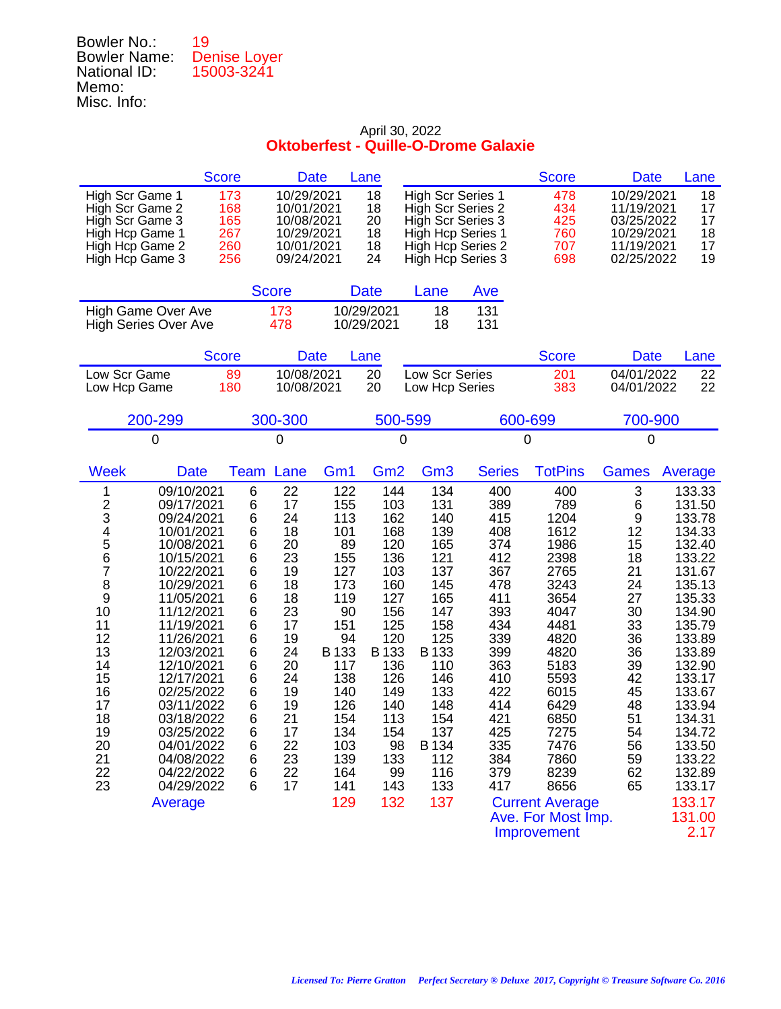| Bowler No.:         | 19                         |
|---------------------|----------------------------|
| <b>Bowler Name:</b> | Denise Loyer<br>15003-3241 |
| National ID:        |                            |
| Memo:               |                            |
| Misc. Info:         |                            |

|                                                                                                                                                                                                                                                                                                                                                                                                                                                                                   | <b>Score</b>                                                                                                        | <b>Date</b>                                                                                                                            |                                                                                                                                                                     | Lane                                                                                                                                                                 |                                                                                                                                                                          |                                                                                                                                                               | <b>Score</b>                                                                                                                                                                                                                                      | <b>Date</b>                                                                                                                         | Lane                                                                                                                                                                                                                                                           |
|-----------------------------------------------------------------------------------------------------------------------------------------------------------------------------------------------------------------------------------------------------------------------------------------------------------------------------------------------------------------------------------------------------------------------------------------------------------------------------------|---------------------------------------------------------------------------------------------------------------------|----------------------------------------------------------------------------------------------------------------------------------------|---------------------------------------------------------------------------------------------------------------------------------------------------------------------|----------------------------------------------------------------------------------------------------------------------------------------------------------------------|--------------------------------------------------------------------------------------------------------------------------------------------------------------------------|---------------------------------------------------------------------------------------------------------------------------------------------------------------|---------------------------------------------------------------------------------------------------------------------------------------------------------------------------------------------------------------------------------------------------|-------------------------------------------------------------------------------------------------------------------------------------|----------------------------------------------------------------------------------------------------------------------------------------------------------------------------------------------------------------------------------------------------------------|
| High Scr Game 1<br>High Scr Game 2<br>High Scr Game 3<br>High Hcp Game 1<br>High Hcp Game 2<br>High Hcp Game 3                                                                                                                                                                                                                                                                                                                                                                    | 173<br>168<br>165<br>267<br>260<br>256                                                                              | 10/29/2021<br>10/01/2021<br>10/08/2021<br>10/29/2021<br>10/01/2021<br>09/24/2021                                                       |                                                                                                                                                                     | 18<br>18<br>20<br>18<br>18<br>24                                                                                                                                     | <b>High Scr Series 1</b><br>High Scr Series 2<br>High Scr Series 3<br>High Hcp Series 1                                                                                  | High Hcp Series 2<br>High Hcp Series 3                                                                                                                        | 478<br>434<br>425<br>760<br>707<br>698                                                                                                                                                                                                            | 10/29/2021<br>11/19/2021<br>03/25/2022<br>10/29/2021<br>11/19/2021<br>02/25/2022                                                    | 18<br>17<br>17<br>18<br>17<br>19                                                                                                                                                                                                                               |
|                                                                                                                                                                                                                                                                                                                                                                                                                                                                                   |                                                                                                                     | <b>Score</b>                                                                                                                           |                                                                                                                                                                     | <b>Date</b>                                                                                                                                                          | Lane                                                                                                                                                                     | Ave                                                                                                                                                           |                                                                                                                                                                                                                                                   |                                                                                                                                     |                                                                                                                                                                                                                                                                |
| <b>High Game Over Ave</b><br><b>High Series Over Ave</b>                                                                                                                                                                                                                                                                                                                                                                                                                          |                                                                                                                     | 173<br>478                                                                                                                             |                                                                                                                                                                     | 10/29/2021<br>10/29/2021                                                                                                                                             | 18<br>18                                                                                                                                                                 | 131<br>131                                                                                                                                                    |                                                                                                                                                                                                                                                   |                                                                                                                                     |                                                                                                                                                                                                                                                                |
|                                                                                                                                                                                                                                                                                                                                                                                                                                                                                   | <b>Score</b>                                                                                                        | <b>Date</b>                                                                                                                            |                                                                                                                                                                     | Lane                                                                                                                                                                 |                                                                                                                                                                          |                                                                                                                                                               | <b>Score</b>                                                                                                                                                                                                                                      | <b>Date</b>                                                                                                                         | Lane                                                                                                                                                                                                                                                           |
| Low Scr Game<br>Low Hcp Game                                                                                                                                                                                                                                                                                                                                                                                                                                                      | 89<br>180                                                                                                           | 10/08/2021<br>10/08/2021                                                                                                               |                                                                                                                                                                     | 20<br>20                                                                                                                                                             | Low Scr Series<br>Low Hcp Series                                                                                                                                         |                                                                                                                                                               | 201<br>383                                                                                                                                                                                                                                        | 04/01/2022<br>04/01/2022                                                                                                            | 22<br>22                                                                                                                                                                                                                                                       |
| 200-299                                                                                                                                                                                                                                                                                                                                                                                                                                                                           |                                                                                                                     | 300-300                                                                                                                                |                                                                                                                                                                     | 500-599                                                                                                                                                              |                                                                                                                                                                          |                                                                                                                                                               | 600-699                                                                                                                                                                                                                                           | 700-900                                                                                                                             |                                                                                                                                                                                                                                                                |
| $\Omega$                                                                                                                                                                                                                                                                                                                                                                                                                                                                          |                                                                                                                     | 0                                                                                                                                      |                                                                                                                                                                     | 0                                                                                                                                                                    |                                                                                                                                                                          |                                                                                                                                                               | 0                                                                                                                                                                                                                                                 | $\mathbf 0$                                                                                                                         |                                                                                                                                                                                                                                                                |
| <b>Week</b><br><b>Date</b>                                                                                                                                                                                                                                                                                                                                                                                                                                                        | Team                                                                                                                | Lane                                                                                                                                   | Gm <sub>1</sub>                                                                                                                                                     | Gm <sub>2</sub>                                                                                                                                                      | Gm <sub>3</sub>                                                                                                                                                          | <b>Series</b>                                                                                                                                                 | <b>TotPins</b>                                                                                                                                                                                                                                    | <b>Games</b>                                                                                                                        | Average                                                                                                                                                                                                                                                        |
| 09/10/2021<br>1<br>$\frac{2}{3}$<br>09/17/2021<br>09/24/2021<br>4<br>5<br>10/01/2021<br>10/08/2021<br>6<br>10/15/2021<br>7<br>10/22/2021<br>8<br>10/29/2021<br>9<br>11/05/2021<br>10<br>11/12/2021<br>11<br>11/19/2021<br>12<br>11/26/2021<br>13<br>12/03/2021<br>14<br>12/10/2021<br>15<br>12/17/2021<br>16<br>02/25/2022<br>17<br>03/11/2022<br>18<br>03/18/2022<br>19<br>03/25/2022<br>20<br>04/01/2022<br>21<br>04/08/2022<br>22<br>04/22/2022<br>23<br>04/29/2022<br>Average | 6<br>6<br>6<br>6<br>6<br>$\,6$<br>6<br>6<br>6<br>6<br>6<br>6<br>6<br>6<br>6<br>6<br>6<br>6<br>6<br>6<br>6<br>6<br>6 | 22<br>17<br>24<br>18<br>20<br>23<br>19<br>18<br>18<br>23<br>17<br>19<br>24<br>20<br>24<br>19<br>19<br>21<br>17<br>22<br>23<br>22<br>17 | 122<br>155<br>113<br>101<br>89<br>155<br>127<br>173<br>119<br>90<br>151<br>94<br>B 133<br>117<br>138<br>140<br>126<br>154<br>134<br>103<br>139<br>164<br>141<br>129 | 144<br>103<br>162<br>168<br>120<br>136<br>103<br>160<br>127<br>156<br>125<br>120<br>B 133<br>136<br>126<br>149<br>140<br>113<br>154<br>98<br>133<br>99<br>143<br>132 | 134<br>131<br>140<br>139<br>165<br>121<br>137<br>145<br>165<br>147<br>158<br>125<br>B 133<br>110<br>146<br>133<br>148<br>154<br>137<br>B 134<br>112<br>116<br>133<br>137 | 400<br>389<br>415<br>408<br>374<br>412<br>367<br>478<br>411<br>393<br>434<br>339<br>399<br>363<br>410<br>422<br>414<br>421<br>425<br>335<br>384<br>379<br>417 | 400<br>789<br>1204<br>1612<br>1986<br>2398<br>2765<br>3243<br>3654<br>4047<br>4481<br>4820<br>4820<br>5183<br>5593<br>6015<br>6429<br>6850<br>7275<br>7476<br>7860<br>8239<br>8656<br><b>Current Average</b><br>Ave. For Most Imp.<br>Improvement | 3<br>6<br>9<br>12<br>15<br>18<br>21<br>24<br>27<br>30<br>33<br>36<br>36<br>39<br>42<br>45<br>48<br>51<br>54<br>56<br>59<br>62<br>65 | 133.33<br>131.50<br>133.78<br>134.33<br>132.40<br>133.22<br>131.67<br>135.13<br>135.33<br>134.90<br>135.79<br>133.89<br>133.89<br>132.90<br>133.17<br>133.67<br>133.94<br>134.31<br>134.72<br>133.50<br>133.22<br>132.89<br>133.17<br>133.17<br>131.00<br>2.17 |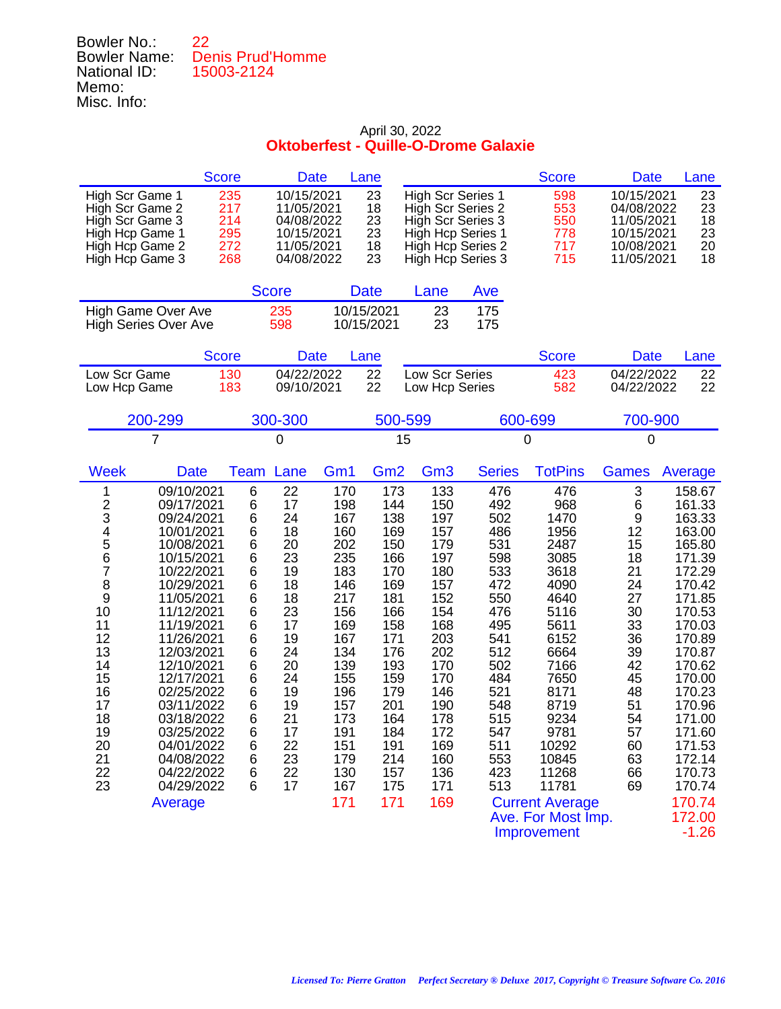| Bowler No.:         | 22.                     |
|---------------------|-------------------------|
| <b>Bowler Name:</b> | <b>Denis Prud'Homme</b> |
| National ID:        | 15003-2124              |
| Memo:               |                         |
| Misc. Info:         |                         |

|                                                                                                                                                                                                                                                                                                                                                                                                                                                                                                  | <b>Score</b>                                                                                                    | <b>Date</b>                                                                                                                            |                                                                                                                                                                      | Lane                                                                                                                                                                 |                                                                                                                                                                      |                                                                                                                                                               | <b>Score</b>                                                                                                                                                                                                                                          | <b>Date</b>                                                                                                                         | Lane                                                                                                                                                                                                                                                              |
|--------------------------------------------------------------------------------------------------------------------------------------------------------------------------------------------------------------------------------------------------------------------------------------------------------------------------------------------------------------------------------------------------------------------------------------------------------------------------------------------------|-----------------------------------------------------------------------------------------------------------------|----------------------------------------------------------------------------------------------------------------------------------------|----------------------------------------------------------------------------------------------------------------------------------------------------------------------|----------------------------------------------------------------------------------------------------------------------------------------------------------------------|----------------------------------------------------------------------------------------------------------------------------------------------------------------------|---------------------------------------------------------------------------------------------------------------------------------------------------------------|-------------------------------------------------------------------------------------------------------------------------------------------------------------------------------------------------------------------------------------------------------|-------------------------------------------------------------------------------------------------------------------------------------|-------------------------------------------------------------------------------------------------------------------------------------------------------------------------------------------------------------------------------------------------------------------|
| High Scr Game 1<br>High Scr Game 2<br>High Scr Game 3<br>High Hcp Game 1<br>High Hcp Game 2<br>High Hcp Game 3                                                                                                                                                                                                                                                                                                                                                                                   | 235<br>217<br>214<br>295<br>272<br>268                                                                          | 10/15/2021<br>11/05/2021<br>04/08/2022<br>10/15/2021<br>11/05/2021<br>04/08/2022                                                       |                                                                                                                                                                      | 23<br>18<br>23<br>23<br>18<br>23                                                                                                                                     | <b>High Scr Series 1</b><br>High Scr Series 2<br>High Scr Series 3<br><b>High Hcp Series 1</b><br>High Hcp Series 2<br>High Hcp Series 3                             |                                                                                                                                                               | 598<br>553<br>550<br>778<br>717<br>715                                                                                                                                                                                                                | 10/15/2021<br>04/08/2022<br>11/05/2021<br>10/15/2021<br>10/08/2021<br>11/05/2021                                                    | 23<br>23<br>18<br>23<br>20<br>18                                                                                                                                                                                                                                  |
|                                                                                                                                                                                                                                                                                                                                                                                                                                                                                                  |                                                                                                                 | <b>Score</b>                                                                                                                           |                                                                                                                                                                      | <b>Date</b>                                                                                                                                                          | Lane                                                                                                                                                                 | Ave                                                                                                                                                           |                                                                                                                                                                                                                                                       |                                                                                                                                     |                                                                                                                                                                                                                                                                   |
| <b>High Game Over Ave</b><br><b>High Series Over Ave</b>                                                                                                                                                                                                                                                                                                                                                                                                                                         |                                                                                                                 | 235<br>598                                                                                                                             |                                                                                                                                                                      | 10/15/2021<br>10/15/2021                                                                                                                                             | 23<br>23                                                                                                                                                             | 175<br>175                                                                                                                                                    |                                                                                                                                                                                                                                                       |                                                                                                                                     |                                                                                                                                                                                                                                                                   |
|                                                                                                                                                                                                                                                                                                                                                                                                                                                                                                  | <b>Score</b>                                                                                                    | <b>Date</b>                                                                                                                            |                                                                                                                                                                      | Lane                                                                                                                                                                 |                                                                                                                                                                      |                                                                                                                                                               | <b>Score</b>                                                                                                                                                                                                                                          | <b>Date</b>                                                                                                                         | Lane                                                                                                                                                                                                                                                              |
| Low Scr Game<br>Low Hcp Game                                                                                                                                                                                                                                                                                                                                                                                                                                                                     | 130<br>183                                                                                                      | 04/22/2022<br>09/10/2021                                                                                                               |                                                                                                                                                                      | 22<br>22                                                                                                                                                             | Low Scr Series<br>Low Hcp Series                                                                                                                                     |                                                                                                                                                               | 423<br>582                                                                                                                                                                                                                                            | 04/22/2022<br>04/22/2022                                                                                                            | 22<br>22                                                                                                                                                                                                                                                          |
| 200-299                                                                                                                                                                                                                                                                                                                                                                                                                                                                                          |                                                                                                                 | 300-300                                                                                                                                |                                                                                                                                                                      | 500-599                                                                                                                                                              |                                                                                                                                                                      |                                                                                                                                                               | 600-699                                                                                                                                                                                                                                               | 700-900                                                                                                                             |                                                                                                                                                                                                                                                                   |
| 7                                                                                                                                                                                                                                                                                                                                                                                                                                                                                                |                                                                                                                 | 0                                                                                                                                      |                                                                                                                                                                      | 15                                                                                                                                                                   |                                                                                                                                                                      |                                                                                                                                                               | 0                                                                                                                                                                                                                                                     | $\mathbf 0$                                                                                                                         |                                                                                                                                                                                                                                                                   |
| <b>Week</b><br><b>Date</b>                                                                                                                                                                                                                                                                                                                                                                                                                                                                       | <b>Team</b>                                                                                                     | Lane                                                                                                                                   | Gm <sub>1</sub>                                                                                                                                                      | Gm <sub>2</sub>                                                                                                                                                      | Gm <sub>3</sub>                                                                                                                                                      | <b>Series</b>                                                                                                                                                 | <b>TotPins</b>                                                                                                                                                                                                                                        | <b>Games</b>                                                                                                                        | Average                                                                                                                                                                                                                                                           |
| 09/10/2021<br>1<br>$\overline{\mathbf{c}}$<br>09/17/2021<br>3<br>09/24/2021<br>4<br>5<br>10/01/2021<br>10/08/2021<br>6<br>10/15/2021<br>7<br>10/22/2021<br>8<br>10/29/2021<br>9<br>11/05/2021<br>10<br>11/12/2021<br>11<br>11/19/2021<br>12<br>11/26/2021<br>13<br>12/03/2021<br>14<br>12/10/2021<br>15<br>12/17/2021<br>16<br>02/25/2022<br>17<br>03/11/2022<br>18<br>03/18/2022<br>19<br>03/25/2022<br>20<br>04/01/2022<br>21<br>04/08/2022<br>22<br>04/22/2022<br>23<br>04/29/2022<br>Average | 6<br>6<br>6<br>6<br>6<br>6<br>6<br>6<br>6<br>6<br>6<br>6<br>6<br>6<br>6<br>6<br>6<br>6<br>6<br>6<br>6<br>6<br>6 | 22<br>17<br>24<br>18<br>20<br>23<br>19<br>18<br>18<br>23<br>17<br>19<br>24<br>20<br>24<br>19<br>19<br>21<br>17<br>22<br>23<br>22<br>17 | 170<br>198<br>167<br>160<br>202<br>235<br>183<br>146<br>217<br>156<br>169<br>167<br>134<br>139<br>155<br>196<br>157<br>173<br>191<br>151<br>179<br>130<br>167<br>171 | 173<br>144<br>138<br>169<br>150<br>166<br>170<br>169<br>181<br>166<br>158<br>171<br>176<br>193<br>159<br>179<br>201<br>164<br>184<br>191<br>214<br>157<br>175<br>171 | 133<br>150<br>197<br>157<br>179<br>197<br>180<br>157<br>152<br>154<br>168<br>203<br>202<br>170<br>170<br>146<br>190<br>178<br>172<br>169<br>160<br>136<br>171<br>169 | 476<br>492<br>502<br>486<br>531<br>598<br>533<br>472<br>550<br>476<br>495<br>541<br>512<br>502<br>484<br>521<br>548<br>515<br>547<br>511<br>553<br>423<br>513 | 476<br>968<br>1470<br>1956<br>2487<br>3085<br>3618<br>4090<br>4640<br>5116<br>5611<br>6152<br>6664<br>7166<br>7650<br>8171<br>8719<br>9234<br>9781<br>10292<br>10845<br>11268<br>11781<br><b>Current Average</b><br>Ave. For Most Imp.<br>Improvement | 3<br>6<br>9<br>12<br>15<br>18<br>21<br>24<br>27<br>30<br>33<br>36<br>39<br>42<br>45<br>48<br>51<br>54<br>57<br>60<br>63<br>66<br>69 | 158.67<br>161.33<br>163.33<br>163.00<br>165.80<br>171.39<br>172.29<br>170.42<br>171.85<br>170.53<br>170.03<br>170.89<br>170.87<br>170.62<br>170.00<br>170.23<br>170.96<br>171.00<br>171.60<br>171.53<br>172.14<br>170.73<br>170.74<br>170.74<br>172.00<br>$-1.26$ |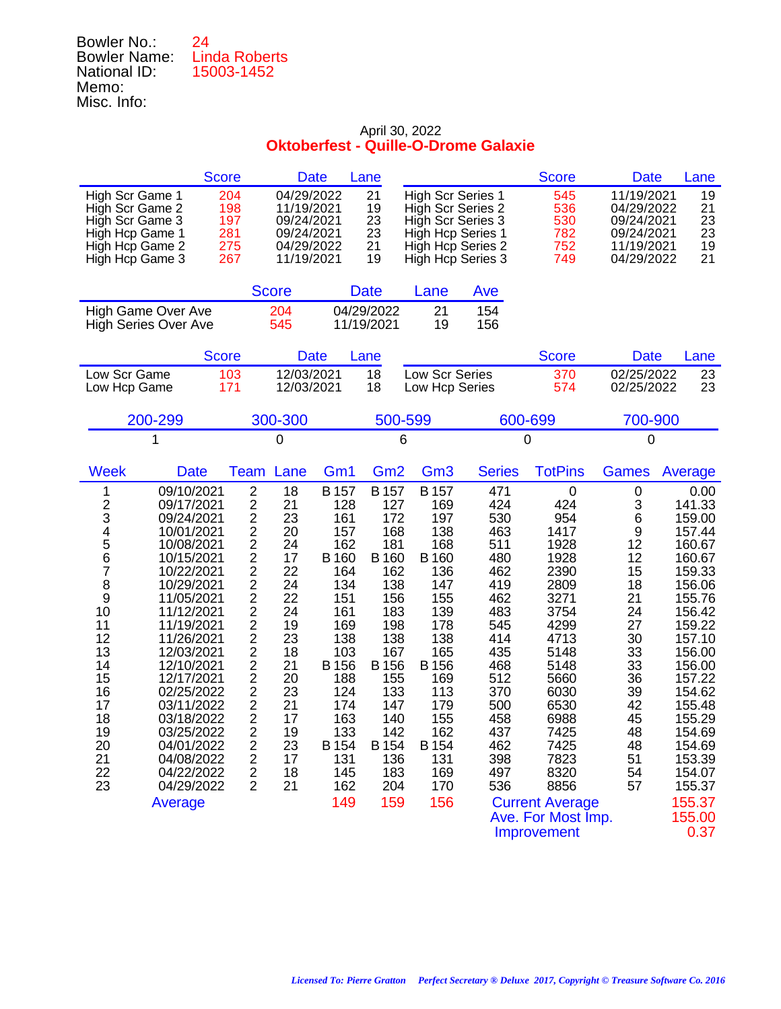| Bowler No.:         | 24                   |
|---------------------|----------------------|
| <b>Bowler Name:</b> | <b>Linda Roberts</b> |
| National ID:        | 15003-1452           |
| Memo:               |                      |
| Misc. Info:         |                      |

| <b>Score</b>                                                                                                                                                                                                                                                                                                                                                                                                                                                                      | <b>Date</b>                                                                                                                                                                                                                                                                                                                                                                                                                                                                                                        | Lane                                                                                                                                                                                                                                                                                                                                                                              |                                                                                                                                                                                     |                                                                                                                                                               | <b>Score</b>                                                                                                                                                                                                                                             | <b>Date</b>                                                                                                                        | Lane                                                                                                                                                                                                                                                         |
|-----------------------------------------------------------------------------------------------------------------------------------------------------------------------------------------------------------------------------------------------------------------------------------------------------------------------------------------------------------------------------------------------------------------------------------------------------------------------------------|--------------------------------------------------------------------------------------------------------------------------------------------------------------------------------------------------------------------------------------------------------------------------------------------------------------------------------------------------------------------------------------------------------------------------------------------------------------------------------------------------------------------|-----------------------------------------------------------------------------------------------------------------------------------------------------------------------------------------------------------------------------------------------------------------------------------------------------------------------------------------------------------------------------------|-------------------------------------------------------------------------------------------------------------------------------------------------------------------------------------|---------------------------------------------------------------------------------------------------------------------------------------------------------------|----------------------------------------------------------------------------------------------------------------------------------------------------------------------------------------------------------------------------------------------------------|------------------------------------------------------------------------------------------------------------------------------------|--------------------------------------------------------------------------------------------------------------------------------------------------------------------------------------------------------------------------------------------------------------|
| High Scr Game 1<br>High Scr Game 2<br>High Scr Game 3<br>High Hcp Game 1<br>High Hcp Game 2<br>High Hcp Game 3                                                                                                                                                                                                                                                                                                                                                                    | 204<br>04/29/2022<br>198<br>11/19/2021<br>197<br>09/24/2021<br>281<br>09/24/2021<br>275<br>04/29/2022<br>267<br>11/19/2021                                                                                                                                                                                                                                                                                                                                                                                         | 21<br>19<br>23<br>23<br>21<br>19                                                                                                                                                                                                                                                                                                                                                  | <b>High Scr Series 1</b><br>High Scr Series 2<br>High Scr Series 3<br>High Hcp Series 1<br>High Hcp Series 2<br>High Hcp Series 3                                                   |                                                                                                                                                               | 545<br>536<br>530<br>782<br>752<br>749                                                                                                                                                                                                                   | 11/19/2021<br>04/29/2022<br>09/24/2021<br>09/24/2021<br>11/19/2021<br>04/29/2022                                                   | 19<br>21<br>23<br>23<br>19<br>21                                                                                                                                                                                                                             |
|                                                                                                                                                                                                                                                                                                                                                                                                                                                                                   | <b>Score</b>                                                                                                                                                                                                                                                                                                                                                                                                                                                                                                       | <b>Date</b>                                                                                                                                                                                                                                                                                                                                                                       | Lane                                                                                                                                                                                | Ave                                                                                                                                                           |                                                                                                                                                                                                                                                          |                                                                                                                                    |                                                                                                                                                                                                                                                              |
| High Game Over Ave<br><b>High Series Over Ave</b>                                                                                                                                                                                                                                                                                                                                                                                                                                 | 204<br>545                                                                                                                                                                                                                                                                                                                                                                                                                                                                                                         | 04/29/2022<br>11/19/2021                                                                                                                                                                                                                                                                                                                                                          | 21<br>19                                                                                                                                                                            | 154<br>156                                                                                                                                                    |                                                                                                                                                                                                                                                          |                                                                                                                                    |                                                                                                                                                                                                                                                              |
| <b>Score</b>                                                                                                                                                                                                                                                                                                                                                                                                                                                                      | <b>Date</b>                                                                                                                                                                                                                                                                                                                                                                                                                                                                                                        | Lane                                                                                                                                                                                                                                                                                                                                                                              |                                                                                                                                                                                     |                                                                                                                                                               | <b>Score</b>                                                                                                                                                                                                                                             | <b>Date</b>                                                                                                                        | Lane                                                                                                                                                                                                                                                         |
| Low Scr Game<br>Low Hcp Game                                                                                                                                                                                                                                                                                                                                                                                                                                                      | 12/03/2021<br>103<br>171<br>12/03/2021                                                                                                                                                                                                                                                                                                                                                                                                                                                                             | 18<br>18                                                                                                                                                                                                                                                                                                                                                                          | Low Scr Series<br>Low Hcp Series                                                                                                                                                    |                                                                                                                                                               | 370<br>574                                                                                                                                                                                                                                               | 02/25/2022<br>02/25/2022                                                                                                           | 23<br>23                                                                                                                                                                                                                                                     |
| 200-299                                                                                                                                                                                                                                                                                                                                                                                                                                                                           | 300-300                                                                                                                                                                                                                                                                                                                                                                                                                                                                                                            |                                                                                                                                                                                                                                                                                                                                                                                   | 500-599                                                                                                                                                                             | 600-699                                                                                                                                                       |                                                                                                                                                                                                                                                          | 700-900                                                                                                                            |                                                                                                                                                                                                                                                              |
| 1                                                                                                                                                                                                                                                                                                                                                                                                                                                                                 | 0                                                                                                                                                                                                                                                                                                                                                                                                                                                                                                                  |                                                                                                                                                                                                                                                                                                                                                                                   | 6                                                                                                                                                                                   | 0                                                                                                                                                             |                                                                                                                                                                                                                                                          | 0                                                                                                                                  |                                                                                                                                                                                                                                                              |
| <b>Week</b><br><b>Date</b>                                                                                                                                                                                                                                                                                                                                                                                                                                                        | Lane<br>Team                                                                                                                                                                                                                                                                                                                                                                                                                                                                                                       | Gm <sub>1</sub><br>Gm <sub>2</sub>                                                                                                                                                                                                                                                                                                                                                | Gm <sub>3</sub>                                                                                                                                                                     | <b>Series</b>                                                                                                                                                 | <b>TotPins</b>                                                                                                                                                                                                                                           | <b>Games</b>                                                                                                                       | Average                                                                                                                                                                                                                                                      |
| 09/10/2021<br>1<br>$\frac{2}{3}$<br>09/17/2021<br>09/24/2021<br>4<br>5<br>10/01/2021<br>10/08/2021<br>6<br>10/15/2021<br>7<br>10/22/2021<br>8<br>10/29/2021<br>9<br>11/05/2021<br>10<br>11/12/2021<br>11<br>11/19/2021<br>12<br>11/26/2021<br>13<br>12/03/2021<br>14<br>12/10/2021<br>15<br>12/17/2021<br>16<br>02/25/2022<br>17<br>03/11/2022<br>18<br>03/18/2022<br>19<br>03/25/2022<br>20<br>04/01/2022<br>21<br>04/08/2022<br>22<br>04/22/2022<br>23<br>04/29/2022<br>Average | $\overline{2}$<br>18<br>2<br>21<br>$\overline{\mathbf{c}}$<br>23<br>$\frac{2}{2}$<br>20<br>24<br>$\overline{c}$<br>17<br>$\overline{2}$<br>22<br>$\overline{\mathbf{c}}$<br>24<br>$\overline{2}$<br>22<br>$\overline{2}$<br>24<br>$\overline{2}$<br>19<br>$\frac{2}{2}$<br>23<br>18<br>$\overline{2}$<br>21<br>$\overline{2}$<br>20<br>$\overline{\mathbf{c}}$<br>23<br>$\overline{c}$<br>21<br>$\overline{c}$<br>17<br>$\overline{2}$<br>19<br>23<br>2<br>$\overline{2}$<br>17<br>$\overline{2}$<br>18<br>2<br>21 | <b>B</b> 157<br><b>B</b> 157<br>128<br>127<br>161<br>172<br>157<br>168<br>162<br>181<br>B 160<br><b>B</b> 160<br>164<br>162<br>134<br>138<br>151<br>156<br>161<br>183<br>198<br>169<br>138<br>138<br>103<br>167<br>B 156<br>B 156<br>188<br>155<br>124<br>133<br>174<br>147<br>163<br>140<br>133<br>142<br>B 154<br>B 154<br>131<br>136<br>145<br>183<br>204<br>162<br>149<br>159 | <b>B</b> 157<br>169<br>197<br>138<br>168<br>B 160<br>136<br>147<br>155<br>139<br>178<br>138<br>165<br>B 156<br>169<br>113<br>179<br>155<br>162<br>B 154<br>131<br>169<br>170<br>156 | 471<br>424<br>530<br>463<br>511<br>480<br>462<br>419<br>462<br>483<br>545<br>414<br>435<br>468<br>512<br>370<br>500<br>458<br>437<br>462<br>398<br>497<br>536 | $\mathbf 0$<br>424<br>954<br>1417<br>1928<br>1928<br>2390<br>2809<br>3271<br>3754<br>4299<br>4713<br>5148<br>5148<br>5660<br>6030<br>6530<br>6988<br>7425<br>7425<br>7823<br>8320<br>8856<br><b>Current Average</b><br>Ave. For Most Imp.<br>Improvement | 0<br>3<br>6<br>9<br>12<br>12<br>15<br>18<br>21<br>24<br>27<br>30<br>33<br>33<br>36<br>39<br>42<br>45<br>48<br>48<br>51<br>54<br>57 | 0.00<br>141.33<br>159.00<br>157.44<br>160.67<br>160.67<br>159.33<br>156.06<br>155.76<br>156.42<br>159.22<br>157.10<br>156.00<br>156.00<br>157.22<br>154.62<br>155.48<br>155.29<br>154.69<br>154.69<br>153.39<br>154.07<br>155.37<br>155.37<br>155.00<br>0.37 |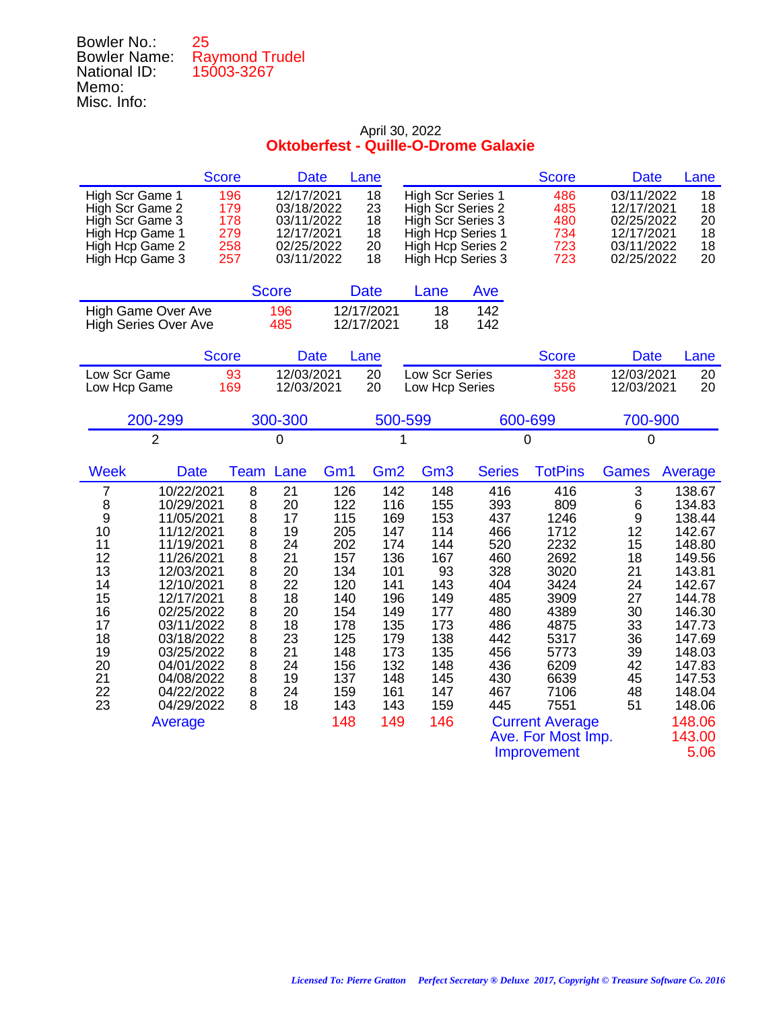| Bowler No.:         | 25                    |
|---------------------|-----------------------|
| <b>Bowler Name:</b> | <b>Raymond Trudel</b> |
| National ID:        | 15003-3267            |
| Memo:               |                       |
| Misc. Info:         |                       |
|                     |                       |

|                 | Score | Date       | Lane |                   | <b>Score</b> | Date       | Lane |
|-----------------|-------|------------|------|-------------------|--------------|------------|------|
| High Scr Game 1 | 196   | 12/17/2021 | 18   | High Scr Series 1 | 486          | 03/11/2022 | 18   |
| High Scr Game 2 | 179   | 03/18/2022 | 23   | High Scr Series 2 | 485          | 12/17/2021 | 18   |
| High Scr Game 3 | 178   | 03/11/2022 | 18   | High Scr Series 3 | 480          | 02/25/2022 | 20   |
| High Hcp Game 1 | 279   | 12/17/2021 | 18   | High Hcp Series 1 | 734          | 12/17/2021 | 18   |
| High Hcp Game 2 | 258   | 02/25/2022 | 20   | High Hcp Series 2 | 723          | 03/11/2022 | 18   |
| High Hcp Game 3 | 257   | 03/11/2022 | 18   | High Hcp Series 3 | 723          | 02/25/2022 | 20   |

|                             | <b>Score</b> | <b>Date</b> | Lane | Ave |
|-----------------------------|--------------|-------------|------|-----|
| High Game Over Ave          | 196          | 12/17/2021  | 18.  | 142 |
| <b>High Series Over Ave</b> | 485          | 12/17/2021  | 18   | 142 |

|              | Score | Date       | Lane. |                | <b>Score</b> | Date       | Lane |
|--------------|-------|------------|-------|----------------|--------------|------------|------|
| Low Scr Game | 93.   | 12/03/2021 | 20    | Low Scr Series | 328          | 12/03/2021 | 20   |
| Low Hcp Game | 169   | 12/03/2021 | 20    | Low Hcp Series | 556          | 12/03/2021 | 20   |

| 200-299 | 300-300 | 500-599 | 600-699 | 700-900 |
|---------|---------|---------|---------|---------|
| -       |         |         |         |         |

| <b>Week</b> | <b>Date</b> | Team | Lane | Gm <sub>1</sub> | Gm <sub>2</sub> | Gm <sub>3</sub> | <b>Series</b> | <b>TotPins</b>         | Games | Average |
|-------------|-------------|------|------|-----------------|-----------------|-----------------|---------------|------------------------|-------|---------|
| 7           | 10/22/2021  | 8    | 21   | 126             | 142             | 148             | 416           | 416                    | 3     | 138.67  |
| 8           | 10/29/2021  | 8    | 20   | 122             | 116             | 155             | 393           | 809                    | 6     | 134.83  |
| 9           | 11/05/2021  | 8    | 17   | 115             | 169             | 153             | 437           | 1246                   | 9     | 138.44  |
| 10          | 11/12/2021  | 8    | 19   | 205             | 147             | 114             | 466           | 1712                   | 12    | 142.67  |
| 11          | 11/19/2021  | 8    | 24   | 202             | 174             | 144             | 520           | 2232                   | 15    | 148.80  |
| 12          | 11/26/2021  | 8    | 21   | 157             | 136             | 167             | 460           | 2692                   | 18    | 149.56  |
| 13          | 12/03/2021  | 8    | 20   | 134             | 101             | 93              | 328           | 3020                   | 21    | 143.81  |
| 14          | 12/10/2021  | 8    | 22   | 120             | 141             | 143             | 404           | 3424                   | 24    | 142.67  |
| 15          | 12/17/2021  | 8    | 18   | 140             | 196             | 149             | 485           | 3909                   | 27    | 144.78  |
| 16          | 02/25/2022  | 8    | 20   | 154             | 149             | 177             | 480           | 4389                   | 30    | 146.30  |
| 17          | 03/11/2022  | 8    | 18   | 178             | 135             | 173             | 486           | 4875                   | 33    | 147.73  |
| 18          | 03/18/2022  | 8    | 23   | 125             | 179             | 138             | 442           | 5317                   | 36    | 147.69  |
| 19          | 03/25/2022  | 8    | 21   | 148             | 173             | 135             | 456           | 5773                   | 39    | 148.03  |
| 20          | 04/01/2022  | 8    | 24   | 156             | 132             | 148             | 436           | 6209                   | 42    | 147.83  |
| 21          | 04/08/2022  | 8    | 19   | 137             | 148             | 145             | 430           | 6639                   | 45    | 147.53  |
| 22          | 04/22/2022  | 8    | 24   | 159             | 161             | 147             | 467           | 7106                   | 48    | 148.04  |
| 23          | 04/29/2022  | 8    | 18   | 143             | 143             | 159             | 445           | 7551                   | 51    | 148.06  |
|             | Average     |      |      | 148             | 149             | 146             |               | <b>Current Average</b> |       | 148.06  |
|             |             |      |      |                 |                 |                 |               | Ave. For Most Imp.     |       | 143.00  |
|             |             |      |      |                 |                 |                 |               | Improvement            |       | 5.06    |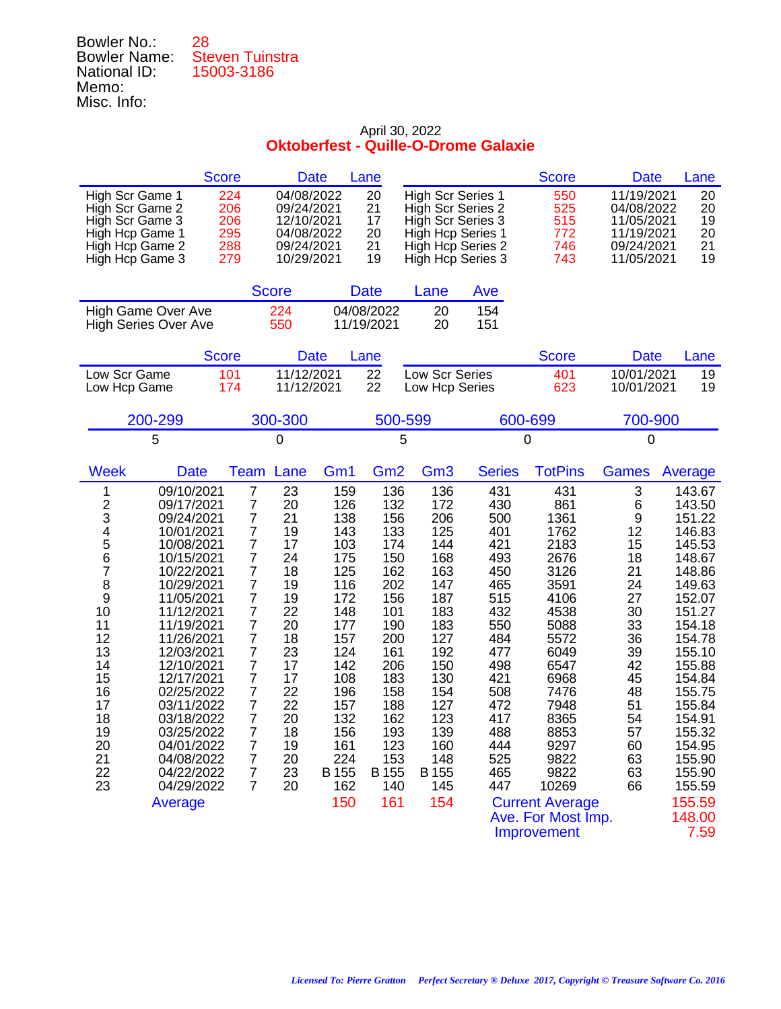| Bowler No.:         | 28                     |
|---------------------|------------------------|
| <b>Bowler Name:</b> | <b>Steven Tuinstra</b> |
| National ID:        | 15003-3186             |
| Memo:               |                        |
| Misc. Info:         |                        |

|                                                                                                                                                                                                                                                                                                                                                                                                                                                                                   | <b>Score</b>                                                                                                                                                                                                                                                                                                 | <b>Date</b>                                                                                                                            |                                                                                                                                                                        | Lane                                                                                                                                                                   |                                                                                                                                                                        |                                                                                                                                                               | <b>Score</b>                                                                                                                                                                                                                                       | <b>Date</b>                                                                                                                         | Lane                                                                                                                                                                                                                                                           |
|-----------------------------------------------------------------------------------------------------------------------------------------------------------------------------------------------------------------------------------------------------------------------------------------------------------------------------------------------------------------------------------------------------------------------------------------------------------------------------------|--------------------------------------------------------------------------------------------------------------------------------------------------------------------------------------------------------------------------------------------------------------------------------------------------------------|----------------------------------------------------------------------------------------------------------------------------------------|------------------------------------------------------------------------------------------------------------------------------------------------------------------------|------------------------------------------------------------------------------------------------------------------------------------------------------------------------|------------------------------------------------------------------------------------------------------------------------------------------------------------------------|---------------------------------------------------------------------------------------------------------------------------------------------------------------|----------------------------------------------------------------------------------------------------------------------------------------------------------------------------------------------------------------------------------------------------|-------------------------------------------------------------------------------------------------------------------------------------|----------------------------------------------------------------------------------------------------------------------------------------------------------------------------------------------------------------------------------------------------------------|
| High Scr Game 1<br>High Scr Game 2<br>High Scr Game 3<br>High Hcp Game 1<br>High Hcp Game 2<br>High Hcp Game 3                                                                                                                                                                                                                                                                                                                                                                    | 224<br>206<br>206<br>295<br>288<br>279                                                                                                                                                                                                                                                                       | 04/08/2022<br>09/24/2021<br>12/10/2021<br>04/08/2022<br>09/24/2021<br>10/29/2021                                                       |                                                                                                                                                                        | 20<br>21<br>17<br>20<br>21<br>19                                                                                                                                       | <b>High Scr Series 1</b><br>High Scr Series 2<br>High Scr Series 3<br>High Hcp Series 1<br>High Hcp Series 2                                                           | High Hcp Series 3                                                                                                                                             | 550<br>525<br>515<br>772<br>746<br>743                                                                                                                                                                                                             | 11/19/2021<br>04/08/2022<br>11/05/2021<br>11/19/2021<br>09/24/2021<br>11/05/2021                                                    | 20<br>20<br>19<br>20<br>21<br>19                                                                                                                                                                                                                               |
|                                                                                                                                                                                                                                                                                                                                                                                                                                                                                   |                                                                                                                                                                                                                                                                                                              | <b>Score</b>                                                                                                                           |                                                                                                                                                                        | <b>Date</b>                                                                                                                                                            | Lane                                                                                                                                                                   | Ave                                                                                                                                                           |                                                                                                                                                                                                                                                    |                                                                                                                                     |                                                                                                                                                                                                                                                                |
| High Game Over Ave<br><b>High Series Over Ave</b>                                                                                                                                                                                                                                                                                                                                                                                                                                 |                                                                                                                                                                                                                                                                                                              | 224<br>550                                                                                                                             |                                                                                                                                                                        | 04/08/2022<br>11/19/2021                                                                                                                                               | 20<br>20                                                                                                                                                               | 154<br>151                                                                                                                                                    |                                                                                                                                                                                                                                                    |                                                                                                                                     |                                                                                                                                                                                                                                                                |
|                                                                                                                                                                                                                                                                                                                                                                                                                                                                                   | <b>Score</b>                                                                                                                                                                                                                                                                                                 | <b>Date</b>                                                                                                                            |                                                                                                                                                                        | Lane                                                                                                                                                                   |                                                                                                                                                                        |                                                                                                                                                               | <b>Score</b>                                                                                                                                                                                                                                       | <b>Date</b>                                                                                                                         | Lane                                                                                                                                                                                                                                                           |
| Low Scr Game<br>Low Hcp Game                                                                                                                                                                                                                                                                                                                                                                                                                                                      | 101<br>174                                                                                                                                                                                                                                                                                                   | 11/12/2021<br>11/12/2021                                                                                                               |                                                                                                                                                                        | 22<br>22                                                                                                                                                               | Low Scr Series<br>Low Hcp Series                                                                                                                                       |                                                                                                                                                               | 401<br>623                                                                                                                                                                                                                                         | 10/01/2021<br>10/01/2021                                                                                                            | 19<br>19                                                                                                                                                                                                                                                       |
| 200-299                                                                                                                                                                                                                                                                                                                                                                                                                                                                           |                                                                                                                                                                                                                                                                                                              | 300-300                                                                                                                                |                                                                                                                                                                        | 500-599                                                                                                                                                                |                                                                                                                                                                        |                                                                                                                                                               | 600-699                                                                                                                                                                                                                                            | 700-900                                                                                                                             |                                                                                                                                                                                                                                                                |
| 5                                                                                                                                                                                                                                                                                                                                                                                                                                                                                 |                                                                                                                                                                                                                                                                                                              | 0                                                                                                                                      |                                                                                                                                                                        | 5                                                                                                                                                                      |                                                                                                                                                                        |                                                                                                                                                               | 0                                                                                                                                                                                                                                                  | $\mathbf 0$                                                                                                                         |                                                                                                                                                                                                                                                                |
| <b>Week</b><br><b>Date</b>                                                                                                                                                                                                                                                                                                                                                                                                                                                        | Team                                                                                                                                                                                                                                                                                                         | Lane                                                                                                                                   | Gm <sub>1</sub>                                                                                                                                                        | Gm <sub>2</sub>                                                                                                                                                        | Gm <sub>3</sub>                                                                                                                                                        | <b>Series</b>                                                                                                                                                 | <b>TotPins</b>                                                                                                                                                                                                                                     | <b>Games</b>                                                                                                                        | Average                                                                                                                                                                                                                                                        |
| 09/10/2021<br>1<br>$\frac{2}{3}$<br>09/17/2021<br>09/24/2021<br>4<br>5<br>10/01/2021<br>10/08/2021<br>6<br>10/15/2021<br>7<br>10/22/2021<br>8<br>10/29/2021<br>9<br>11/05/2021<br>10<br>11/12/2021<br>11<br>11/19/2021<br>12<br>11/26/2021<br>13<br>12/03/2021<br>14<br>12/10/2021<br>15<br>12/17/2021<br>16<br>02/25/2022<br>17<br>03/11/2022<br>18<br>03/18/2022<br>19<br>03/25/2022<br>20<br>04/01/2022<br>21<br>04/08/2022<br>22<br>04/22/2022<br>23<br>04/29/2022<br>Average | $\overline{7}$<br>$\overline{7}$<br>7<br>7<br>7<br>$\overline{7}$<br>$\overline{7}$<br>$\overline{7}$<br>$\overline{7}$<br>$\overline{7}$<br>$\overline{7}$<br>7<br>7<br>7<br>$\overline{7}$<br>7<br>$\overline{7}$<br>$\overline{7}$<br>7<br>$\prime$<br>$\overline{7}$<br>$\overline{7}$<br>$\overline{7}$ | 23<br>20<br>21<br>19<br>17<br>24<br>18<br>19<br>19<br>22<br>20<br>18<br>23<br>17<br>17<br>22<br>22<br>20<br>18<br>19<br>20<br>23<br>20 | 159<br>126<br>138<br>143<br>103<br>175<br>125<br>116<br>172<br>148<br>177<br>157<br>124<br>142<br>108<br>196<br>157<br>132<br>156<br>161<br>224<br>B 155<br>162<br>150 | 136<br>132<br>156<br>133<br>174<br>150<br>162<br>202<br>156<br>101<br>190<br>200<br>161<br>206<br>183<br>158<br>188<br>162<br>193<br>123<br>153<br>B 155<br>140<br>161 | 136<br>172<br>206<br>125<br>144<br>168<br>163<br>147<br>187<br>183<br>183<br>127<br>192<br>150<br>130<br>154<br>127<br>123<br>139<br>160<br>148<br>B 155<br>145<br>154 | 431<br>430<br>500<br>401<br>421<br>493<br>450<br>465<br>515<br>432<br>550<br>484<br>477<br>498<br>421<br>508<br>472<br>417<br>488<br>444<br>525<br>465<br>447 | 431<br>861<br>1361<br>1762<br>2183<br>2676<br>3126<br>3591<br>4106<br>4538<br>5088<br>5572<br>6049<br>6547<br>6968<br>7476<br>7948<br>8365<br>8853<br>9297<br>9822<br>9822<br>10269<br><b>Current Average</b><br>Ave. For Most Imp.<br>Improvement | 3<br>6<br>9<br>12<br>15<br>18<br>21<br>24<br>27<br>30<br>33<br>36<br>39<br>42<br>45<br>48<br>51<br>54<br>57<br>60<br>63<br>63<br>66 | 143.67<br>143.50<br>151.22<br>146.83<br>145.53<br>148.67<br>148.86<br>149.63<br>152.07<br>151.27<br>154.18<br>154.78<br>155.10<br>155.88<br>154.84<br>155.75<br>155.84<br>154.91<br>155.32<br>154.95<br>155.90<br>155.90<br>155.59<br>155.59<br>148.00<br>7.59 |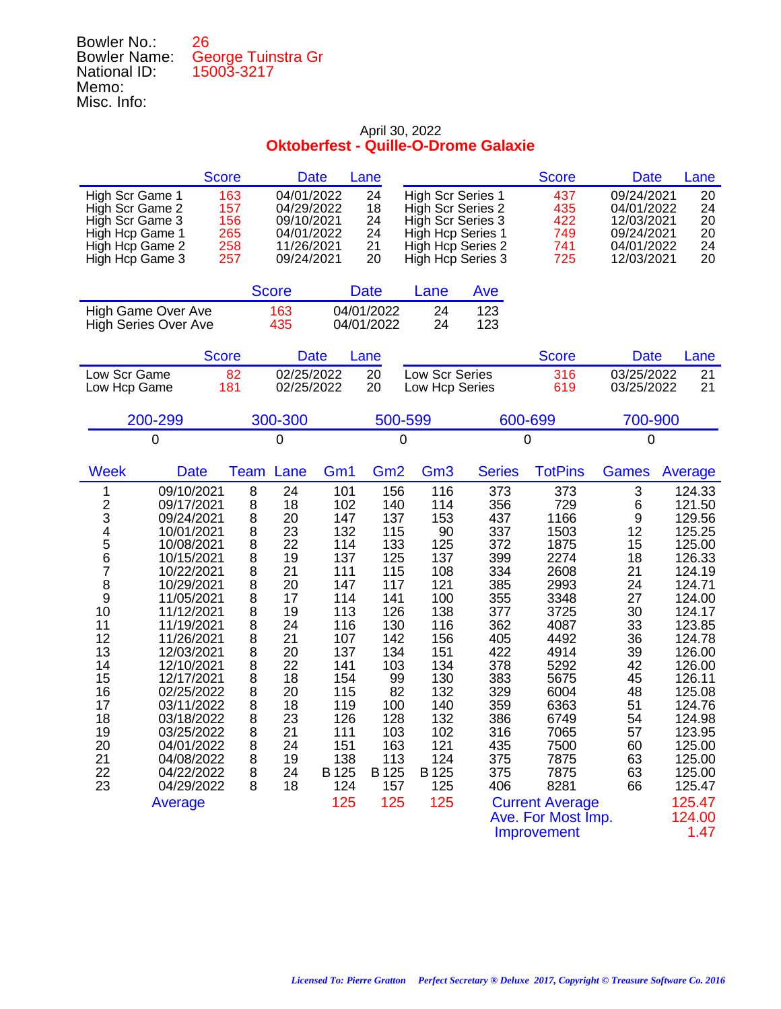| Bowler No.:         | 26                 |
|---------------------|--------------------|
| <b>Bowler Name:</b> | George Tuinstra Gr |
| National ID:        | 15003-3217         |
| Memo:               |                    |
| Misc. Info:         |                    |

|                                                                                                                                                                                                                                                                                                                                                                                                                                                                                                | <b>Score</b><br><b>Date</b>                                                                                                                                                                                                                               | Lane                                                                                                                                                                   |                                                                                                                                                                      |                                                                                                                                                                       |                                                                                                                                                               | <b>Score</b>                                                                                                                                                                                                                                      | <b>Date</b>                                                                                                                         | Lane                                                                                                                                                                                                                                                           |
|------------------------------------------------------------------------------------------------------------------------------------------------------------------------------------------------------------------------------------------------------------------------------------------------------------------------------------------------------------------------------------------------------------------------------------------------------------------------------------------------|-----------------------------------------------------------------------------------------------------------------------------------------------------------------------------------------------------------------------------------------------------------|------------------------------------------------------------------------------------------------------------------------------------------------------------------------|----------------------------------------------------------------------------------------------------------------------------------------------------------------------|-----------------------------------------------------------------------------------------------------------------------------------------------------------------------|---------------------------------------------------------------------------------------------------------------------------------------------------------------|---------------------------------------------------------------------------------------------------------------------------------------------------------------------------------------------------------------------------------------------------|-------------------------------------------------------------------------------------------------------------------------------------|----------------------------------------------------------------------------------------------------------------------------------------------------------------------------------------------------------------------------------------------------------------|
| High Scr Game 1<br>High Scr Game 2<br>High Scr Game 3<br>High Hcp Game 1<br>High Hcp Game 2<br>High Hcp Game 3                                                                                                                                                                                                                                                                                                                                                                                 | 163<br>04/01/2022<br>157<br>04/29/2022<br>156<br>09/10/2021<br>265<br>04/01/2022<br>258<br>11/26/2021<br>257<br>09/24/2021                                                                                                                                |                                                                                                                                                                        | 24<br>18<br>24<br>24<br>21<br>20                                                                                                                                     | <b>High Scr Series 1</b><br>High Scr Series 2<br>High Scr Series 3<br>High Hcp Series 1<br>High Hcp Series 2<br>High Hcp Series 3                                     |                                                                                                                                                               | 437<br>435<br>422<br>749<br>741<br>725                                                                                                                                                                                                            | 09/24/2021<br>04/01/2022<br>12/03/2021<br>09/24/2021<br>04/01/2022<br>12/03/2021                                                    | 20<br>24<br>20<br>20<br>24<br>20                                                                                                                                                                                                                               |
|                                                                                                                                                                                                                                                                                                                                                                                                                                                                                                | <b>Score</b>                                                                                                                                                                                                                                              | <b>Date</b>                                                                                                                                                            |                                                                                                                                                                      | Lane                                                                                                                                                                  | Ave                                                                                                                                                           |                                                                                                                                                                                                                                                   |                                                                                                                                     |                                                                                                                                                                                                                                                                |
| High Game Over Ave<br><b>High Series Over Ave</b>                                                                                                                                                                                                                                                                                                                                                                                                                                              | 163<br>435                                                                                                                                                                                                                                                | 04/01/2022<br>04/01/2022                                                                                                                                               |                                                                                                                                                                      | 24<br>24                                                                                                                                                              | 123<br>123                                                                                                                                                    |                                                                                                                                                                                                                                                   |                                                                                                                                     |                                                                                                                                                                                                                                                                |
|                                                                                                                                                                                                                                                                                                                                                                                                                                                                                                | <b>Score</b><br><b>Date</b>                                                                                                                                                                                                                               | Lane                                                                                                                                                                   |                                                                                                                                                                      |                                                                                                                                                                       |                                                                                                                                                               | <b>Score</b>                                                                                                                                                                                                                                      | <b>Date</b>                                                                                                                         | Lane                                                                                                                                                                                                                                                           |
| Low Scr Game<br>Low Hcp Game                                                                                                                                                                                                                                                                                                                                                                                                                                                                   | 02/25/2022<br>82<br>181<br>02/25/2022                                                                                                                                                                                                                     |                                                                                                                                                                        | 20<br>20                                                                                                                                                             | Low Scr Series<br>Low Hcp Series                                                                                                                                      |                                                                                                                                                               | 316<br>619                                                                                                                                                                                                                                        | 03/25/2022<br>03/25/2022                                                                                                            | 21<br>21                                                                                                                                                                                                                                                       |
| 200-299                                                                                                                                                                                                                                                                                                                                                                                                                                                                                        | 300-300                                                                                                                                                                                                                                                   |                                                                                                                                                                        | 500-599                                                                                                                                                              |                                                                                                                                                                       | 600-699                                                                                                                                                       |                                                                                                                                                                                                                                                   | 700-900                                                                                                                             |                                                                                                                                                                                                                                                                |
| 0                                                                                                                                                                                                                                                                                                                                                                                                                                                                                              | 0                                                                                                                                                                                                                                                         |                                                                                                                                                                        | 0                                                                                                                                                                    |                                                                                                                                                                       | 0                                                                                                                                                             |                                                                                                                                                                                                                                                   | $\mathbf 0$                                                                                                                         |                                                                                                                                                                                                                                                                |
| <b>Week</b><br><b>Date</b>                                                                                                                                                                                                                                                                                                                                                                                                                                                                     | Lane<br>Team                                                                                                                                                                                                                                              | Gm <sub>1</sub>                                                                                                                                                        | Gm <sub>2</sub>                                                                                                                                                      | Gm <sub>3</sub>                                                                                                                                                       | <b>Series</b>                                                                                                                                                 | <b>TotPins</b>                                                                                                                                                                                                                                    | <b>Games</b>                                                                                                                        | Average                                                                                                                                                                                                                                                        |
| 09/10/2021<br>1<br>$\frac{2}{3}$<br>09/17/2021<br>09/24/2021<br>4<br>5<br>10/01/2021<br>10/08/2021<br>6<br>10/15/2021<br>$\overline{7}$<br>10/22/2021<br>8<br>10/29/2021<br>9<br>11/05/2021<br>10<br>11/12/2021<br>11<br>11/19/2021<br>12<br>11/26/2021<br>13<br>12/03/2021<br>14<br>12/10/2021<br>15<br>12/17/2021<br>16<br>02/25/2022<br>17<br>03/11/2022<br>18<br>03/18/2022<br>19<br>03/25/2022<br>20<br>04/01/2022<br>21<br>04/08/2022<br>22<br>04/22/2022<br>23<br>04/29/2022<br>Average | 8<br>24<br>8<br>18<br>8<br>20<br>8<br>23<br>8<br>22<br>8<br>19<br>8<br>21<br>8<br>20<br>8<br>17<br>8<br>19<br>8<br>24<br>8<br>21<br>8<br>20<br>8<br>22<br>8<br>18<br>8<br>20<br>8<br>18<br>8<br>23<br>8<br>21<br>8<br>24<br>8<br>19<br>8<br>24<br>8<br>18 | 101<br>102<br>147<br>132<br>114<br>137<br>111<br>147<br>114<br>113<br>116<br>107<br>137<br>141<br>154<br>115<br>119<br>126<br>111<br>151<br>138<br>B 125<br>124<br>125 | 156<br>140<br>137<br>115<br>133<br>125<br>115<br>117<br>141<br>126<br>130<br>142<br>134<br>103<br>99<br>82<br>100<br>128<br>103<br>163<br>113<br>B 125<br>157<br>125 | 116<br>114<br>153<br>90<br>125<br>137<br>108<br>121<br>100<br>138<br>116<br>156<br>151<br>134<br>130<br>132<br>140<br>132<br>102<br>121<br>124<br>B 125<br>125<br>125 | 373<br>356<br>437<br>337<br>372<br>399<br>334<br>385<br>355<br>377<br>362<br>405<br>422<br>378<br>383<br>329<br>359<br>386<br>316<br>435<br>375<br>375<br>406 | 373<br>729<br>1166<br>1503<br>1875<br>2274<br>2608<br>2993<br>3348<br>3725<br>4087<br>4492<br>4914<br>5292<br>5675<br>6004<br>6363<br>6749<br>7065<br>7500<br>7875<br>7875<br>8281<br><b>Current Average</b><br>Ave. For Most Imp.<br>Improvement | 3<br>6<br>9<br>12<br>15<br>18<br>21<br>24<br>27<br>30<br>33<br>36<br>39<br>42<br>45<br>48<br>51<br>54<br>57<br>60<br>63<br>63<br>66 | 124.33<br>121.50<br>129.56<br>125.25<br>125.00<br>126.33<br>124.19<br>124.71<br>124.00<br>124.17<br>123.85<br>124.78<br>126.00<br>126.00<br>126.11<br>125.08<br>124.76<br>124.98<br>123.95<br>125.00<br>125.00<br>125.00<br>125.47<br>125.47<br>124.00<br>1.47 |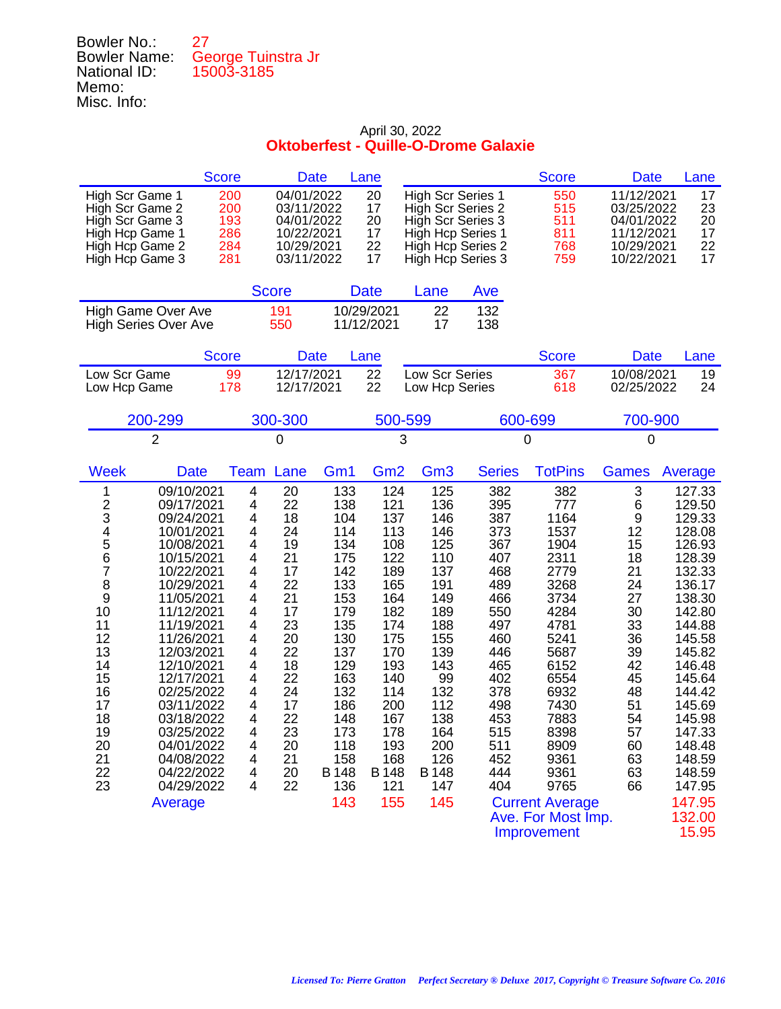| Bowler No.:         | 27                 |
|---------------------|--------------------|
| <b>Bowler Name:</b> | George Tuinstra Jr |
| National ID:        | 15003-3185         |
| Memo:               |                    |
| Misc. Info:         |                    |

|                                                                                                                                                                                                                                                                                                                                                                                                                                                                                   | <b>Score</b>                                                                                                    | <b>Date</b>                                                                                                                            |                                                                                                                                                                        | Lane                                                                                                                                                                   |                                                                                                                                                                       |                                                                                                                                                               | <b>Score</b>                                                                                                                                                                                                                                      | <b>Date</b>                                                                                                                         | Lane                                                                                                                                                                                                                                                            |
|-----------------------------------------------------------------------------------------------------------------------------------------------------------------------------------------------------------------------------------------------------------------------------------------------------------------------------------------------------------------------------------------------------------------------------------------------------------------------------------|-----------------------------------------------------------------------------------------------------------------|----------------------------------------------------------------------------------------------------------------------------------------|------------------------------------------------------------------------------------------------------------------------------------------------------------------------|------------------------------------------------------------------------------------------------------------------------------------------------------------------------|-----------------------------------------------------------------------------------------------------------------------------------------------------------------------|---------------------------------------------------------------------------------------------------------------------------------------------------------------|---------------------------------------------------------------------------------------------------------------------------------------------------------------------------------------------------------------------------------------------------|-------------------------------------------------------------------------------------------------------------------------------------|-----------------------------------------------------------------------------------------------------------------------------------------------------------------------------------------------------------------------------------------------------------------|
| High Scr Game 1<br>High Scr Game 2<br>High Scr Game 3<br>High Hcp Game 1<br>High Hcp Game 2<br>High Hcp Game 3                                                                                                                                                                                                                                                                                                                                                                    | 200<br>200<br>193<br>286<br>284<br>281                                                                          | 04/01/2022<br>03/11/2022<br>04/01/2022<br>10/22/2021<br>10/29/2021<br>03/11/2022                                                       |                                                                                                                                                                        | 20<br>17<br>20<br>17<br>22<br>17                                                                                                                                       | <b>High Scr Series 1</b><br>High Scr Series 2<br>High Scr Series 3<br>High Hcp Series 1                                                                               | High Hcp Series 2<br>High Hcp Series 3                                                                                                                        | 550<br>515<br>511<br>811<br>768<br>759                                                                                                                                                                                                            | 11/12/2021<br>03/25/2022<br>04/01/2022<br>11/12/2021<br>10/29/2021<br>10/22/2021                                                    | 17<br>23<br>20<br>17<br>22<br>17                                                                                                                                                                                                                                |
|                                                                                                                                                                                                                                                                                                                                                                                                                                                                                   |                                                                                                                 | <b>Score</b>                                                                                                                           |                                                                                                                                                                        | <b>Date</b>                                                                                                                                                            | Lane                                                                                                                                                                  | Ave                                                                                                                                                           |                                                                                                                                                                                                                                                   |                                                                                                                                     |                                                                                                                                                                                                                                                                 |
| High Game Over Ave<br><b>High Series Over Ave</b>                                                                                                                                                                                                                                                                                                                                                                                                                                 |                                                                                                                 | 191<br>550                                                                                                                             |                                                                                                                                                                        | 10/29/2021<br>11/12/2021                                                                                                                                               | 22<br>17                                                                                                                                                              | 132<br>138                                                                                                                                                    |                                                                                                                                                                                                                                                   |                                                                                                                                     |                                                                                                                                                                                                                                                                 |
|                                                                                                                                                                                                                                                                                                                                                                                                                                                                                   | <b>Score</b>                                                                                                    | <b>Date</b>                                                                                                                            |                                                                                                                                                                        | Lane                                                                                                                                                                   |                                                                                                                                                                       |                                                                                                                                                               | <b>Score</b>                                                                                                                                                                                                                                      | <b>Date</b>                                                                                                                         | Lane                                                                                                                                                                                                                                                            |
| Low Scr Game<br>Low Hcp Game                                                                                                                                                                                                                                                                                                                                                                                                                                                      | 99<br>178                                                                                                       | 12/17/2021<br>12/17/2021                                                                                                               |                                                                                                                                                                        | 22<br>22                                                                                                                                                               | Low Scr Series<br>Low Hcp Series                                                                                                                                      |                                                                                                                                                               | 367<br>618                                                                                                                                                                                                                                        | 10/08/2021<br>02/25/2022                                                                                                            | 19<br>24                                                                                                                                                                                                                                                        |
| 200-299                                                                                                                                                                                                                                                                                                                                                                                                                                                                           |                                                                                                                 | 300-300                                                                                                                                |                                                                                                                                                                        | 500-599                                                                                                                                                                |                                                                                                                                                                       |                                                                                                                                                               | 600-699                                                                                                                                                                                                                                           | 700-900                                                                                                                             |                                                                                                                                                                                                                                                                 |
| $\overline{2}$                                                                                                                                                                                                                                                                                                                                                                                                                                                                    |                                                                                                                 | 0                                                                                                                                      |                                                                                                                                                                        | 3                                                                                                                                                                      |                                                                                                                                                                       |                                                                                                                                                               | 0                                                                                                                                                                                                                                                 | $\mathbf 0$                                                                                                                         |                                                                                                                                                                                                                                                                 |
| <b>Week</b><br><b>Date</b>                                                                                                                                                                                                                                                                                                                                                                                                                                                        | Team                                                                                                            | Lane                                                                                                                                   | Gm <sub>1</sub>                                                                                                                                                        | Gm <sub>2</sub>                                                                                                                                                        | Gm <sub>3</sub>                                                                                                                                                       | <b>Series</b>                                                                                                                                                 | <b>TotPins</b>                                                                                                                                                                                                                                    | <b>Games</b>                                                                                                                        | Average                                                                                                                                                                                                                                                         |
| 09/10/2021<br>1<br>$\frac{2}{3}$<br>09/17/2021<br>09/24/2021<br>4<br>5<br>10/01/2021<br>10/08/2021<br>6<br>10/15/2021<br>7<br>10/22/2021<br>8<br>10/29/2021<br>9<br>11/05/2021<br>10<br>11/12/2021<br>11<br>11/19/2021<br>12<br>11/26/2021<br>13<br>12/03/2021<br>14<br>12/10/2021<br>15<br>12/17/2021<br>16<br>02/25/2022<br>17<br>03/11/2022<br>18<br>03/18/2022<br>19<br>03/25/2022<br>20<br>04/01/2022<br>21<br>04/08/2022<br>22<br>04/22/2022<br>23<br>04/29/2022<br>Average | 4<br>4<br>4<br>4<br>4<br>4<br>4<br>4<br>4<br>4<br>4<br>4<br>4<br>4<br>4<br>4<br>4<br>4<br>4<br>4<br>4<br>4<br>4 | 20<br>22<br>18<br>24<br>19<br>21<br>17<br>22<br>21<br>17<br>23<br>20<br>22<br>18<br>22<br>24<br>17<br>22<br>23<br>20<br>21<br>20<br>22 | 133<br>138<br>104<br>114<br>134<br>175<br>142<br>133<br>153<br>179<br>135<br>130<br>137<br>129<br>163<br>132<br>186<br>148<br>173<br>118<br>158<br>B 148<br>136<br>143 | 124<br>121<br>137<br>113<br>108<br>122<br>189<br>165<br>164<br>182<br>174<br>175<br>170<br>193<br>140<br>114<br>200<br>167<br>178<br>193<br>168<br>B 148<br>121<br>155 | 125<br>136<br>146<br>146<br>125<br>110<br>137<br>191<br>149<br>189<br>188<br>155<br>139<br>143<br>99<br>132<br>112<br>138<br>164<br>200<br>126<br>B 148<br>147<br>145 | 382<br>395<br>387<br>373<br>367<br>407<br>468<br>489<br>466<br>550<br>497<br>460<br>446<br>465<br>402<br>378<br>498<br>453<br>515<br>511<br>452<br>444<br>404 | 382<br>777<br>1164<br>1537<br>1904<br>2311<br>2779<br>3268<br>3734<br>4284<br>4781<br>5241<br>5687<br>6152<br>6554<br>6932<br>7430<br>7883<br>8398<br>8909<br>9361<br>9361<br>9765<br><b>Current Average</b><br>Ave. For Most Imp.<br>Improvement | 3<br>6<br>9<br>12<br>15<br>18<br>21<br>24<br>27<br>30<br>33<br>36<br>39<br>42<br>45<br>48<br>51<br>54<br>57<br>60<br>63<br>63<br>66 | 127.33<br>129.50<br>129.33<br>128.08<br>126.93<br>128.39<br>132.33<br>136.17<br>138.30<br>142.80<br>144.88<br>145.58<br>145.82<br>146.48<br>145.64<br>144.42<br>145.69<br>145.98<br>147.33<br>148.48<br>148.59<br>148.59<br>147.95<br>147.95<br>132.00<br>15.95 |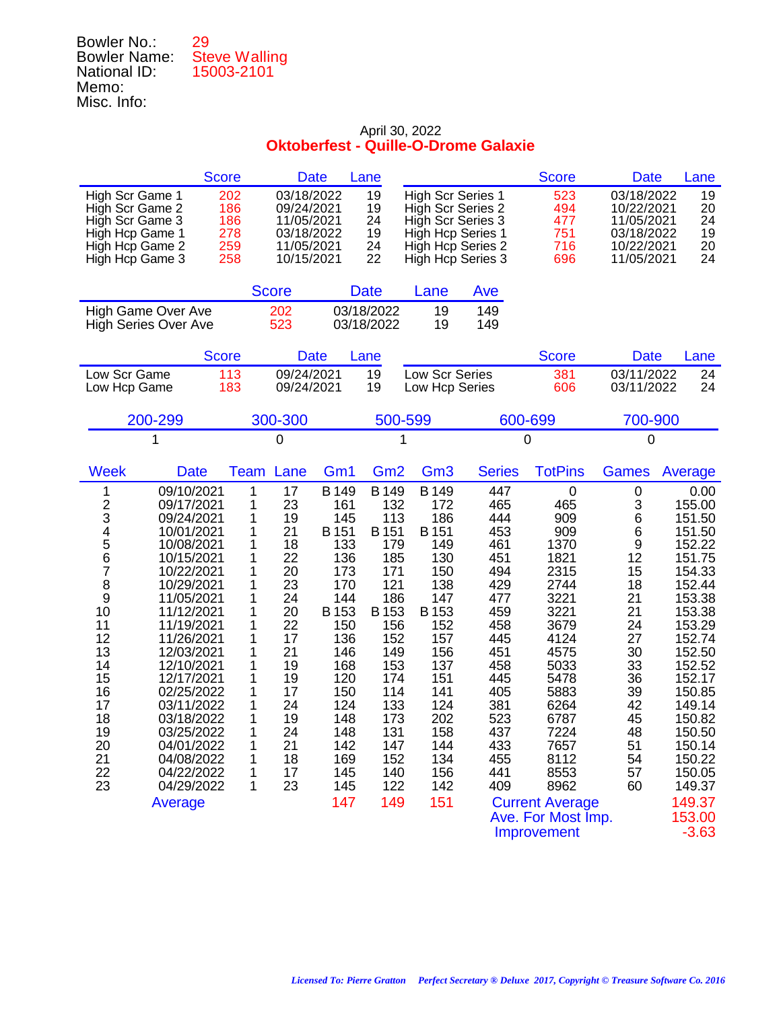| Bowler No.:         | 29                   |
|---------------------|----------------------|
| <b>Bowler Name:</b> | <b>Steve Walling</b> |
| National ID:        | 15003-2101           |
| Memo:               |                      |
| Misc. Info:         |                      |

| <b>Score</b>                                                                                                                                                                                                                                                                                                                                                                                                                                                                      | <b>Date</b>                                                                                                                                                                                                                                               | Lane                                                                                                                                                                                                  |                                                                                                                                                                                                                                                                                                                               |                                                                                                                                                               | <b>Score</b>                                                                                                                                                                                                                                            | <b>Date</b>                                                                                                                                              | Lane                                                                                                                                                                                                                                                            |
|-----------------------------------------------------------------------------------------------------------------------------------------------------------------------------------------------------------------------------------------------------------------------------------------------------------------------------------------------------------------------------------------------------------------------------------------------------------------------------------|-----------------------------------------------------------------------------------------------------------------------------------------------------------------------------------------------------------------------------------------------------------|-------------------------------------------------------------------------------------------------------------------------------------------------------------------------------------------------------|-------------------------------------------------------------------------------------------------------------------------------------------------------------------------------------------------------------------------------------------------------------------------------------------------------------------------------|---------------------------------------------------------------------------------------------------------------------------------------------------------------|---------------------------------------------------------------------------------------------------------------------------------------------------------------------------------------------------------------------------------------------------------|----------------------------------------------------------------------------------------------------------------------------------------------------------|-----------------------------------------------------------------------------------------------------------------------------------------------------------------------------------------------------------------------------------------------------------------|
| High Scr Game 1<br>High Scr Game 2<br>High Scr Game 3<br>High Hcp Game 1<br>High Hcp Game 2<br>High Hcp Game 3                                                                                                                                                                                                                                                                                                                                                                    | 03/18/2022<br>202<br>186<br>09/24/2021<br>186<br>11/05/2021<br>278<br>03/18/2022<br>259<br>11/05/2021<br>10/15/2021<br>258                                                                                                                                | 19<br>19<br>24<br>19<br>24<br>22                                                                                                                                                                      | <b>High Scr Series 1</b><br>High Scr Series 2<br>High Scr Series 3<br>High Hcp Series 1<br>High Hcp Series 2<br>High Hcp Series 3                                                                                                                                                                                             |                                                                                                                                                               | 523<br>494<br>477<br>751<br>716<br>696                                                                                                                                                                                                                  | 03/18/2022<br>10/22/2021<br>11/05/2021<br>03/18/2022<br>10/22/2021<br>11/05/2021                                                                         | 19<br>20<br>24<br>19<br>20<br>24                                                                                                                                                                                                                                |
|                                                                                                                                                                                                                                                                                                                                                                                                                                                                                   | <b>Score</b>                                                                                                                                                                                                                                              | <b>Date</b>                                                                                                                                                                                           | Lane                                                                                                                                                                                                                                                                                                                          | Ave                                                                                                                                                           |                                                                                                                                                                                                                                                         |                                                                                                                                                          |                                                                                                                                                                                                                                                                 |
| High Game Over Ave<br><b>High Series Over Ave</b>                                                                                                                                                                                                                                                                                                                                                                                                                                 | 202<br>523                                                                                                                                                                                                                                                | 03/18/2022<br>03/18/2022                                                                                                                                                                              | 19<br>19                                                                                                                                                                                                                                                                                                                      | 149<br>149                                                                                                                                                    |                                                                                                                                                                                                                                                         |                                                                                                                                                          |                                                                                                                                                                                                                                                                 |
| <b>Score</b>                                                                                                                                                                                                                                                                                                                                                                                                                                                                      | <b>Date</b>                                                                                                                                                                                                                                               | Lane                                                                                                                                                                                                  |                                                                                                                                                                                                                                                                                                                               |                                                                                                                                                               | <b>Score</b>                                                                                                                                                                                                                                            | <b>Date</b>                                                                                                                                              | Lane                                                                                                                                                                                                                                                            |
| Low Scr Game<br>Low Hcp Game                                                                                                                                                                                                                                                                                                                                                                                                                                                      | 113<br>09/24/2021<br>183<br>09/24/2021                                                                                                                                                                                                                    | 19<br>19                                                                                                                                                                                              | Low Scr Series<br>Low Hcp Series                                                                                                                                                                                                                                                                                              |                                                                                                                                                               | 381<br>606                                                                                                                                                                                                                                              | 03/11/2022<br>03/11/2022                                                                                                                                 | 24<br>24                                                                                                                                                                                                                                                        |
| 200-299                                                                                                                                                                                                                                                                                                                                                                                                                                                                           | 300-300                                                                                                                                                                                                                                                   |                                                                                                                                                                                                       | 500-599                                                                                                                                                                                                                                                                                                                       |                                                                                                                                                               | 600-699                                                                                                                                                                                                                                                 | 700-900                                                                                                                                                  |                                                                                                                                                                                                                                                                 |
| 1                                                                                                                                                                                                                                                                                                                                                                                                                                                                                 | 0                                                                                                                                                                                                                                                         |                                                                                                                                                                                                       | 1                                                                                                                                                                                                                                                                                                                             |                                                                                                                                                               | 0                                                                                                                                                                                                                                                       | 0                                                                                                                                                        |                                                                                                                                                                                                                                                                 |
| <b>Week</b><br><b>Date</b>                                                                                                                                                                                                                                                                                                                                                                                                                                                        | Lane<br>Team                                                                                                                                                                                                                                              | Gm <sub>2</sub><br>Gm <sub>1</sub>                                                                                                                                                                    | Gm <sub>3</sub>                                                                                                                                                                                                                                                                                                               | <b>Series</b>                                                                                                                                                 | <b>TotPins</b>                                                                                                                                                                                                                                          | <b>Games</b>                                                                                                                                             | Average                                                                                                                                                                                                                                                         |
| 09/10/2021<br>1<br>$\frac{2}{3}$<br>09/17/2021<br>09/24/2021<br>4<br>5<br>10/01/2021<br>10/08/2021<br>6<br>10/15/2021<br>7<br>10/22/2021<br>8<br>10/29/2021<br>9<br>11/05/2021<br>10<br>11/12/2021<br>11<br>11/19/2021<br>12<br>11/26/2021<br>13<br>12/03/2021<br>14<br>12/10/2021<br>15<br>12/17/2021<br>16<br>02/25/2022<br>17<br>03/11/2022<br>18<br>03/18/2022<br>19<br>03/25/2022<br>20<br>04/01/2022<br>21<br>04/08/2022<br>22<br>04/22/2022<br>23<br>04/29/2022<br>Average | 1<br>17<br>1<br>23<br>1<br>19<br>1<br>21<br>1<br>18<br>22<br>1<br>20<br>1<br>1<br>23<br>24<br>1<br>1<br>20<br>1<br>22<br>1<br>17<br>1<br>21<br>1<br>19<br>1<br>19<br>1<br>17<br>1<br>24<br>1<br>19<br>1<br>24<br>1<br>21<br>18<br>1<br>17<br>1<br>23<br>1 | B 149<br>B 149<br>161<br>145<br>B 151<br>B 151<br>133<br>136<br>173<br>170<br>144<br>B 153<br>B 153<br>150<br>136<br>146<br>168<br>120<br>150<br>124<br>148<br>148<br>142<br>169<br>145<br>145<br>147 | B 149<br>172<br>132<br>186<br>113<br>B 151<br>149<br>179<br>185<br>130<br>150<br>171<br>121<br>138<br>147<br>186<br>B 153<br>152<br>156<br>152<br>157<br>156<br>149<br>137<br>153<br>151<br>174<br>141<br>114<br>124<br>133<br>202<br>173<br>131<br>158<br>147<br>144<br>152<br>134<br>156<br>140<br>122<br>142<br>151<br>149 | 447<br>465<br>444<br>453<br>461<br>451<br>494<br>429<br>477<br>459<br>458<br>445<br>451<br>458<br>445<br>405<br>381<br>523<br>437<br>433<br>455<br>441<br>409 | $\mathbf 0$<br>465<br>909<br>909<br>1370<br>1821<br>2315<br>2744<br>3221<br>3221<br>3679<br>4124<br>4575<br>5033<br>5478<br>5883<br>6264<br>6787<br>7224<br>7657<br>8112<br>8553<br>8962<br><b>Current Average</b><br>Ave. For Most Imp.<br>Improvement | $\pmb{0}$<br>3<br>6<br>6<br>$\boldsymbol{9}$<br>12<br>15<br>18<br>21<br>21<br>24<br>27<br>30<br>33<br>36<br>39<br>42<br>45<br>48<br>51<br>54<br>57<br>60 | 0.00<br>155.00<br>151.50<br>151.50<br>152.22<br>151.75<br>154.33<br>152.44<br>153.38<br>153.38<br>153.29<br>152.74<br>152.50<br>152.52<br>152.17<br>150.85<br>149.14<br>150.82<br>150.50<br>150.14<br>150.22<br>150.05<br>149.37<br>149.37<br>153.00<br>$-3.63$ |